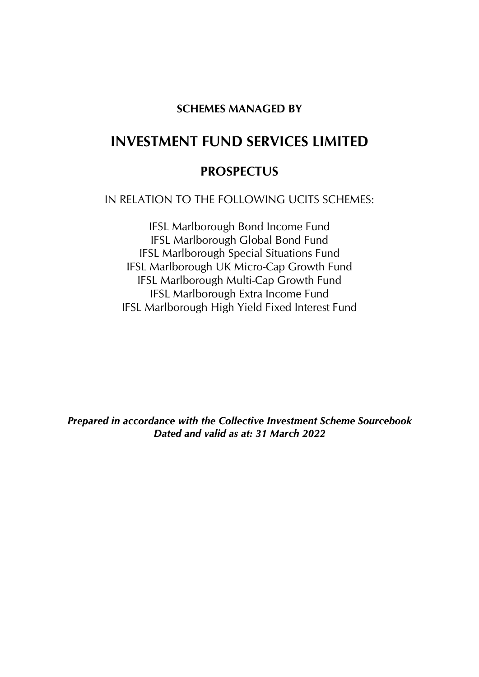## **SCHEMES MANAGED BY**

# **INVESTMENT FUND SERVICES LIMITED**

## **PROSPECTUS**

IN RELATION TO THE FOLLOWING UCITS SCHEMES:

IFSL Marlborough Bond Income Fund IFSL Marlborough Global Bond Fund IFSL Marlborough Special Situations Fund IFSL Marlborough UK Micro-Cap Growth Fund IFSL Marlborough Multi-Cap Growth Fund IFSL Marlborough Extra Income Fund IFSL Marlborough High Yield Fixed Interest Fund

*Prepared in accordance with the Collective Investment Scheme Sourcebook Dated and valid as at: 31 March 2022*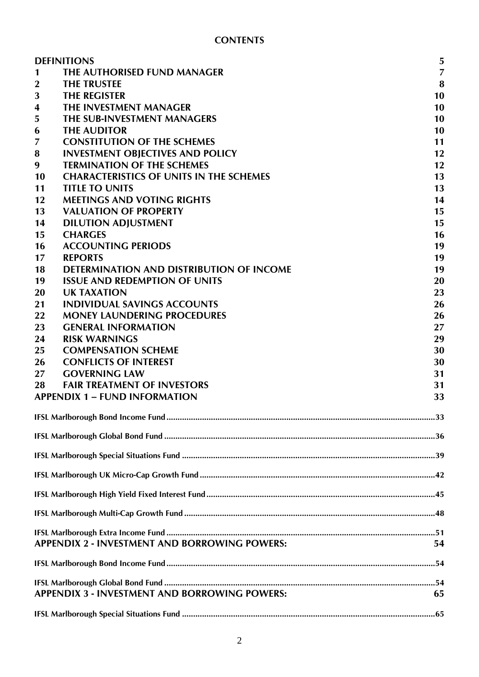|                | <b>DEFINITIONS</b>                                   | 5              |
|----------------|------------------------------------------------------|----------------|
| 1              | THE AUTHORISED FUND MANAGER                          | $\overline{7}$ |
| $\mathbf{2}$   | <b>THE TRUSTEE</b>                                   | 8              |
| 3              | <b>THE REGISTER</b>                                  | 10             |
| 4              | THE INVESTMENT MANAGER                               | 10             |
| 5              | THE SUB-INVESTMENT MANAGERS                          | 10             |
| 6              | <b>THE AUDITOR</b>                                   | 10             |
| $\overline{7}$ | <b>CONSTITUTION OF THE SCHEMES</b>                   | 11             |
| 8              | <b>INVESTMENT OBJECTIVES AND POLICY</b>              | 12             |
| 9              | <b>TERMINATION OF THE SCHEMES</b>                    | 12             |
| 10             | <b>CHARACTERISTICS OF UNITS IN THE SCHEMES</b>       | 13             |
| 11             | <b>TITLE TO UNITS</b>                                | 13             |
| 12             | <b>MEETINGS AND VOTING RIGHTS</b>                    | 14             |
| 13             | <b>VALUATION OF PROPERTY</b>                         | 15             |
| 14             | <b>DILUTION ADJUSTMENT</b>                           | 15             |
| 15             | <b>CHARGES</b>                                       | 16             |
| 16             | <b>ACCOUNTING PERIODS</b>                            | 19             |
| 17             | <b>REPORTS</b>                                       | 19             |
| 18             | <b>DETERMINATION AND DISTRIBUTION OF INCOME</b>      | 19             |
| 19             | <b>ISSUE AND REDEMPTION OF UNITS</b>                 | 20             |
| 20             | <b>UK TAXATION</b>                                   | 23             |
| 21             | <b>INDIVIDUAL SAVINGS ACCOUNTS</b>                   | 26             |
| 22             | <b>MONEY LAUNDERING PROCEDURES</b>                   | 26             |
| 23             | <b>GENERAL INFORMATION</b>                           | 27             |
| 24             | <b>RISK WARNINGS</b>                                 | 29             |
| 25             | <b>COMPENSATION SCHEME</b>                           | 30             |
| 26             | <b>CONFLICTS OF INTEREST</b>                         | 30             |
| 27             | <b>GOVERNING LAW</b>                                 | 31             |
| 28             | <b>FAIR TREATMENT OF INVESTORS</b>                   | 31             |
|                | <b>APPENDIX 1 - FUND INFORMATION</b>                 | 33             |
|                |                                                      |                |
|                |                                                      |                |
|                |                                                      |                |
|                |                                                      |                |
|                |                                                      |                |
|                |                                                      |                |
|                |                                                      |                |
|                | <b>APPENDIX 2 - INVESTMENT AND BORROWING POWERS:</b> | 54             |
|                |                                                      |                |
|                |                                                      |                |
|                | <b>APPENDIX 3 - INVESTMENT AND BORROWING POWERS:</b> | 65             |
|                |                                                      |                |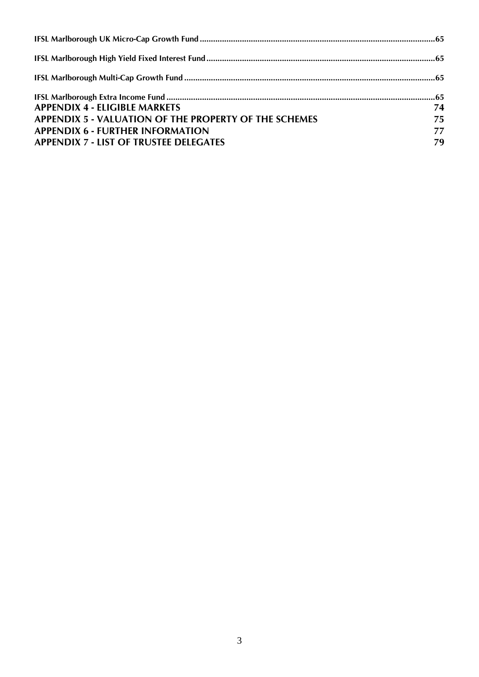| 74 |
|----|
| 75 |
| 77 |
| 79 |
|    |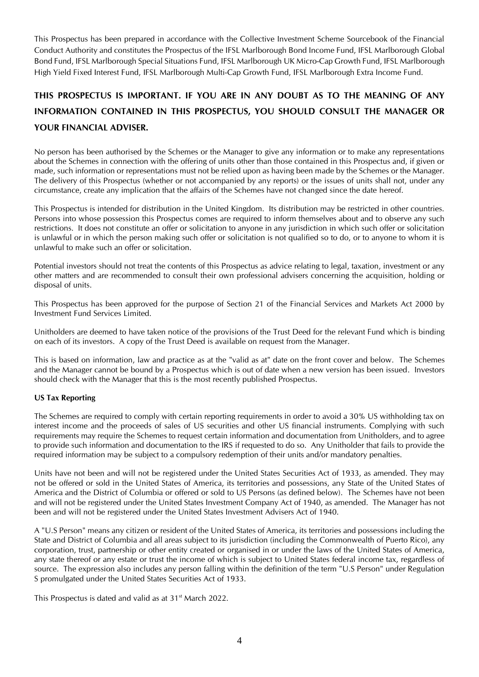This Prospectus has been prepared in accordance with the Collective Investment Scheme Sourcebook of the Financial Conduct Authority and constitutes the Prospectus of the IFSL Marlborough Bond Income Fund, IFSL Marlborough Global Bond Fund, IFSL Marlborough Special Situations Fund, IFSL Marlborough UK Micro-Cap Growth Fund, IFSL Marlborough High Yield Fixed Interest Fund, IFSL Marlborough Multi-Cap Growth Fund, IFSL Marlborough Extra Income Fund.

## **THIS PROSPECTUS IS IMPORTANT. IF YOU ARE IN ANY DOUBT AS TO THE MEANING OF ANY INFORMATION CONTAINED IN THIS PROSPECTUS, YOU SHOULD CONSULT THE MANAGER OR YOUR FINANCIAL ADVISER.**

No person has been authorised by the Schemes or the Manager to give any information or to make any representations about the Schemes in connection with the offering of units other than those contained in this Prospectus and, if given or made, such information or representations must not be relied upon as having been made by the Schemes or the Manager. The delivery of this Prospectus (whether or not accompanied by any reports) or the issues of units shall not, under any circumstance, create any implication that the affairs of the Schemes have not changed since the date hereof.

This Prospectus is intended for distribution in the United Kingdom. Its distribution may be restricted in other countries. Persons into whose possession this Prospectus comes are required to inform themselves about and to observe any such restrictions. It does not constitute an offer or solicitation to anyone in any jurisdiction in which such offer or solicitation is unlawful or in which the person making such offer or solicitation is not qualified so to do, or to anyone to whom it is unlawful to make such an offer or solicitation.

Potential investors should not treat the contents of this Prospectus as advice relating to legal, taxation, investment or any other matters and are recommended to consult their own professional advisers concerning the acquisition, holding or disposal of units.

This Prospectus has been approved for the purpose of Section 21 of the Financial Services and Markets Act 2000 by Investment Fund Services Limited.

Unitholders are deemed to have taken notice of the provisions of the Trust Deed for the relevant Fund which is binding on each of its investors. A copy of the Trust Deed is available on request from the Manager.

This is based on information, law and practice as at the "valid as at" date on the front cover and below. The Schemes and the Manager cannot be bound by a Prospectus which is out of date when a new version has been issued. Investors should check with the Manager that this is the most recently published Prospectus.

#### **US Tax Reporting**

The Schemes are required to comply with certain reporting requirements in order to avoid a 30% US withholding tax on interest income and the proceeds of sales of US securities and other US financial instruments. Complying with such requirements may require the Schemes to request certain information and documentation from Unitholders, and to agree to provide such information and documentation to the IRS if requested to do so. Any Unitholder that fails to provide the required information may be subject to a compulsory redemption of their units and/or mandatory penalties.

Units have not been and will not be registered under the United States Securities Act of 1933, as amended. They may not be offered or sold in the United States of America, its territories and possessions, any State of the United States of America and the District of Columbia or offered or sold to US Persons (as defined below). The Schemes have not been and will not be registered under the United States Investment Company Act of 1940, as amended. The Manager has not been and will not be registered under the United States Investment Advisers Act of 1940.

A "U.S Person" means any citizen or resident of the United States of America, its territories and possessions including the State and District of Columbia and all areas subject to its jurisdiction (including the Commonwealth of Puerto Rico), any corporation, trust, partnership or other entity created or organised in or under the laws of the United States of America, any state thereof or any estate or trust the income of which is subject to United States federal income tax, regardless of source. The expression also includes any person falling within the definition of the term "U.S Person" under Regulation S promulgated under the United States Securities Act of 1933.

This Prospectus is dated and valid as at 31<sup>st</sup> March 2022.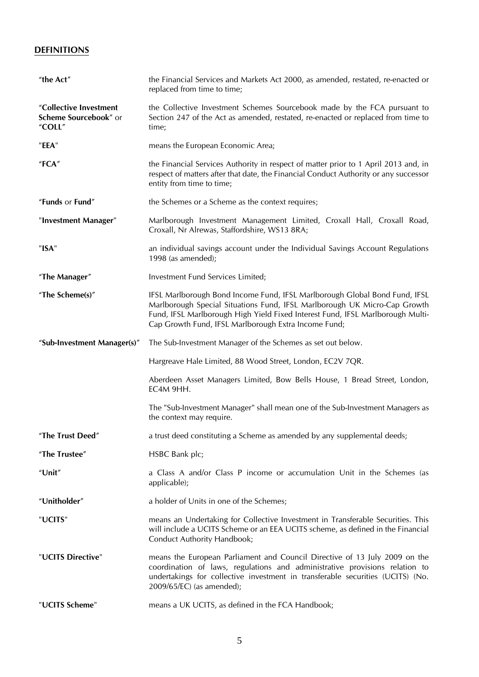## <span id="page-4-0"></span>**DEFINITIONS**

| "the Act"                                                 | the Financial Services and Markets Act 2000, as amended, restated, re-enacted or<br>replaced from time to time;                                                                                                                                                                                   |
|-----------------------------------------------------------|---------------------------------------------------------------------------------------------------------------------------------------------------------------------------------------------------------------------------------------------------------------------------------------------------|
| "Collective Investment<br>Scheme Sourcebook" or<br>"COLL" | the Collective Investment Schemes Sourcebook made by the FCA pursuant to<br>Section 247 of the Act as amended, restated, re-enacted or replaced from time to<br>time;                                                                                                                             |
| "EEA"                                                     | means the European Economic Area;                                                                                                                                                                                                                                                                 |
| "FCA"                                                     | the Financial Services Authority in respect of matter prior to 1 April 2013 and, in<br>respect of matters after that date, the Financial Conduct Authority or any successor<br>entity from time to time;                                                                                          |
| "Funds or Fund"                                           | the Schemes or a Scheme as the context requires;                                                                                                                                                                                                                                                  |
| "Investment Manager"                                      | Marlborough Investment Management Limited, Croxall Hall, Croxall Road,<br>Croxall, Nr Alrewas, Staffordshire, WS13 8RA;                                                                                                                                                                           |
| "ISA"                                                     | an individual savings account under the Individual Savings Account Regulations<br>1998 (as amended);                                                                                                                                                                                              |
| "The Manager"                                             | Investment Fund Services Limited;                                                                                                                                                                                                                                                                 |
| "The Scheme(s)"                                           | IFSL Marlborough Bond Income Fund, IFSL Marlborough Global Bond Fund, IFSL<br>Marlborough Special Situations Fund, IFSL Marlborough UK Micro-Cap Growth<br>Fund, IFSL Marlborough High Yield Fixed Interest Fund, IFSL Marlborough Multi-<br>Cap Growth Fund, IFSL Marlborough Extra Income Fund; |
| "Sub-Investment Manager(s)"                               | The Sub-Investment Manager of the Schemes as set out below.                                                                                                                                                                                                                                       |
|                                                           | Hargreave Hale Limited, 88 Wood Street, London, EC2V 7QR.                                                                                                                                                                                                                                         |
|                                                           | Aberdeen Asset Managers Limited, Bow Bells House, 1 Bread Street, London,<br>EC4M 9HH.                                                                                                                                                                                                            |
|                                                           | The "Sub-Investment Manager" shall mean one of the Sub-Investment Managers as<br>the context may require.                                                                                                                                                                                         |
| "The Trust Deed"                                          | a trust deed constituting a Scheme as amended by any supplemental deeds;                                                                                                                                                                                                                          |
| "The Trustee"                                             | HSBC Bank plc;                                                                                                                                                                                                                                                                                    |
| "Unit"                                                    | a Class A and/or Class P income or accumulation Unit in the Schemes (as<br>applicable);                                                                                                                                                                                                           |
| "Unitholder"                                              | a holder of Units in one of the Schemes;                                                                                                                                                                                                                                                          |
| "UCITS"                                                   | means an Undertaking for Collective Investment in Transferable Securities. This<br>will include a UCITS Scheme or an EEA UCITS scheme, as defined in the Financial<br>Conduct Authority Handbook;                                                                                                 |
| "UCITS Directive"                                         | means the European Parliament and Council Directive of 13 July 2009 on the<br>coordination of laws, regulations and administrative provisions relation to<br>undertakings for collective investment in transferable securities (UCITS) (No.<br>2009/65/EC) (as amended);                          |
| "UCITS Scheme"                                            | means a UK UCITS, as defined in the FCA Handbook;                                                                                                                                                                                                                                                 |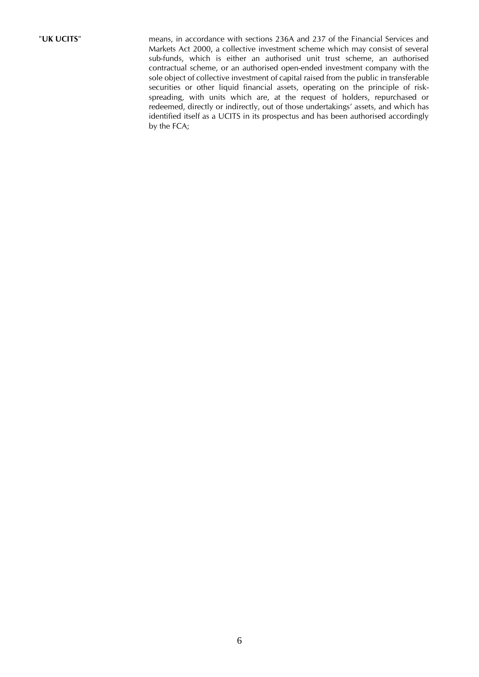"**UK UCITS**" means, in accordance with sections 236A and 237 of the Financial Services and Markets Act 2000, a collective investment scheme which may consist of several sub-funds, which is either an authorised unit trust scheme, an authorised contractual scheme, or an authorised open-ended investment company with the sole object of collective investment of capital raised from the public in transferable securities or other liquid financial assets, operating on the principle of riskspreading, with units which are, at the request of holders, repurchased or redeemed, directly or indirectly, out of those undertakings' assets, and which has identified itself as a UCITS in its prospectus and has been authorised accordingly by the FCA;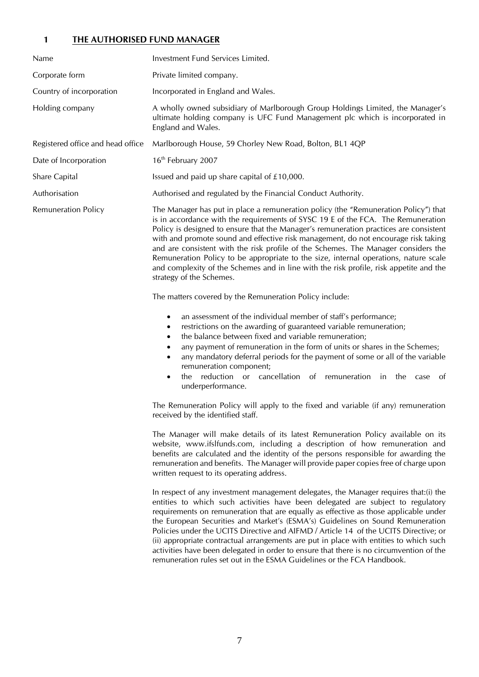### <span id="page-6-0"></span>**1 THE AUTHORISED FUND MANAGER**

| Name                              | Investment Fund Services Limited.                                                                                                                                                                                                                                                                                                                                                                                                                                                                                                                                                                                                                                                                        |
|-----------------------------------|----------------------------------------------------------------------------------------------------------------------------------------------------------------------------------------------------------------------------------------------------------------------------------------------------------------------------------------------------------------------------------------------------------------------------------------------------------------------------------------------------------------------------------------------------------------------------------------------------------------------------------------------------------------------------------------------------------|
| Corporate form                    | Private limited company.                                                                                                                                                                                                                                                                                                                                                                                                                                                                                                                                                                                                                                                                                 |
| Country of incorporation          | Incorporated in England and Wales.                                                                                                                                                                                                                                                                                                                                                                                                                                                                                                                                                                                                                                                                       |
| Holding company                   | A wholly owned subsidiary of Marlborough Group Holdings Limited, the Manager's<br>ultimate holding company is UFC Fund Management plc which is incorporated in<br>England and Wales.                                                                                                                                                                                                                                                                                                                                                                                                                                                                                                                     |
| Registered office and head office | Marlborough House, 59 Chorley New Road, Bolton, BL1 4QP                                                                                                                                                                                                                                                                                                                                                                                                                                                                                                                                                                                                                                                  |
| Date of Incorporation             | 16 <sup>th</sup> February 2007                                                                                                                                                                                                                                                                                                                                                                                                                                                                                                                                                                                                                                                                           |
| Share Capital                     | Issued and paid up share capital of £10,000.                                                                                                                                                                                                                                                                                                                                                                                                                                                                                                                                                                                                                                                             |
| Authorisation                     | Authorised and regulated by the Financial Conduct Authority.                                                                                                                                                                                                                                                                                                                                                                                                                                                                                                                                                                                                                                             |
| <b>Remuneration Policy</b>        | The Manager has put in place a remuneration policy (the "Remuneration Policy") that<br>is in accordance with the requirements of SYSC 19 E of the FCA. The Remuneration<br>Policy is designed to ensure that the Manager's remuneration practices are consistent<br>with and promote sound and effective risk management, do not encourage risk taking<br>and are consistent with the risk profile of the Schemes. The Manager considers the<br>Remuneration Policy to be appropriate to the size, internal operations, nature scale<br>and complexity of the Schemes and in line with the risk profile, risk appetite and the<br>strategy of the Schemes.                                               |
|                                   | The matters covered by the Remuneration Policy include:                                                                                                                                                                                                                                                                                                                                                                                                                                                                                                                                                                                                                                                  |
|                                   | an assessment of the individual member of staff's performance;<br>$\bullet$<br>restrictions on the awarding of guaranteed variable remuneration;<br>٠<br>the balance between fixed and variable remuneration;<br>$\bullet$<br>any payment of remuneration in the form of units or shares in the Schemes;<br>٠<br>any mandatory deferral periods for the payment of some or all of the variable<br>$\bullet$<br>remuneration component;<br>reduction or cancellation of remuneration<br>in the case<br>the<br>ot<br>$\bullet$<br>underperformance.                                                                                                                                                        |
|                                   | The Remuneration Policy will apply to the fixed and variable (if any) remuneration<br>received by the identified staff.                                                                                                                                                                                                                                                                                                                                                                                                                                                                                                                                                                                  |
|                                   | The Manager will make details of its latest Remuneration Policy available on its<br>website, www.ifslfunds.com, including a description of how remuneration and<br>benefits are calculated and the identity of the persons responsible for awarding the<br>remuneration and benefits. The Manager will provide paper copies free of charge upon<br>written request to its operating address.                                                                                                                                                                                                                                                                                                             |
|                                   | In respect of any investment management delegates, the Manager requires that:(i) the<br>entities to which such activities have been delegated are subject to regulatory<br>requirements on remuneration that are equally as effective as those applicable under<br>the European Securities and Market's (ESMA's) Guidelines on Sound Remuneration<br>Policies under the UCITS Directive and AIFMD / Article 14 of the UCITS Directive; or<br>(ii) appropriate contractual arrangements are put in place with entities to which such<br>activities have been delegated in order to ensure that there is no circumvention of the<br>remuneration rules set out in the ESMA Guidelines or the FCA Handbook. |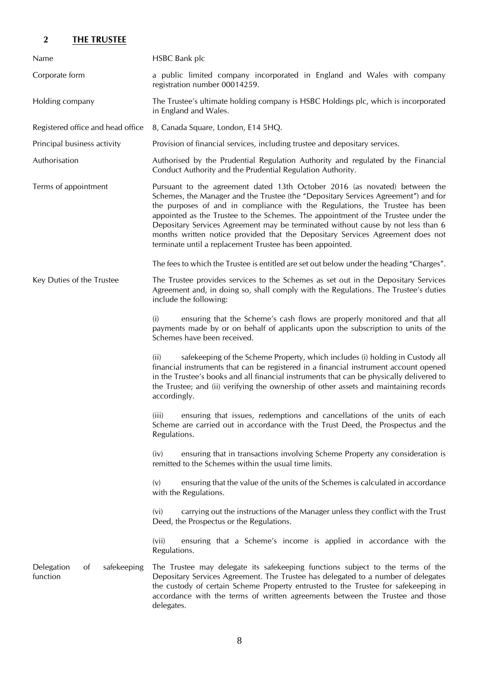## <span id="page-7-0"></span>**2 THE TRUSTEE**

| Name                                                   | <b>HSBC Bank plc</b>                                                                                                                                                                                                                                                                                                                                                                                                                                                                                                                                                     |  |
|--------------------------------------------------------|--------------------------------------------------------------------------------------------------------------------------------------------------------------------------------------------------------------------------------------------------------------------------------------------------------------------------------------------------------------------------------------------------------------------------------------------------------------------------------------------------------------------------------------------------------------------------|--|
| Corporate form                                         | a public limited company incorporated in England and Wales with company<br>registration number 00014259.                                                                                                                                                                                                                                                                                                                                                                                                                                                                 |  |
| Holding company                                        | The Trustee's ultimate holding company is HSBC Holdings plc, which is incorporated<br>in England and Wales.                                                                                                                                                                                                                                                                                                                                                                                                                                                              |  |
| Registered office and head office                      | 8, Canada Square, London, E14 5HQ.                                                                                                                                                                                                                                                                                                                                                                                                                                                                                                                                       |  |
| Principal business activity                            | Provision of financial services, including trustee and depositary services.                                                                                                                                                                                                                                                                                                                                                                                                                                                                                              |  |
| Authorisation                                          | Authorised by the Prudential Regulation Authority and regulated by the Financial<br>Conduct Authority and the Prudential Regulation Authority.                                                                                                                                                                                                                                                                                                                                                                                                                           |  |
| Terms of appointment                                   | Pursuant to the agreement dated 13th October 2016 (as novated) between the<br>Schemes, the Manager and the Trustee (the "Depositary Services Agreement") and for<br>the purposes of and in compliance with the Regulations, the Trustee has been<br>appointed as the Trustee to the Schemes. The appointment of the Trustee under the<br>Depositary Services Agreement may be terminated without cause by not less than 6<br>months written notice provided that the Depositary Services Agreement does not<br>terminate until a replacement Trustee has been appointed. |  |
|                                                        | The fees to which the Trustee is entitled are set out below under the heading "Charges".                                                                                                                                                                                                                                                                                                                                                                                                                                                                                 |  |
| Key Duties of the Trustee                              | The Trustee provides services to the Schemes as set out in the Depositary Services<br>Agreement and, in doing so, shall comply with the Regulations. The Trustee's duties<br>include the following:                                                                                                                                                                                                                                                                                                                                                                      |  |
|                                                        | ensuring that the Scheme's cash flows are properly monitored and that all<br>(i)<br>payments made by or on behalf of applicants upon the subscription to units of the<br>Schemes have been received.                                                                                                                                                                                                                                                                                                                                                                     |  |
|                                                        | safekeeping of the Scheme Property, which includes (i) holding in Custody all<br>(ii)<br>financial instruments that can be registered in a financial instrument account opened<br>in the Trustee's books and all financial instruments that can be physically delivered to<br>the Trustee; and (ii) verifying the ownership of other assets and maintaining records<br>accordingly.                                                                                                                                                                                      |  |
|                                                        | ensuring that issues, redemptions and cancellations of the units of each<br>(iii)<br>Scheme are carried out in accordance with the Trust Deed, the Prospectus and the<br>Regulations.                                                                                                                                                                                                                                                                                                                                                                                    |  |
|                                                        | ensuring that in transactions involving Scheme Property any consideration is<br>(iv)<br>remitted to the Schemes within the usual time limits.                                                                                                                                                                                                                                                                                                                                                                                                                            |  |
|                                                        | ensuring that the value of the units of the Schemes is calculated in accordance<br>(v)<br>with the Regulations.                                                                                                                                                                                                                                                                                                                                                                                                                                                          |  |
|                                                        | carrying out the instructions of the Manager unless they conflict with the Trust<br>(v <sub>i</sub> )<br>Deed, the Prospectus or the Regulations.                                                                                                                                                                                                                                                                                                                                                                                                                        |  |
|                                                        | ensuring that a Scheme's income is applied in accordance with the<br>(vii)<br>Regulations.                                                                                                                                                                                                                                                                                                                                                                                                                                                                               |  |
| Delegation<br>safekeeping<br><sub>of</sub><br>function | The Trustee may delegate its safekeeping functions subject to the terms of the<br>Depositary Services Agreement. The Trustee has delegated to a number of delegates<br>the custody of certain Scheme Property entrusted to the Trustee for safekeeping in<br>accordance with the terms of written agreements between the Trustee and those<br>delegates.                                                                                                                                                                                                                 |  |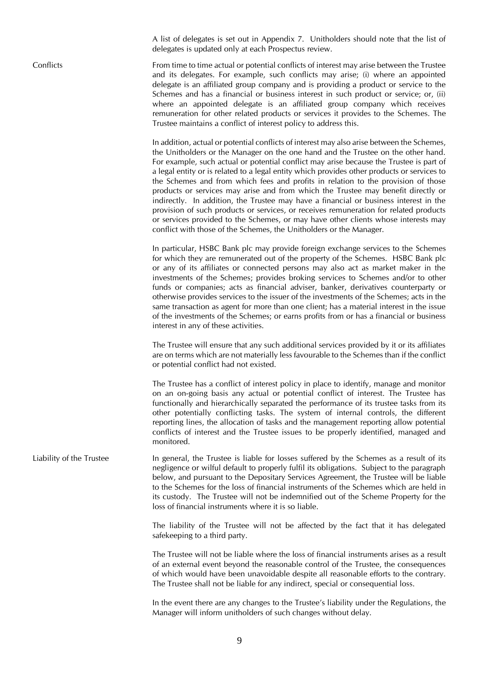A list of delegates is set out in Appendix 7. Unitholders should note that the list of delegates is updated only at each Prospectus review.

Conflicts From time to time actual or potential conflicts of interest may arise between the Trustee and its delegates. For example, such conflicts may arise; (i) where an appointed delegate is an affiliated group company and is providing a product or service to the Schemes and has a financial or business interest in such product or service; or, (ii) where an appointed delegate is an affiliated group company which receives remuneration for other related products or services it provides to the Schemes. The Trustee maintains a conflict of interest policy to address this.

> In addition, actual or potential conflicts of interest may also arise between the Schemes, the Unitholders or the Manager on the one hand and the Trustee on the other hand. For example, such actual or potential conflict may arise because the Trustee is part of a legal entity or is related to a legal entity which provides other products or services to the Schemes and from which fees and profits in relation to the provision of those products or services may arise and from which the Trustee may benefit directly or indirectly. In addition, the Trustee may have a financial or business interest in the provision of such products or services, or receives remuneration for related products or services provided to the Schemes, or may have other clients whose interests may conflict with those of the Schemes, the Unitholders or the Manager.

> In particular, HSBC Bank plc may provide foreign exchange services to the Schemes for which they are remunerated out of the property of the Schemes. HSBC Bank plc or any of its affiliates or connected persons may also act as market maker in the investments of the Schemes; provides broking services to Schemes and/or to other funds or companies; acts as financial adviser, banker, derivatives counterparty or otherwise provides services to the issuer of the investments of the Schemes; acts in the same transaction as agent for more than one client; has a material interest in the issue of the investments of the Schemes; or earns profits from or has a financial or business interest in any of these activities.

> The Trustee will ensure that any such additional services provided by it or its affiliates are on terms which are not materially less favourable to the Schemes than if the conflict or potential conflict had not existed.

> The Trustee has a conflict of interest policy in place to identify, manage and monitor on an on-going basis any actual or potential conflict of interest. The Trustee has functionally and hierarchically separated the performance of its trustee tasks from its other potentially conflicting tasks. The system of internal controls, the different reporting lines, the allocation of tasks and the management reporting allow potential conflicts of interest and the Trustee issues to be properly identified, managed and monitored.

Liability of the Trustee In general, the Trustee is liable for losses suffered by the Schemes as a result of its negligence or wilful default to properly fulfil its obligations. Subject to the paragraph below, and pursuant to the Depositary Services Agreement, the Trustee will be liable to the Schemes for the loss of financial instruments of the Schemes which are held in its custody. The Trustee will not be indemnified out of the Scheme Property for the loss of financial instruments where it is so liable.

> The liability of the Trustee will not be affected by the fact that it has delegated safekeeping to a third party.

> The Trustee will not be liable where the loss of financial instruments arises as a result of an external event beyond the reasonable control of the Trustee, the consequences of which would have been unavoidable despite all reasonable efforts to the contrary. The Trustee shall not be liable for any indirect, special or consequential loss.

> In the event there are any changes to the Trustee's liability under the Regulations, the Manager will inform unitholders of such changes without delay.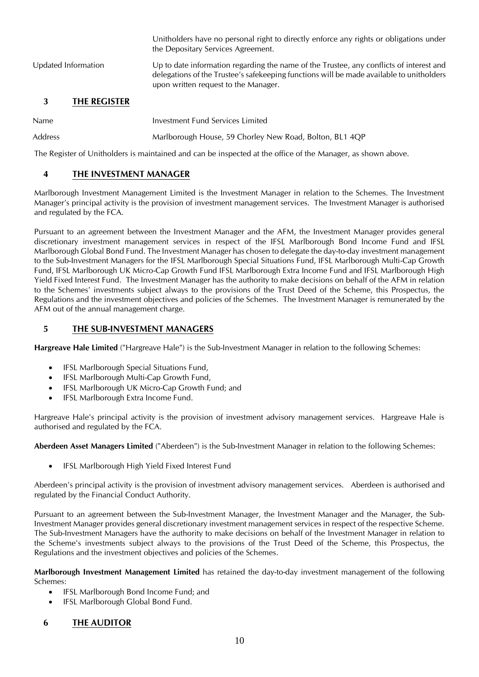the Depositary Services Agreement. Updated Information Up to date information regarding the name of the Trustee, any conflicts of interest and delegations of the Trustee's safekeeping functions will be made available to unitholders upon written request to the Manager.

Unitholders have no personal right to directly enforce any rights or obligations under

### <span id="page-9-0"></span>**3 THE REGISTER**

- Name Investment Fund Services Limited
- Address Marlborough House, 59 Chorley New Road, Bolton, BL1 4QP

The Register of Unitholders is maintained and can be inspected at the office of the Manager, as shown above.

#### <span id="page-9-1"></span>**4 THE INVESTMENT MANAGER**

Marlborough Investment Management Limited is the Investment Manager in relation to the Schemes. The Investment Manager's principal activity is the provision of investment management services. The Investment Manager is authorised and regulated by the FCA.

Pursuant to an agreement between the Investment Manager and the AFM, the Investment Manager provides general discretionary investment management services in respect of the IFSL Marlborough Bond Income Fund and IFSL Marlborough Global Bond Fund. The Investment Manager has chosen to delegate the day-to-day investment management to the Sub-Investment Managers for the IFSL Marlborough Special Situations Fund, IFSL Marlborough Multi-Cap Growth Fund, IFSL Marlborough UK Micro-Cap Growth Fund IFSL Marlborough Extra Income Fund and IFSL Marlborough High Yield Fixed Interest Fund. The Investment Manager has the authority to make decisions on behalf of the AFM in relation to the Schemes' investments subject always to the provisions of the Trust Deed of the Scheme, this Prospectus, the Regulations and the investment objectives and policies of the Schemes. The Investment Manager is remunerated by the AFM out of the annual management charge.

#### <span id="page-9-2"></span>**5 THE SUB-INVESTMENT MANAGERS**

**Hargreave Hale Limited** ("Hargreave Hale") is the Sub-Investment Manager in relation to the following Schemes:

- IFSL Marlborough Special Situations Fund,
- IFSL Marlborough Multi-Cap Growth Fund,
- IFSL Marlborough UK Micro-Cap Growth Fund; and
- IFSL Marlborough Extra Income Fund.

Hargreave Hale's principal activity is the provision of investment advisory management services. Hargreave Hale is authorised and regulated by the FCA.

**Aberdeen Asset Managers Limited** ("Aberdeen") is the Sub-Investment Manager in relation to the following Schemes:

• IFSL Marlborough High Yield Fixed Interest Fund

Aberdeen's principal activity is the provision of investment advisory management services. Aberdeen is authorised and regulated by the Financial Conduct Authority.

Pursuant to an agreement between the Sub-Investment Manager, the Investment Manager and the Manager, the Sub-Investment Manager provides general discretionary investment management services in respect of the respective Scheme. The Sub-Investment Managers have the authority to make decisions on behalf of the Investment Manager in relation to the Scheme's investments subject always to the provisions of the Trust Deed of the Scheme, this Prospectus, the Regulations and the investment objectives and policies of the Schemes.

**Marlborough Investment Management Limited** has retained the day-to-day investment management of the following Schemes:

- IFSL Marlborough Bond Income Fund; and
- IFSL Marlborough Global Bond Fund.

#### <span id="page-9-3"></span>**6 THE AUDITOR**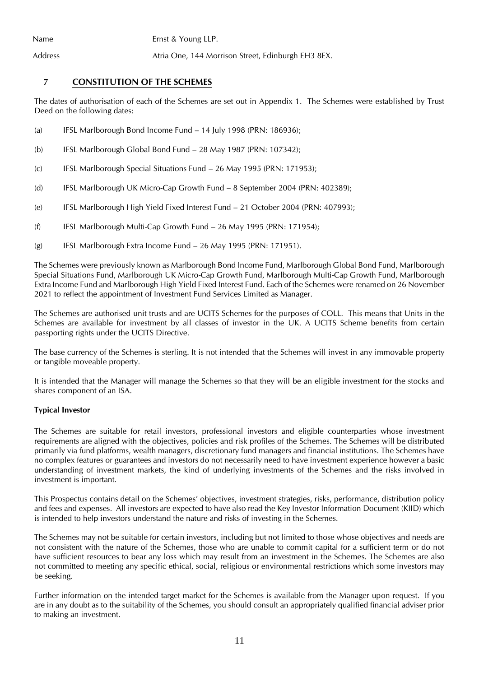Name Ernst & Young LLP.

Address **Atria One, 144 Morrison Street, Edinburgh EH3 8EX.** 

### <span id="page-10-0"></span>**7 CONSTITUTION OF THE SCHEMES**

The dates of authorisation of each of the Schemes are set out in Appendix 1. The Schemes were established by Trust Deed on the following dates:

- (a) IFSL Marlborough Bond Income Fund 14 July 1998 (PRN: 186936);
- (b) IFSL Marlborough Global Bond Fund 28 May 1987 (PRN: 107342);
- (c) IFSL Marlborough Special Situations Fund 26 May 1995 (PRN: 171953);
- (d) IFSL Marlborough UK Micro-Cap Growth Fund 8 September 2004 (PRN: 402389);
- (e) IFSL Marlborough High Yield Fixed Interest Fund 21 October 2004 (PRN: 407993);
- (f) IFSL Marlborough Multi-Cap Growth Fund 26 May 1995 (PRN: 171954);
- (g) IFSL Marlborough Extra Income Fund 26 May 1995 (PRN: 171951).

The Schemes were previously known as Marlborough Bond Income Fund, Marlborough Global Bond Fund, Marlborough Special Situations Fund, Marlborough UK Micro-Cap Growth Fund, Marlborough Multi-Cap Growth Fund, Marlborough Extra Income Fund and Marlborough High Yield Fixed Interest Fund. Each of the Schemes were renamed on 26 November 2021 to reflect the appointment of Investment Fund Services Limited as Manager.

The Schemes are authorised unit trusts and are UCITS Schemes for the purposes of COLL. This means that Units in the Schemes are available for investment by all classes of investor in the UK. A UCITS Scheme benefits from certain passporting rights under the UCITS Directive.

The base currency of the Schemes is sterling. It is not intended that the Schemes will invest in any immovable property or tangible moveable property.

It is intended that the Manager will manage the Schemes so that they will be an eligible investment for the stocks and shares component of an ISA.

#### **Typical Investor**

The Schemes are suitable for retail investors, professional investors and eligible counterparties whose investment requirements are aligned with the objectives, policies and risk profiles of the Schemes. The Schemes will be distributed primarily via fund platforms, wealth managers, discretionary fund managers and financial institutions. The Schemes have no complex features or guarantees and investors do not necessarily need to have investment experience however a basic understanding of investment markets, the kind of underlying investments of the Schemes and the risks involved in investment is important.

This Prospectus contains detail on the Schemes' objectives, investment strategies, risks, performance, distribution policy and fees and expenses. All investors are expected to have also read the Key Investor Information Document (KIID) which is intended to help investors understand the nature and risks of investing in the Schemes.

The Schemes may not be suitable for certain investors, including but not limited to those whose objectives and needs are not consistent with the nature of the Schemes, those who are unable to commit capital for a sufficient term or do not have sufficient resources to bear any loss which may result from an investment in the Schemes. The Schemes are also not committed to meeting any specific ethical, social, religious or environmental restrictions which some investors may be seeking.

Further information on the intended target market for the Schemes is available from the Manager upon request. If you are in any doubt as to the suitability of the Schemes, you should consult an appropriately qualified financial adviser prior to making an investment.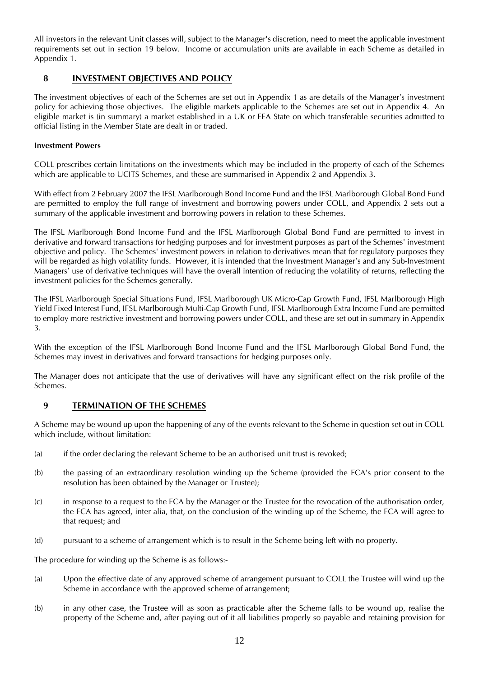All investors in the relevant Unit classes will, subject to the Manager's discretion, need to meet the applicable investment requirements set out in section 19 below. Income or accumulation units are available in each Scheme as detailed in Appendix 1.

### <span id="page-11-0"></span>**8 INVESTMENT OBJECTIVES AND POLICY**

The investment objectives of each of the Schemes are set out in Appendix 1 as are details of the Manager's investment policy for achieving those objectives. The eligible markets applicable to the Schemes are set out in Appendix 4. An eligible market is (in summary) a market established in a UK or EEA State on which transferable securities admitted to official listing in the Member State are dealt in or traded.

#### **Investment Powers**

COLL prescribes certain limitations on the investments which may be included in the property of each of the Schemes which are applicable to UCITS Schemes, and these are summarised in Appendix 2 and Appendix 3.

With effect from 2 February 2007 the IFSL Marlborough Bond Income Fund and the IFSL Marlborough Global Bond Fund are permitted to employ the full range of investment and borrowing powers under COLL, and Appendix 2 sets out a summary of the applicable investment and borrowing powers in relation to these Schemes.

The IFSL Marlborough Bond Income Fund and the IFSL Marlborough Global Bond Fund are permitted to invest in derivative and forward transactions for hedging purposes and for investment purposes as part of the Schemes' investment objective and policy. The Schemes' investment powers in relation to derivatives mean that for regulatory purposes they will be regarded as high volatility funds. However, it is intended that the Investment Manager's and any Sub-Investment Managers' use of derivative techniques will have the overall intention of reducing the volatility of returns, reflecting the investment policies for the Schemes generally.

The IFSL Marlborough Special Situations Fund, IFSL Marlborough UK Micro-Cap Growth Fund, IFSL Marlborough High Yield Fixed Interest Fund, IFSL Marlborough Multi-Cap Growth Fund, IFSL Marlborough Extra Income Fund are permitted to employ more restrictive investment and borrowing powers under COLL, and these are set out in summary in Appendix 3.

With the exception of the IFSL Marlborough Bond Income Fund and the IFSL Marlborough Global Bond Fund, the Schemes may invest in derivatives and forward transactions for hedging purposes only.

The Manager does not anticipate that the use of derivatives will have any significant effect on the risk profile of the Schemes.

### <span id="page-11-1"></span>**9 TERMINATION OF THE SCHEMES**

A Scheme may be wound up upon the happening of any of the events relevant to the Scheme in question set out in COLL which include, without limitation:

- (a) if the order declaring the relevant Scheme to be an authorised unit trust is revoked;
- (b) the passing of an extraordinary resolution winding up the Scheme (provided the FCA's prior consent to the resolution has been obtained by the Manager or Trustee);
- (c) in response to a request to the FCA by the Manager or the Trustee for the revocation of the authorisation order, the FCA has agreed, inter alia, that, on the conclusion of the winding up of the Scheme, the FCA will agree to that request; and
- (d) pursuant to a scheme of arrangement which is to result in the Scheme being left with no property.

The procedure for winding up the Scheme is as follows:-

- (a) Upon the effective date of any approved scheme of arrangement pursuant to COLL the Trustee will wind up the Scheme in accordance with the approved scheme of arrangement;
- (b) in any other case, the Trustee will as soon as practicable after the Scheme falls to be wound up, realise the property of the Scheme and, after paying out of it all liabilities properly so payable and retaining provision for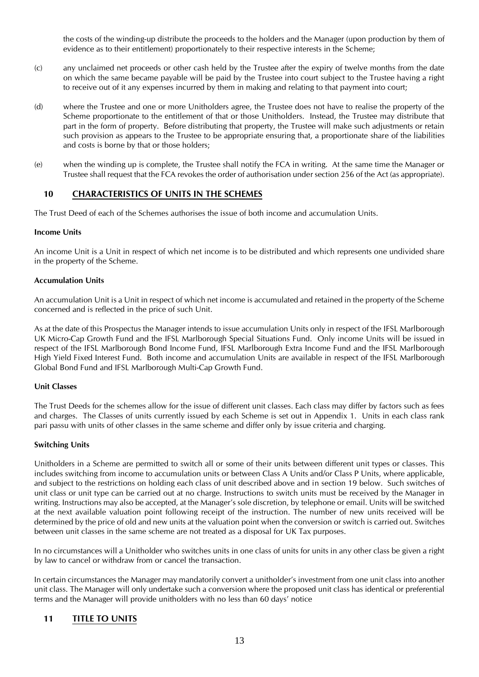the costs of the winding-up distribute the proceeds to the holders and the Manager (upon production by them of evidence as to their entitlement) proportionately to their respective interests in the Scheme;

- (c) any unclaimed net proceeds or other cash held by the Trustee after the expiry of twelve months from the date on which the same became payable will be paid by the Trustee into court subject to the Trustee having a right to receive out of it any expenses incurred by them in making and relating to that payment into court;
- (d) where the Trustee and one or more Unitholders agree, the Trustee does not have to realise the property of the Scheme proportionate to the entitlement of that or those Unitholders. Instead, the Trustee may distribute that part in the form of property. Before distributing that property, the Trustee will make such adjustments or retain such provision as appears to the Trustee to be appropriate ensuring that, a proportionate share of the liabilities and costs is borne by that or those holders;
- (e) when the winding up is complete, the Trustee shall notify the FCA in writing. At the same time the Manager or Trustee shall request that the FCA revokes the order of authorisation under section 256 of the Act (as appropriate).

### <span id="page-12-0"></span>**10 CHARACTERISTICS OF UNITS IN THE SCHEMES**

The Trust Deed of each of the Schemes authorises the issue of both income and accumulation Units.

#### **Income Units**

An income Unit is a Unit in respect of which net income is to be distributed and which represents one undivided share in the property of the Scheme.

#### **Accumulation Units**

An accumulation Unit is a Unit in respect of which net income is accumulated and retained in the property of the Scheme concerned and is reflected in the price of such Unit.

As at the date of this Prospectus the Manager intends to issue accumulation Units only in respect of the IFSL Marlborough UK Micro-Cap Growth Fund and the IFSL Marlborough Special Situations Fund. Only income Units will be issued in respect of the IFSL Marlborough Bond Income Fund, IFSL Marlborough Extra Income Fund and the IFSL Marlborough High Yield Fixed Interest Fund. Both income and accumulation Units are available in respect of the IFSL Marlborough Global Bond Fund and IFSL Marlborough Multi-Cap Growth Fund.

#### **Unit Classes**

The Trust Deeds for the schemes allow for the issue of different unit classes. Each class may differ by factors such as fees and charges. The Classes of units currently issued by each Scheme is set out in Appendix 1. Units in each class rank pari passu with units of other classes in the same scheme and differ only by issue criteria and charging.

#### **Switching Units**

Unitholders in a Scheme are permitted to switch all or some of their units between different unit types or classes. This includes switching from income to accumulation units or between Class A Units and/or Class P Units, where applicable, and subject to the restrictions on holding each class of unit described above and in section 19 below. Such switches of unit class or unit type can be carried out at no charge. Instructions to switch units must be received by the Manager in writing. Instructions may also be accepted, at the Manager's sole discretion, by telephone or email. Units will be switched at the next available valuation point following receipt of the instruction. The number of new units received will be determined by the price of old and new units at the valuation point when the conversion or switch is carried out. Switches between unit classes in the same scheme are not treated as a disposal for UK Tax purposes.

In no circumstances will a Unitholder who switches units in one class of units for units in any other class be given a right by law to cancel or withdraw from or cancel the transaction.

In certain circumstances the Manager may mandatorily convert a unitholder's investment from one unit class into another unit class. The Manager will only undertake such a conversion where the proposed unit class has identical or preferential terms and the Manager will provide unitholders with no less than 60 days' notice

### <span id="page-12-1"></span>**11 TITLE TO UNITS**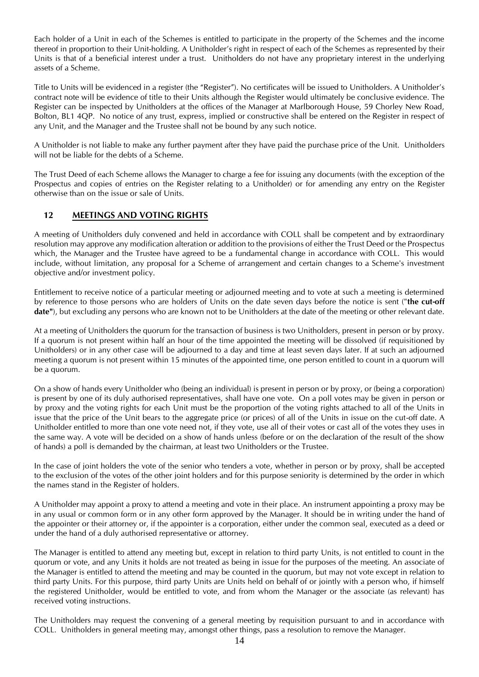Each holder of a Unit in each of the Schemes is entitled to participate in the property of the Schemes and the income thereof in proportion to their Unit-holding. A Unitholder's right in respect of each of the Schemes as represented by their Units is that of a beneficial interest under a trust. Unitholders do not have any proprietary interest in the underlying assets of a Scheme.

Title to Units will be evidenced in a register (the "Register"). No certificates will be issued to Unitholders. A Unitholder's contract note will be evidence of title to their Units although the Register would ultimately be conclusive evidence. The Register can be inspected by Unitholders at the offices of the Manager at Marlborough House, 59 Chorley New Road, Bolton, BL1 4QP. No notice of any trust, express, implied or constructive shall be entered on the Register in respect of any Unit, and the Manager and the Trustee shall not be bound by any such notice.

A Unitholder is not liable to make any further payment after they have paid the purchase price of the Unit. Unitholders will not be liable for the debts of a Scheme.

The Trust Deed of each Scheme allows the Manager to charge a fee for issuing any documents (with the exception of the Prospectus and copies of entries on the Register relating to a Unitholder) or for amending any entry on the Register otherwise than on the issue or sale of Units.

### <span id="page-13-0"></span>**12 MEETINGS AND VOTING RIGHTS**

A meeting of Unitholders duly convened and held in accordance with COLL shall be competent and by extraordinary resolution may approve any modification alteration or addition to the provisions of either the Trust Deed or the Prospectus which, the Manager and the Trustee have agreed to be a fundamental change in accordance with COLL. This would include, without limitation, any proposal for a Scheme of arrangement and certain changes to a Scheme's investment objective and/or investment policy.

Entitlement to receive notice of a particular meeting or adjourned meeting and to vote at such a meeting is determined by reference to those persons who are holders of Units on the date seven days before the notice is sent ("**the cut-off date"**), but excluding any persons who are known not to be Unitholders at the date of the meeting or other relevant date.

At a meeting of Unitholders the quorum for the transaction of business is two Unitholders, present in person or by proxy. If a quorum is not present within half an hour of the time appointed the meeting will be dissolved (if requisitioned by Unitholders) or in any other case will be adjourned to a day and time at least seven days later. If at such an adjourned meeting a quorum is not present within 15 minutes of the appointed time, one person entitled to count in a quorum will be a quorum.

On a show of hands every Unitholder who (being an individual) is present in person or by proxy, or (being a corporation) is present by one of its duly authorised representatives, shall have one vote. On a poll votes may be given in person or by proxy and the voting rights for each Unit must be the proportion of the voting rights attached to all of the Units in issue that the price of the Unit bears to the aggregate price (or prices) of all of the Units in issue on the cut-off date. A Unitholder entitled to more than one vote need not, if they vote, use all of their votes or cast all of the votes they uses in the same way. A vote will be decided on a show of hands unless (before or on the declaration of the result of the show of hands) a poll is demanded by the chairman, at least two Unitholders or the Trustee.

In the case of joint holders the vote of the senior who tenders a vote, whether in person or by proxy, shall be accepted to the exclusion of the votes of the other joint holders and for this purpose seniority is determined by the order in which the names stand in the Register of holders.

A Unitholder may appoint a proxy to attend a meeting and vote in their place. An instrument appointing a proxy may be in any usual or common form or in any other form approved by the Manager. It should be in writing under the hand of the appointer or their attorney or, if the appointer is a corporation, either under the common seal, executed as a deed or under the hand of a duly authorised representative or attorney.

The Manager is entitled to attend any meeting but, except in relation to third party Units, is not entitled to count in the quorum or vote, and any Units it holds are not treated as being in issue for the purposes of the meeting. An associate of the Manager is entitled to attend the meeting and may be counted in the quorum, but may not vote except in relation to third party Units. For this purpose, third party Units are Units held on behalf of or jointly with a person who, if himself the registered Unitholder, would be entitled to vote, and from whom the Manager or the associate (as relevant) has received voting instructions.

The Unitholders may request the convening of a general meeting by requisition pursuant to and in accordance with COLL. Unitholders in general meeting may, amongst other things, pass a resolution to remove the Manager.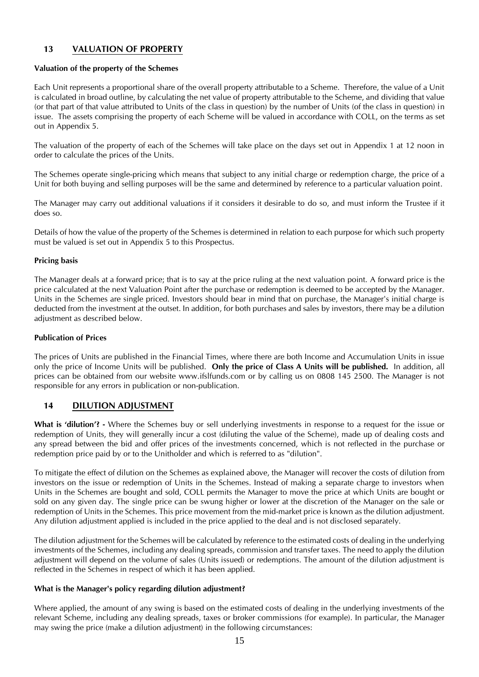### <span id="page-14-0"></span>**13 VALUATION OF PROPERTY**

#### **Valuation of the property of the Schemes**

Each Unit represents a proportional share of the overall property attributable to a Scheme. Therefore, the value of a Unit is calculated in broad outline, by calculating the net value of property attributable to the Scheme, and dividing that value (or that part of that value attributed to Units of the class in question) by the number of Units (of the class in question) in issue. The assets comprising the property of each Scheme will be valued in accordance with COLL, on the terms as set out in Appendix 5.

The valuation of the property of each of the Schemes will take place on the days set out in Appendix 1 at 12 noon in order to calculate the prices of the Units.

The Schemes operate single-pricing which means that subject to any initial charge or redemption charge, the price of a Unit for both buying and selling purposes will be the same and determined by reference to a particular valuation point.

The Manager may carry out additional valuations if it considers it desirable to do so, and must inform the Trustee if it does so.

Details of how the value of the property of the Schemes is determined in relation to each purpose for which such property must be valued is set out in Appendix 5 to this Prospectus.

#### **Pricing basis**

The Manager deals at a forward price; that is to say at the price ruling at the next valuation point. A forward price is the price calculated at the next Valuation Point after the purchase or redemption is deemed to be accepted by the Manager. Units in the Schemes are single priced. Investors should bear in mind that on purchase, the Manager's initial charge is deducted from the investment at the outset. In addition, for both purchases and sales by investors, there may be a dilution adjustment as described below.

#### **Publication of Prices**

The prices of Units are published in the Financial Times, where there are both Income and Accumulation Units in issue only the price of Income Units will be published. **Only the price of Class A Units will be published.** In addition, all prices can be obtained from our website www.ifslfunds.com or by calling us on 0808 145 2500. The Manager is not responsible for any errors in publication or non-publication.

#### <span id="page-14-1"></span>**14 DILUTION ADJUSTMENT**

**What is 'dilution'? -** Where the Schemes buy or sell underlying investments in response to a request for the issue or redemption of Units, they will generally incur a cost (diluting the value of the Scheme), made up of dealing costs and any spread between the bid and offer prices of the investments concerned, which is not reflected in the purchase or redemption price paid by or to the Unitholder and which is referred to as "dilution".

To mitigate the effect of dilution on the Schemes as explained above, the Manager will recover the costs of dilution from investors on the issue or redemption of Units in the Schemes. Instead of making a separate charge to investors when Units in the Schemes are bought and sold, COLL permits the Manager to move the price at which Units are bought or sold on any given day. The single price can be swung higher or lower at the discretion of the Manager on the sale or redemption of Units in the Schemes. This price movement from the mid-market price is known as the dilution adjustment. Any dilution adjustment applied is included in the price applied to the deal and is not disclosed separately.

The dilution adjustment for the Schemes will be calculated by reference to the estimated costs of dealing in the underlying investments of the Schemes, including any dealing spreads, commission and transfer taxes. The need to apply the dilution adjustment will depend on the volume of sales (Units issued) or redemptions. The amount of the dilution adjustment is reflected in the Schemes in respect of which it has been applied.

#### **What is the Manager's policy regarding dilution adjustment?**

Where applied, the amount of any swing is based on the estimated costs of dealing in the underlying investments of the relevant Scheme, including any dealing spreads, taxes or broker commissions (for example). In particular, the Manager may swing the price (make a dilution adjustment) in the following circumstances: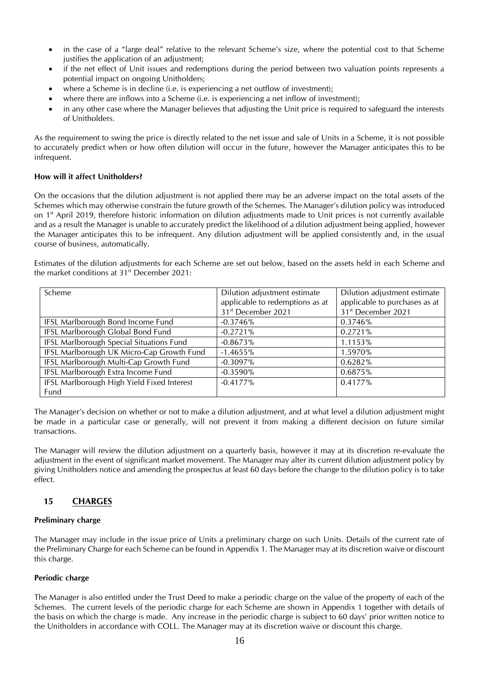- in the case of a "large deal" relative to the relevant Scheme's size, where the potential cost to that Scheme justifies the application of an adjustment;
- if the net effect of Unit issues and redemptions during the period between two valuation points represents a potential impact on ongoing Unitholders;
- where a Scheme is in decline (i.e. is experiencing a net outflow of investment);
- where there are inflows into a Scheme (i.e. is experiencing a net inflow of investment);
- in any other case where the Manager believes that adjusting the Unit price is required to safeguard the interests of Unitholders.

As the requirement to swing the price is directly related to the net issue and sale of Units in a Scheme, it is not possible to accurately predict when or how often dilution will occur in the future, however the Manager anticipates this to be infrequent.

#### **How will it affect Unitholders?**

On the occasions that the dilution adjustment is not applied there may be an adverse impact on the total assets of the Schemes which may otherwise constrain the future growth of the Schemes. The Manager's dilution policy was introduced on 1 st April 2019, therefore historic information on dilution adjustments made to Unit prices is not currently available and as a result the Manager is unable to accurately predict the likelihood of a dilution adjustment being applied, however the Manager anticipates this to be infrequent. Any dilution adjustment will be applied consistently and, in the usual course of business, automatically.

Estimates of the dilution adjustments for each Scheme are set out below, based on the assets held in each Scheme and the market conditions at  $31<sup>st</sup>$  December 2021:

| Scheme                                     | Dilution adjustment estimate    | Dilution adjustment estimate   |
|--------------------------------------------|---------------------------------|--------------------------------|
|                                            | applicable to redemptions as at | applicable to purchases as at  |
|                                            | 31 <sup>st</sup> December 2021  | 31 <sup>st</sup> December 2021 |
| IFSL Marlborough Bond Income Fund          | $-0.3746\%$                     | 0.3746%                        |
| IFSL Marlborough Global Bond Fund          | $-0.2721%$                      | 0.2721%                        |
| IFSL Marlborough Special Situations Fund   | $-0.8673%$                      | 1.1153%                        |
| IFSL Marlborough UK Micro-Cap Growth Fund  | $-1.4655\%$                     | 1.5970%                        |
| IFSL Marlborough Multi-Cap Growth Fund     | $-0.3097\%$                     | 0.6282%                        |
| IFSL Marlborough Extra Income Fund         | $-0.3590%$                      | 0.6875%                        |
| IFSL Marlborough High Yield Fixed Interest | $-0.4177\%$                     | $0.4177\%$                     |
| Fund                                       |                                 |                                |

The Manager's decision on whether or not to make a dilution adjustment, and at what level a dilution adjustment might be made in a particular case or generally, will not prevent it from making a different decision on future similar transactions.

The Manager will review the dilution adjustment on a quarterly basis, however it may at its discretion re-evaluate the adjustment in the event of significant market movement. The Manager may alter its current dilution adjustment policy by giving Unitholders notice and amending the prospectus at least 60 days before the change to the dilution policy is to take effect.

### <span id="page-15-0"></span>**15 CHARGES**

#### **Preliminary charge**

The Manager may include in the issue price of Units a preliminary charge on such Units. Details of the current rate of the Preliminary Charge for each Scheme can be found in Appendix 1. The Manager may at its discretion waive or discount this charge.

#### **Periodic charge**

The Manager is also entitled under the Trust Deed to make a periodic charge on the value of the property of each of the Schemes. The current levels of the periodic charge for each Scheme are shown in Appendix 1 together with details of the basis on which the charge is made. Any increase in the periodic charge is subject to 60 days' prior written notice to the Unitholders in accordance with COLL. The Manager may at its discretion waive or discount this charge.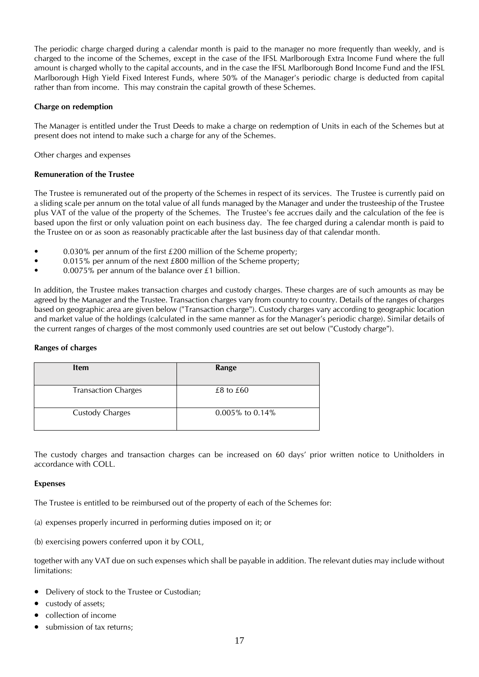The periodic charge charged during a calendar month is paid to the manager no more frequently than weekly, and is charged to the income of the Schemes, except in the case of the IFSL Marlborough Extra Income Fund where the full amount is charged wholly to the capital accounts, and in the case the IFSL Marlborough Bond Income Fund and the IFSL Marlborough High Yield Fixed Interest Funds, where 50% of the Manager's periodic charge is deducted from capital rather than from income. This may constrain the capital growth of these Schemes.

#### **Charge on redemption**

The Manager is entitled under the Trust Deeds to make a charge on redemption of Units in each of the Schemes but at present does not intend to make such a charge for any of the Schemes.

Other charges and expenses

#### **Remuneration of the Trustee**

The Trustee is remunerated out of the property of the Schemes in respect of its services. The Trustee is currently paid on a sliding scale per annum on the total value of all funds managed by the Manager and under the trusteeship of the Trustee plus VAT of the value of the property of the Schemes. The Trustee's fee accrues daily and the calculation of the fee is based upon the first or only valuation point on each business day. The fee charged during a calendar month is paid to the Trustee on or as soon as reasonably practicable after the last business day of that calendar month.

- 0.030% per annum of the first £200 million of the Scheme property;
- 0.015% per annum of the next £800 million of the Scheme property;
- 0.0075% per annum of the balance over £1 billion.

In addition, the Trustee makes transaction charges and custody charges. These charges are of such amounts as may be agreed by the Manager and the Trustee. Transaction charges vary from country to country. Details of the ranges of charges based on geographic area are given below ("Transaction charge"). Custody charges vary according to geographic location and market value of the holdings (calculated in the same manner as for the Manager's periodic charge). Similar details of the current ranges of charges of the most commonly used countries are set out below ("Custody charge").

#### **Ranges of charges**

| <b>Item</b>                | Range           |
|----------------------------|-----------------|
| <b>Transaction Charges</b> | $£8$ to $£60$   |
| <b>Custody Charges</b>     | 0.005% to 0.14% |

The custody charges and transaction charges can be increased on 60 days' prior written notice to Unitholders in accordance with COLL.

#### **Expenses**

The Trustee is entitled to be reimbursed out of the property of each of the Schemes for:

- (a) expenses properly incurred in performing duties imposed on it; or
- (b) exercising powers conferred upon it by COLL,

together with any VAT due on such expenses which shall be payable in addition. The relevant duties may include without limitations:

- Delivery of stock to the Trustee or Custodian;
- custody of assets;
- collection of income
- submission of tax returns;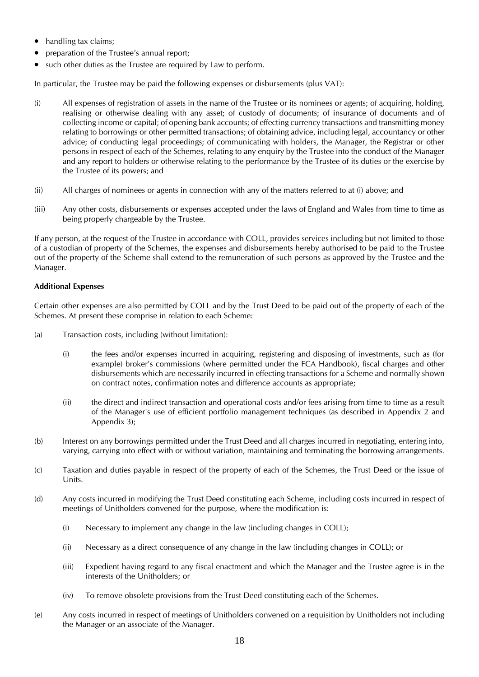- handling tax claims;
- preparation of the Trustee's annual report;
- such other duties as the Trustee are required by Law to perform.

In particular, the Trustee may be paid the following expenses or disbursements (plus VAT):

- (i) All expenses of registration of assets in the name of the Trustee or its nominees or agents; of acquiring, holding, realising or otherwise dealing with any asset; of custody of documents; of insurance of documents and of collecting income or capital; of opening bank accounts; of effecting currency transactions and transmitting money relating to borrowings or other permitted transactions; of obtaining advice, including legal, accountancy or other advice; of conducting legal proceedings; of communicating with holders, the Manager, the Registrar or other persons in respect of each of the Schemes, relating to any enquiry by the Trustee into the conduct of the Manager and any report to holders or otherwise relating to the performance by the Trustee of its duties or the exercise by the Trustee of its powers; and
- (ii) All charges of nominees or agents in connection with any of the matters referred to at (i) above; and
- (iii) Any other costs, disbursements or expenses accepted under the laws of England and Wales from time to time as being properly chargeable by the Trustee.

If any person, at the request of the Trustee in accordance with COLL, provides services including but not limited to those of a custodian of property of the Schemes, the expenses and disbursements hereby authorised to be paid to the Trustee out of the property of the Scheme shall extend to the remuneration of such persons as approved by the Trustee and the Manager.

#### **Additional Expenses**

Certain other expenses are also permitted by COLL and by the Trust Deed to be paid out of the property of each of the Schemes. At present these comprise in relation to each Scheme:

- (a) Transaction costs, including (without limitation):
	- (i) the fees and/or expenses incurred in acquiring, registering and disposing of investments, such as (for example) broker's commissions (where permitted under the FCA Handbook), fiscal charges and other disbursements which are necessarily incurred in effecting transactions for a Scheme and normally shown on contract notes, confirmation notes and difference accounts as appropriate;
	- (ii) the direct and indirect transaction and operational costs and/or fees arising from time to time as a result of the Manager's use of efficient portfolio management techniques (as described in Appendix 2 and Appendix 3);
- (b) Interest on any borrowings permitted under the Trust Deed and all charges incurred in negotiating, entering into, varying, carrying into effect with or without variation, maintaining and terminating the borrowing arrangements.
- (c) Taxation and duties payable in respect of the property of each of the Schemes, the Trust Deed or the issue of Units.
- (d) Any costs incurred in modifying the Trust Deed constituting each Scheme, including costs incurred in respect of meetings of Unitholders convened for the purpose, where the modification is:
	- (i) Necessary to implement any change in the law (including changes in COLL);
	- (ii) Necessary as a direct consequence of any change in the law (including changes in COLL); or
	- (iii) Expedient having regard to any fiscal enactment and which the Manager and the Trustee agree is in the interests of the Unitholders; or
	- (iv) To remove obsolete provisions from the Trust Deed constituting each of the Schemes.
- (e) Any costs incurred in respect of meetings of Unitholders convened on a requisition by Unitholders not including the Manager or an associate of the Manager.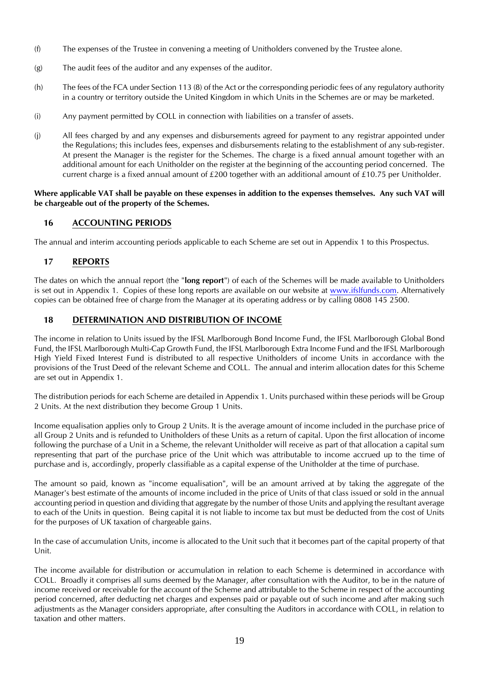- (f) The expenses of the Trustee in convening a meeting of Unitholders convened by the Trustee alone.
- (g) The audit fees of the auditor and any expenses of the auditor.
- (h) The fees of the FCA under Section 113 (8) of the Act or the corresponding periodic fees of any regulatory authority in a country or territory outside the United Kingdom in which Units in the Schemes are or may be marketed.
- (i) Any payment permitted by COLL in connection with liabilities on a transfer of assets.
- (j) All fees charged by and any expenses and disbursements agreed for payment to any registrar appointed under the Regulations; this includes fees, expenses and disbursements relating to the establishment of any sub-register. At present the Manager is the register for the Schemes. The charge is a fixed annual amount together with an additional amount for each Unitholder on the register at the beginning of the accounting period concerned. The current charge is a fixed annual amount of £200 together with an additional amount of £10.75 per Unitholder.

#### **Where applicable VAT shall be payable on these expenses in addition to the expenses themselves. Any such VAT will be chargeable out of the property of the Schemes.**

### <span id="page-18-0"></span>**16 ACCOUNTING PERIODS**

The annual and interim accounting periods applicable to each Scheme are set out in Appendix 1 to this Prospectus.

### <span id="page-18-1"></span>**17 REPORTS**

The dates on which the annual report (the "**long report**") of each of the Schemes will be made available to Unitholders is set out in Appendix 1. Copies of these long reports are available on our website at [www.ifslfunds.com.](http://www.ifslfunds.com/) Alternatively copies can be obtained free of charge from the Manager at its operating address or by calling 0808 145 2500.

### <span id="page-18-2"></span>**18 DETERMINATION AND DISTRIBUTION OF INCOME**

The income in relation to Units issued by the IFSL Marlborough Bond Income Fund, the IFSL Marlborough Global Bond Fund, the IFSL Marlborough Multi-Cap Growth Fund, the IFSL Marlborough Extra Income Fund and the IFSL Marlborough High Yield Fixed Interest Fund is distributed to all respective Unitholders of income Units in accordance with the provisions of the Trust Deed of the relevant Scheme and COLL. The annual and interim allocation dates for this Scheme are set out in Appendix 1.

The distribution periods for each Scheme are detailed in Appendix 1. Units purchased within these periods will be Group 2 Units. At the next distribution they become Group 1 Units.

Income equalisation applies only to Group 2 Units. It is the average amount of income included in the purchase price of all Group 2 Units and is refunded to Unitholders of these Units as a return of capital. Upon the first allocation of income following the purchase of a Unit in a Scheme, the relevant Unitholder will receive as part of that allocation a capital sum representing that part of the purchase price of the Unit which was attributable to income accrued up to the time of purchase and is, accordingly, properly classifiable as a capital expense of the Unitholder at the time of purchase.

The amount so paid, known as "income equalisation", will be an amount arrived at by taking the aggregate of the Manager's best estimate of the amounts of income included in the price of Units of that class issued or sold in the annual accounting period in question and dividing that aggregate by the number of those Units and applying the resultant average to each of the Units in question. Being capital it is not liable to income tax but must be deducted from the cost of Units for the purposes of UK taxation of chargeable gains.

In the case of accumulation Units, income is allocated to the Unit such that it becomes part of the capital property of that Unit.

The income available for distribution or accumulation in relation to each Scheme is determined in accordance with COLL. Broadly it comprises all sums deemed by the Manager, after consultation with the Auditor, to be in the nature of income received or receivable for the account of the Scheme and attributable to the Scheme in respect of the accounting period concerned, after deducting net charges and expenses paid or payable out of such income and after making such adjustments as the Manager considers appropriate, after consulting the Auditors in accordance with COLL, in relation to taxation and other matters.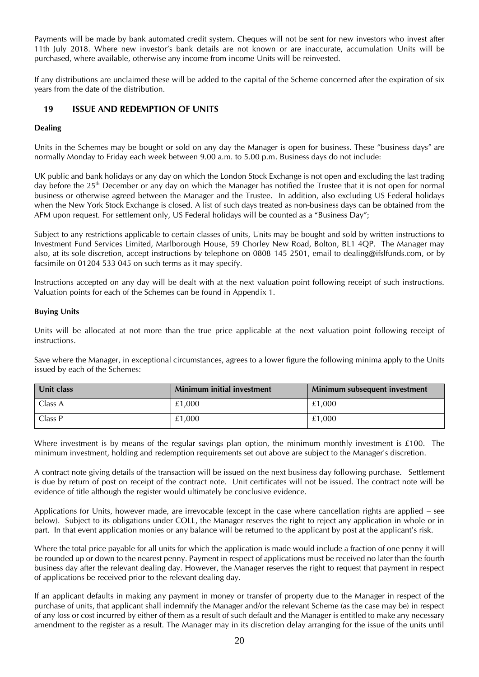Payments will be made by bank automated credit system. Cheques will not be sent for new investors who invest after 11th July 2018. Where new investor's bank details are not known or are inaccurate, accumulation Units will be purchased, where available, otherwise any income from income Units will be reinvested.

If any distributions are unclaimed these will be added to the capital of the Scheme concerned after the expiration of six years from the date of the distribution.

#### <span id="page-19-0"></span>**19 ISSUE AND REDEMPTION OF UNITS**

#### **Dealing**

Units in the Schemes may be bought or sold on any day the Manager is open for business. These "business days" are normally Monday to Friday each week between 9.00 a.m. to 5.00 p.m. Business days do not include:

UK public and bank holidays or any day on which the London Stock Exchange is not open and excluding the last trading day before the 25<sup>th</sup> December or any day on which the Manager has notified the Trustee that it is not open for normal business or otherwise agreed between the Manager and the Trustee. In addition, also excluding US Federal holidays when the New York Stock Exchange is closed. A list of such days treated as non-business days can be obtained from the AFM upon request. For settlement only, US Federal holidays will be counted as a "Business Day";

Subject to any restrictions applicable to certain classes of units, Units may be bought and sold by written instructions to Investment Fund Services Limited, Marlborough House, 59 Chorley New Road, Bolton, BL1 4QP. The Manager may also, at its sole discretion, accept instructions by telephone on 0808 145 2501, email to dealing@ifslfunds.com, or by facsimile on 01204 533 045 on such terms as it may specify.

Instructions accepted on any day will be dealt with at the next valuation point following receipt of such instructions. Valuation points for each of the Schemes can be found in Appendix 1.

#### **Buying Units**

Units will be allocated at not more than the true price applicable at the next valuation point following receipt of instructions.

Save where the Manager, in exceptional circumstances, agrees to a lower figure the following minima apply to the Units issued by each of the Schemes:

| Unit class | <b>Minimum initial investment</b> | Minimum subsequent investment |
|------------|-----------------------------------|-------------------------------|
| Class A    | £1.000                            | £1.000                        |
| Class P    | £1.000                            | £1.000                        |

Where investment is by means of the regular savings plan option, the minimum monthly investment is £100. The minimum investment, holding and redemption requirements set out above are subject to the Manager's discretion.

A contract note giving details of the transaction will be issued on the next business day following purchase. Settlement is due by return of post on receipt of the contract note. Unit certificates will not be issued. The contract note will be evidence of title although the register would ultimately be conclusive evidence.

Applications for Units, however made, are irrevocable (except in the case where cancellation rights are applied – see below). Subject to its obligations under COLL, the Manager reserves the right to reject any application in whole or in part. In that event application monies or any balance will be returned to the applicant by post at the applicant's risk.

Where the total price payable for all units for which the application is made would include a fraction of one penny it will be rounded up or down to the nearest penny. Payment in respect of applications must be received no later than the fourth business day after the relevant dealing day. However, the Manager reserves the right to request that payment in respect of applications be received prior to the relevant dealing day.

If an applicant defaults in making any payment in money or transfer of property due to the Manager in respect of the purchase of units, that applicant shall indemnify the Manager and/or the relevant Scheme (as the case may be) in respect of any loss or cost incurred by either of them as a result of such default and the Manager is entitled to make any necessary amendment to the register as a result. The Manager may in its discretion delay arranging for the issue of the units until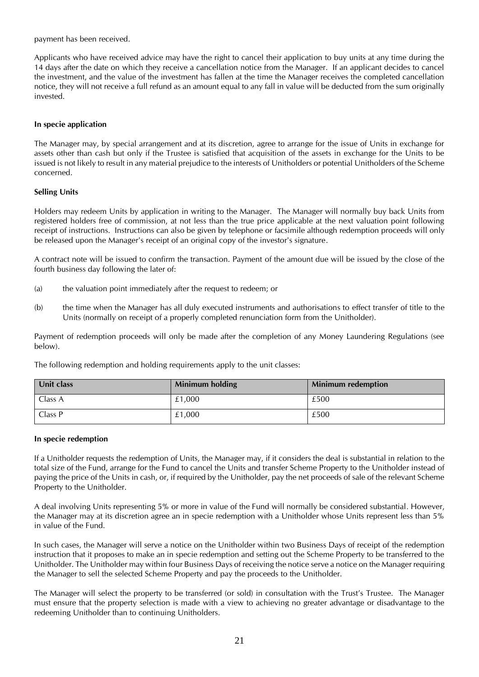payment has been received.

Applicants who have received advice may have the right to cancel their application to buy units at any time during the 14 days after the date on which they receive a cancellation notice from the Manager. If an applicant decides to cancel the investment, and the value of the investment has fallen at the time the Manager receives the completed cancellation notice, they will not receive a full refund as an amount equal to any fall in value will be deducted from the sum originally invested.

#### **In specie application**

The Manager may, by special arrangement and at its discretion, agree to arrange for the issue of Units in exchange for assets other than cash but only if the Trustee is satisfied that acquisition of the assets in exchange for the Units to be issued is not likely to result in any material prejudice to the interests of Unitholders or potential Unitholders of the Scheme concerned.

#### **Selling Units**

Holders may redeem Units by application in writing to the Manager. The Manager will normally buy back Units from registered holders free of commission, at not less than the true price applicable at the next valuation point following receipt of instructions. Instructions can also be given by telephone or facsimile although redemption proceeds will only be released upon the Manager's receipt of an original copy of the investor's signature.

A contract note will be issued to confirm the transaction. Payment of the amount due will be issued by the close of the fourth business day following the later of:

- (a) the valuation point immediately after the request to redeem; or
- (b) the time when the Manager has all duly executed instruments and authorisations to effect transfer of title to the Units (normally on receipt of a properly completed renunciation form from the Unitholder).

Payment of redemption proceeds will only be made after the completion of any Money Laundering Regulations (see below).

The following redemption and holding requirements apply to the unit classes:

| <b>Unit class</b> | <b>Minimum holding</b> | <b>Minimum redemption</b> |
|-------------------|------------------------|---------------------------|
| Class A           | £1,000                 | £500                      |
| Class P           | £1,000                 | £500                      |

#### **In specie redemption**

If a Unitholder requests the redemption of Units, the Manager may, if it considers the deal is substantial in relation to the total size of the Fund, arrange for the Fund to cancel the Units and transfer Scheme Property to the Unitholder instead of paying the price of the Units in cash, or, if required by the Unitholder, pay the net proceeds of sale of the relevant Scheme Property to the Unitholder.

A deal involving Units representing 5% or more in value of the Fund will normally be considered substantial. However, the Manager may at its discretion agree an in specie redemption with a Unitholder whose Units represent less than 5% in value of the Fund.

In such cases, the Manager will serve a notice on the Unitholder within two Business Days of receipt of the redemption instruction that it proposes to make an in specie redemption and setting out the Scheme Property to be transferred to the Unitholder. The Unitholder may within four Business Days of receiving the notice serve a notice on the Manager requiring the Manager to sell the selected Scheme Property and pay the proceeds to the Unitholder.

The Manager will select the property to be transferred (or sold) in consultation with the Trust's Trustee. The Manager must ensure that the property selection is made with a view to achieving no greater advantage or disadvantage to the redeeming Unitholder than to continuing Unitholders.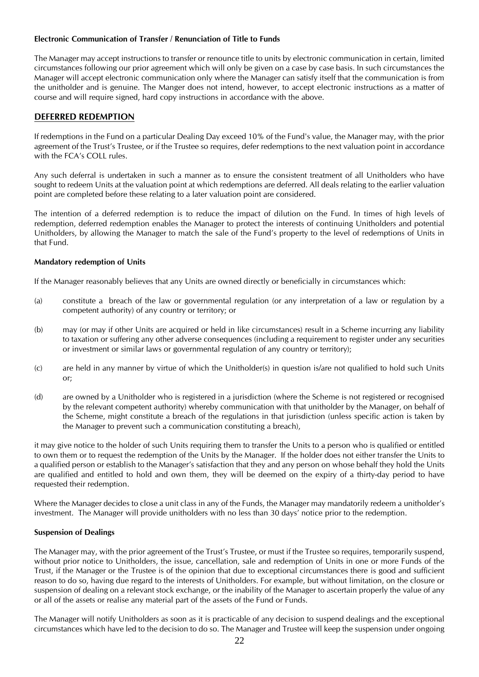#### **Electronic Communication of Transfer / Renunciation of Title to Funds**

The Manager may accept instructions to transfer or renounce title to units by electronic communication in certain, limited circumstances following our prior agreement which will only be given on a case by case basis. In such circumstances the Manager will accept electronic communication only where the Manager can satisfy itself that the communication is from the unitholder and is genuine. The Manger does not intend, however, to accept electronic instructions as a matter of course and will require signed, hard copy instructions in accordance with the above.

#### **DEFERRED REDEMPTION**

If redemptions in the Fund on a particular Dealing Day exceed 10% of the Fund's value, the Manager may, with the prior agreement of the Trust's Trustee, or if the Trustee so requires, defer redemptions to the next valuation point in accordance with the FCA's COLL rules.

Any such deferral is undertaken in such a manner as to ensure the consistent treatment of all Unitholders who have sought to redeem Units at the valuation point at which redemptions are deferred. All deals relating to the earlier valuation point are completed before these relating to a later valuation point are considered.

The intention of a deferred redemption is to reduce the impact of dilution on the Fund. In times of high levels of redemption, deferred redemption enables the Manager to protect the interests of continuing Unitholders and potential Unitholders, by allowing the Manager to match the sale of the Fund's property to the level of redemptions of Units in that Fund.

#### **Mandatory redemption of Units**

If the Manager reasonably believes that any Units are owned directly or beneficially in circumstances which:

- (a) constitute a breach of the law or governmental regulation (or any interpretation of a law or regulation by a competent authority) of any country or territory; or
- (b) may (or may if other Units are acquired or held in like circumstances) result in a Scheme incurring any liability to taxation or suffering any other adverse consequences (including a requirement to register under any securities or investment or similar laws or governmental regulation of any country or territory);
- (c) are held in any manner by virtue of which the Unitholder(s) in question is/are not qualified to hold such Units or;
- (d) are owned by a Unitholder who is registered in a jurisdiction (where the Scheme is not registered or recognised by the relevant competent authority) whereby communication with that unitholder by the Manager, on behalf of the Scheme, might constitute a breach of the regulations in that jurisdiction (unless specific action is taken by the Manager to prevent such a communication constituting a breach),

it may give notice to the holder of such Units requiring them to transfer the Units to a person who is qualified or entitled to own them or to request the redemption of the Units by the Manager. If the holder does not either transfer the Units to a qualified person or establish to the Manager's satisfaction that they and any person on whose behalf they hold the Units are qualified and entitled to hold and own them, they will be deemed on the expiry of a thirty-day period to have requested their redemption.

Where the Manager decides to close a unit class in any of the Funds, the Manager may mandatorily redeem a unitholder's investment. The Manager will provide unitholders with no less than 30 days' notice prior to the redemption.

#### **Suspension of Dealings**

The Manager may, with the prior agreement of the Trust's Trustee, or must if the Trustee so requires, temporarily suspend, without prior notice to Unitholders, the issue, cancellation, sale and redemption of Units in one or more Funds of the Trust, if the Manager or the Trustee is of the opinion that due to exceptional circumstances there is good and sufficient reason to do so, having due regard to the interests of Unitholders. For example, but without limitation, on the closure or suspension of dealing on a relevant stock exchange, or the inability of the Manager to ascertain properly the value of any or all of the assets or realise any material part of the assets of the Fund or Funds.

The Manager will notify Unitholders as soon as it is practicable of any decision to suspend dealings and the exceptional circumstances which have led to the decision to do so. The Manager and Trustee will keep the suspension under ongoing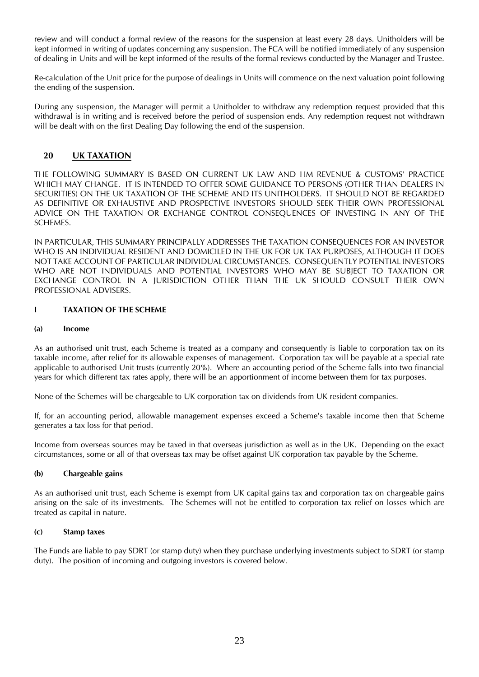review and will conduct a formal review of the reasons for the suspension at least every 28 days. Unitholders will be kept informed in writing of updates concerning any suspension. The FCA will be notified immediately of any suspension of dealing in Units and will be kept informed of the results of the formal reviews conducted by the Manager and Trustee.

Re-calculation of the Unit price for the purpose of dealings in Units will commence on the next valuation point following the ending of the suspension.

During any suspension, the Manager will permit a Unitholder to withdraw any redemption request provided that this withdrawal is in writing and is received before the period of suspension ends. Any redemption request not withdrawn will be dealt with on the first Dealing Day following the end of the suspension.

### <span id="page-22-0"></span>**20 UK TAXATION**

THE FOLLOWING SUMMARY IS BASED ON CURRENT UK LAW AND HM REVENUE & CUSTOMS' PRACTICE WHICH MAY CHANGE. IT IS INTENDED TO OFFER SOME GUIDANCE TO PERSONS (OTHER THAN DEALERS IN SECURITIES) ON THE UK TAXATION OF THE SCHEME AND ITS UNITHOLDERS. IT SHOULD NOT BE REGARDED AS DEFINITIVE OR EXHAUSTIVE AND PROSPECTIVE INVESTORS SHOULD SEEK THEIR OWN PROFESSIONAL ADVICE ON THE TAXATION OR EXCHANGE CONTROL CONSEQUENCES OF INVESTING IN ANY OF THE SCHEMES.

IN PARTICULAR, THIS SUMMARY PRINCIPALLY ADDRESSES THE TAXATION CONSEQUENCES FOR AN INVESTOR WHO IS AN INDIVIDUAL RESIDENT AND DOMICILED IN THE UK FOR UK TAX PURPOSES, ALTHOUGH IT DOES NOT TAKE ACCOUNT OF PARTICULAR INDIVIDUAL CIRCUMSTANCES. CONSEQUENTLY POTENTIAL INVESTORS WHO ARE NOT INDIVIDUALS AND POTENTIAL INVESTORS WHO MAY BE SUBJECT TO TAXATION OR EXCHANGE CONTROL IN A JURISDICTION OTHER THAN THE UK SHOULD CONSULT THEIR OWN PROFESSIONAL ADVISERS.

#### **I TAXATION OF THE SCHEME**

#### **(a) Income**

As an authorised unit trust, each Scheme is treated as a company and consequently is liable to corporation tax on its taxable income, after relief for its allowable expenses of management. Corporation tax will be payable at a special rate applicable to authorised Unit trusts (currently 20%). Where an accounting period of the Scheme falls into two financial years for which different tax rates apply, there will be an apportionment of income between them for tax purposes.

None of the Schemes will be chargeable to UK corporation tax on dividends from UK resident companies.

If, for an accounting period, allowable management expenses exceed a Scheme's taxable income then that Scheme generates a tax loss for that period.

Income from overseas sources may be taxed in that overseas jurisdiction as well as in the UK. Depending on the exact circumstances, some or all of that overseas tax may be offset against UK corporation tax payable by the Scheme.

#### **(b) Chargeable gains**

As an authorised unit trust, each Scheme is exempt from UK capital gains tax and corporation tax on chargeable gains arising on the sale of its investments. The Schemes will not be entitled to corporation tax relief on losses which are treated as capital in nature.

#### **(c) Stamp taxes**

The Funds are liable to pay SDRT (or stamp duty) when they purchase underlying investments subject to SDRT (or stamp duty). The position of incoming and outgoing investors is covered below.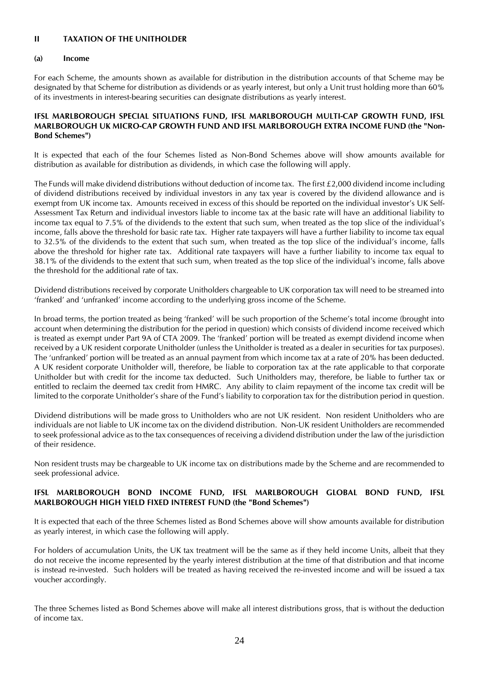#### **II TAXATION OF THE UNITHOLDER**

#### **(a) Income**

For each Scheme, the amounts shown as available for distribution in the distribution accounts of that Scheme may be designated by that Scheme for distribution as dividends or as yearly interest, but only a Unit trust holding more than 60% of its investments in interest-bearing securities can designate distributions as yearly interest.

#### **IFSL MARLBOROUGH SPECIAL SITUATIONS FUND, IFSL MARLBOROUGH MULTI-CAP GROWTH FUND, IFSL MARLBOROUGH UK MICRO-CAP GROWTH FUND AND IFSL MARLBOROUGH EXTRA INCOME FUND (the "Non-Bond Schemes")**

It is expected that each of the four Schemes listed as Non-Bond Schemes above will show amounts available for distribution as available for distribution as dividends, in which case the following will apply.

The Funds will make dividend distributions without deduction of income tax. The first £2,000 dividend income including of dividend distributions received by individual investors in any tax year is covered by the dividend allowance and is exempt from UK income tax. Amounts received in excess of this should be reported on the individual investor's UK Self-Assessment Tax Return and individual investors liable to income tax at the basic rate will have an additional liability to income tax equal to 7.5% of the dividends to the extent that such sum, when treated as the top slice of the individual's income, falls above the threshold for basic rate tax. Higher rate taxpayers will have a further liability to income tax equal to 32.5% of the dividends to the extent that such sum, when treated as the top slice of the individual's income, falls above the threshold for higher rate tax. Additional rate taxpayers will have a further liability to income tax equal to 38.1% of the dividends to the extent that such sum, when treated as the top slice of the individual's income, falls above the threshold for the additional rate of tax.

Dividend distributions received by corporate Unitholders chargeable to UK corporation tax will need to be streamed into 'franked' and 'unfranked' income according to the underlying gross income of the Scheme.

In broad terms, the portion treated as being 'franked' will be such proportion of the Scheme's total income (brought into account when determining the distribution for the period in question) which consists of dividend income received which is treated as exempt under Part 9A of CTA 2009. The 'franked' portion will be treated as exempt dividend income when received by a UK resident corporate Unitholder (unless the Unitholder is treated as a dealer in securities for tax purposes). The 'unfranked' portion will be treated as an annual payment from which income tax at a rate of 20% has been deducted. A UK resident corporate Unitholder will, therefore, be liable to corporation tax at the rate applicable to that corporate Unitholder but with credit for the income tax deducted. Such Unitholders may, therefore, be liable to further tax or entitled to reclaim the deemed tax credit from HMRC. Any ability to claim repayment of the income tax credit will be limited to the corporate Unitholder's share of the Fund's liability to corporation tax for the distribution period in question.

Dividend distributions will be made gross to Unitholders who are not UK resident. Non resident Unitholders who are individuals are not liable to UK income tax on the dividend distribution. Non-UK resident Unitholders are recommended to seek professional advice as to the tax consequences of receiving a dividend distribution under the law of the jurisdiction of their residence.

Non resident trusts may be chargeable to UK income tax on distributions made by the Scheme and are recommended to seek professional advice.

#### **IFSL MARLBOROUGH BOND INCOME FUND, IFSL MARLBOROUGH GLOBAL BOND FUND, IFSL MARLBOROUGH HIGH YIELD FIXED INTEREST FUND (the "Bond Schemes")**

It is expected that each of the three Schemes listed as Bond Schemes above will show amounts available for distribution as yearly interest, in which case the following will apply.

For holders of accumulation Units, the UK tax treatment will be the same as if they held income Units, albeit that they do not receive the income represented by the yearly interest distribution at the time of that distribution and that income is instead re-invested. Such holders will be treated as having received the re-invested income and will be issued a tax voucher accordingly.

The three Schemes listed as Bond Schemes above will make all interest distributions gross, that is without the deduction of income tax.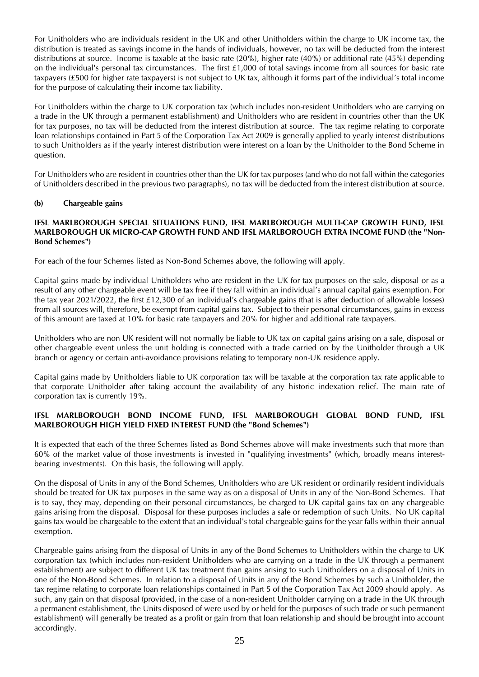For Unitholders who are individuals resident in the UK and other Unitholders within the charge to UK income tax, the distribution is treated as savings income in the hands of individuals, however, no tax will be deducted from the interest distributions at source. Income is taxable at the basic rate (20%), higher rate (40%) or additional rate (45%) depending on the individual's personal tax circumstances. The first £1,000 of total savings income from all sources for basic rate taxpayers (£500 for higher rate taxpayers) is not subject to UK tax, although it forms part of the individual's total income for the purpose of calculating their income tax liability.

For Unitholders within the charge to UK corporation tax (which includes non-resident Unitholders who are carrying on a trade in the UK through a permanent establishment) and Unitholders who are resident in countries other than the UK for tax purposes, no tax will be deducted from the interest distribution at source. The tax regime relating to corporate loan relationships contained in Part 5 of the Corporation Tax Act 2009 is generally applied to yearly interest distributions to such Unitholders as if the yearly interest distribution were interest on a loan by the Unitholder to the Bond Scheme in question.

For Unitholders who are resident in countries other than the UK for tax purposes (and who do not fall within the categories of Unitholders described in the previous two paragraphs), no tax will be deducted from the interest distribution at source.

#### **(b) Chargeable gains**

#### **IFSL MARLBOROUGH SPECIAL SITUATIONS FUND, IFSL MARLBOROUGH MULTI-CAP GROWTH FUND, IFSL MARLBOROUGH UK MICRO-CAP GROWTH FUND AND IFSL MARLBOROUGH EXTRA INCOME FUND (the "Non-Bond Schemes")**

For each of the four Schemes listed as Non-Bond Schemes above, the following will apply.

Capital gains made by individual Unitholders who are resident in the UK for tax purposes on the sale, disposal or as a result of any other chargeable event will be tax free if they fall within an individual's annual capital gains exemption. For the tax year 2021/2022, the first £12,300 of an individual's chargeable gains (that is after deduction of allowable losses) from all sources will, therefore, be exempt from capital gains tax. Subject to their personal circumstances, gains in excess of this amount are taxed at 10% for basic rate taxpayers and 20% for higher and additional rate taxpayers.

Unitholders who are non UK resident will not normally be liable to UK tax on capital gains arising on a sale, disposal or other chargeable event unless the unit holding is connected with a trade carried on by the Unitholder through a UK branch or agency or certain anti-avoidance provisions relating to temporary non-UK residence apply.

Capital gains made by Unitholders liable to UK corporation tax will be taxable at the corporation tax rate applicable to that corporate Unitholder after taking account the availability of any historic indexation relief. The main rate of corporation tax is currently 19%.

#### **IFSL MARLBOROUGH BOND INCOME FUND, IFSL MARLBOROUGH GLOBAL BOND FUND, IFSL MARLBOROUGH HIGH YIELD FIXED INTEREST FUND (the "Bond Schemes")**

It is expected that each of the three Schemes listed as Bond Schemes above will make investments such that more than 60% of the market value of those investments is invested in "qualifying investments" (which, broadly means interestbearing investments). On this basis, the following will apply.

On the disposal of Units in any of the Bond Schemes, Unitholders who are UK resident or ordinarily resident individuals should be treated for UK tax purposes in the same way as on a disposal of Units in any of the Non-Bond Schemes. That is to say, they may, depending on their personal circumstances, be charged to UK capital gains tax on any chargeable gains arising from the disposal. Disposal for these purposes includes a sale or redemption of such Units. No UK capital gains tax would be chargeable to the extent that an individual's total chargeable gains for the year falls within their annual exemption.

Chargeable gains arising from the disposal of Units in any of the Bond Schemes to Unitholders within the charge to UK corporation tax (which includes non-resident Unitholders who are carrying on a trade in the UK through a permanent establishment) are subject to different UK tax treatment than gains arising to such Unitholders on a disposal of Units in one of the Non-Bond Schemes. In relation to a disposal of Units in any of the Bond Schemes by such a Unitholder, the tax regime relating to corporate loan relationships contained in Part 5 of the Corporation Tax Act 2009 should apply. As such, any gain on that disposal (provided, in the case of a non-resident Unitholder carrying on a trade in the UK through a permanent establishment, the Units disposed of were used by or held for the purposes of such trade or such permanent establishment) will generally be treated as a profit or gain from that loan relationship and should be brought into account accordingly.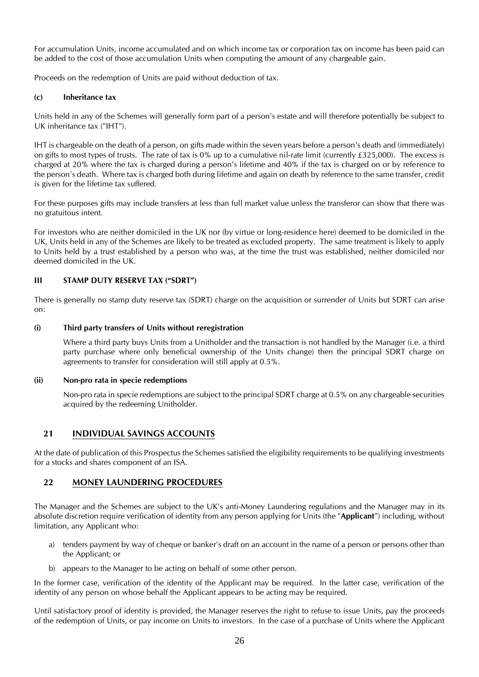For accumulation Units, income accumulated and on which income tax or corporation tax on income has been paid can be added to the cost of those accumulation Units when computing the amount of any chargeable gain.

Proceeds on the redemption of Units are paid without deduction of tax.

#### **(c) Inheritance tax**

Units held in any of the Schemes will generally form part of a person's estate and will therefore potentially be subject to UK inheritance tax ("IHT").

IHT is chargeable on the death of a person, on gifts made within the seven years before a person's death and (immediately) on gifts to most types of trusts. The rate of tax is 0% up to a cumulative nil-rate limit (currently £325,000). The excess is charged at 20% where the tax is charged during a person's lifetime and 40% if the tax is charged on or by reference to the person's death. Where tax is charged both during lifetime and again on death by reference to the same transfer, credit is given for the lifetime tax suffered.

For these purposes gifts may include transfers at less than full market value unless the transferor can show that there was no gratuitous intent.

For investors who are neither domiciled in the UK nor (by virtue or long-residence here) deemed to be domiciled in the UK, Units held in any of the Schemes are likely to be treated as excluded property. The same treatment is likely to apply to Units held by a trust established by a person who was, at the time the trust was established, neither domiciled nor deemed domiciled in the UK.

#### **III STAMP DUTY RESERVE TAX ("SDRT")**

There is generally no stamp duty reserve tax (SDRT) charge on the acquisition or surrender of Units but SDRT can arise on:

### **(i) Third party transfers of Units without reregistration**

Where a third party buys Units from a Unitholder and the transaction is not handled by the Manager (i.e. a third party purchase where only beneficial ownership of the Units change) then the principal SDRT charge on agreements to transfer for consideration will still apply at 0.5%.

#### **(ii) Non-pro rata in specie redemptions**

Non-pro rata in specie redemptions are subject to the principal SDRT charge at 0.5% on any chargeable securities acquired by the redeeming Unitholder.

### <span id="page-25-0"></span>**21 INDIVIDUAL SAVINGS ACCOUNTS**

At the date of publication of this Prospectus the Schemes satisfied the eligibility requirements to be qualifying investments for a stocks and shares component of an ISA.

### <span id="page-25-1"></span>**22 MONEY LAUNDERING PROCEDURES**

The Manager and the Schemes are subject to the UK's anti-Money Laundering regulations and the Manager may in its absolute discretion require verification of identity from any person applying for Units (the "**Applicant**") including, without limitation, any Applicant who:

- a) tenders payment by way of cheque or banker's draft on an account in the name of a person or persons other than the Applicant; or
- b) appears to the Manager to be acting on behalf of some other person.

In the former case, verification of the identity of the Applicant may be required. In the latter case, verification of the identity of any person on whose behalf the Applicant appears to be acting may be required.

Until satisfactory proof of identity is provided, the Manager reserves the right to refuse to issue Units, pay the proceeds of the redemption of Units, or pay income on Units to investors. In the case of a purchase of Units where the Applicant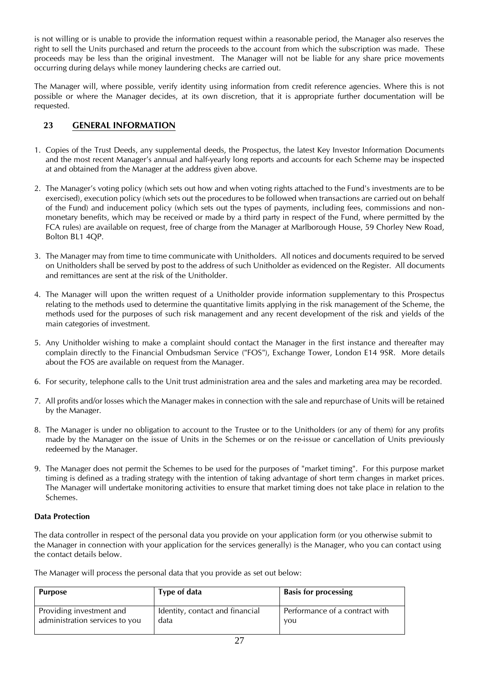is not willing or is unable to provide the information request within a reasonable period, the Manager also reserves the right to sell the Units purchased and return the proceeds to the account from which the subscription was made. These proceeds may be less than the original investment. The Manager will not be liable for any share price movements occurring during delays while money laundering checks are carried out.

The Manager will, where possible, verify identity using information from credit reference agencies. Where this is not possible or where the Manager decides, at its own discretion, that it is appropriate further documentation will be requested.

### <span id="page-26-0"></span>**23 GENERAL INFORMATION**

- 1. Copies of the Trust Deeds, any supplemental deeds, the Prospectus, the latest Key Investor Information Documents and the most recent Manager's annual and half-yearly long reports and accounts for each Scheme may be inspected at and obtained from the Manager at the address given above.
- 2. The Manager's voting policy (which sets out how and when voting rights attached to the Fund's investments are to be exercised), execution policy (which sets out the procedures to be followed when transactions are carried out on behalf of the Fund) and inducement policy (which sets out the types of payments, including fees, commissions and nonmonetary benefits, which may be received or made by a third party in respect of the Fund, where permitted by the FCA rules) are available on request, free of charge from the Manager at Marlborough House, 59 Chorley New Road, Bolton BL1 4QP.
- 3. The Manager may from time to time communicate with Unitholders. All notices and documents required to be served on Unitholders shall be served by post to the address of such Unitholder as evidenced on the Register. All documents and remittances are sent at the risk of the Unitholder.
- 4. The Manager will upon the written request of a Unitholder provide information supplementary to this Prospectus relating to the methods used to determine the quantitative limits applying in the risk management of the Scheme, the methods used for the purposes of such risk management and any recent development of the risk and yields of the main categories of investment.
- 5. Any Unitholder wishing to make a complaint should contact the Manager in the first instance and thereafter may complain directly to the Financial Ombudsman Service ("FOS"), Exchange Tower, London E14 9SR. More details about the FOS are available on request from the Manager.
- 6. For security, telephone calls to the Unit trust administration area and the sales and marketing area may be recorded.
- 7. All profits and/or losses which the Manager makes in connection with the sale and repurchase of Units will be retained by the Manager.
- 8. The Manager is under no obligation to account to the Trustee or to the Unitholders (or any of them) for any profits made by the Manager on the issue of Units in the Schemes or on the re-issue or cancellation of Units previously redeemed by the Manager.
- 9. The Manager does not permit the Schemes to be used for the purposes of "market timing". For this purpose market timing is defined as a trading strategy with the intention of taking advantage of short term changes in market prices. The Manager will undertake monitoring activities to ensure that market timing does not take place in relation to the Schemes.

#### **Data Protection**

The data controller in respect of the personal data you provide on your application form (or you otherwise submit to the Manager in connection with your application for the services generally) is the Manager, who you can contact using the contact details below.

The Manager will process the personal data that you provide as set out below:

| <b>Purpose</b>                 | Type of data                    | <b>Basis for processing</b>    |
|--------------------------------|---------------------------------|--------------------------------|
| Providing investment and       | Identity, contact and financial | Performance of a contract with |
| administration services to you | data                            | you                            |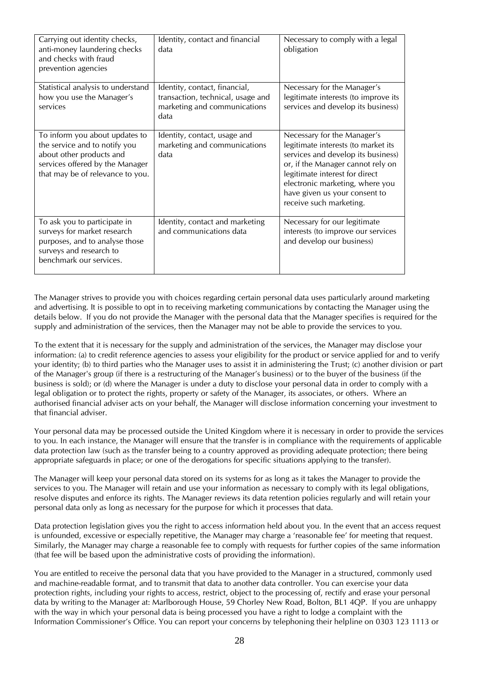| Carrying out identity checks,<br>anti-money laundering checks<br>and checks with fraud<br>prevention agencies                                                      | Identity, contact and financial<br>data                                                                    | Necessary to comply with a legal<br>obligation                                                                                                                                                                                                                                 |
|--------------------------------------------------------------------------------------------------------------------------------------------------------------------|------------------------------------------------------------------------------------------------------------|--------------------------------------------------------------------------------------------------------------------------------------------------------------------------------------------------------------------------------------------------------------------------------|
| Statistical analysis to understand<br>how you use the Manager's<br>services                                                                                        | Identity, contact, financial,<br>transaction, technical, usage and<br>marketing and communications<br>data | Necessary for the Manager's<br>legitimate interests (to improve its<br>services and develop its business)                                                                                                                                                                      |
| To inform you about updates to<br>the service and to notify you<br>about other products and<br>services offered by the Manager<br>that may be of relevance to you. | Identity, contact, usage and<br>marketing and communications<br>data                                       | Necessary for the Manager's<br>legitimate interests (to market its<br>services and develop its business)<br>or, if the Manager cannot rely on<br>legitimate interest for direct<br>electronic marketing, where you<br>have given us your consent to<br>receive such marketing. |
| To ask you to participate in<br>surveys for market research<br>purposes, and to analyse those<br>surveys and research to<br>benchmark our services.                | Identity, contact and marketing<br>and communications data                                                 | Necessary for our legitimate<br>interests (to improve our services<br>and develop our business)                                                                                                                                                                                |

The Manager strives to provide you with choices regarding certain personal data uses particularly around marketing and advertising. It is possible to opt in to receiving marketing communications by contacting the Manager using the details below. If you do not provide the Manager with the personal data that the Manager specifies is required for the supply and administration of the services, then the Manager may not be able to provide the services to you.

To the extent that it is necessary for the supply and administration of the services, the Manager may disclose your information: (a) to credit reference agencies to assess your eligibility for the product or service applied for and to verify your identity; (b) to third parties who the Manager uses to assist it in administering the Trust; (c) another division or part of the Manager's group (if there is a restructuring of the Manager's business) or to the buyer of the business (if the business is sold); or (d) where the Manager is under a duty to disclose your personal data in order to comply with a legal obligation or to protect the rights, property or safety of the Manager, its associates, or others. Where an authorised financial adviser acts on your behalf, the Manager will disclose information concerning your investment to that financial adviser.

Your personal data may be processed outside the United Kingdom where it is necessary in order to provide the services to you. In each instance, the Manager will ensure that the transfer is in compliance with the requirements of applicable data protection law (such as the transfer being to a country approved as providing adequate protection; there being appropriate safeguards in place; or one of the derogations for specific situations applying to the transfer).

The Manager will keep your personal data stored on its systems for as long as it takes the Manager to provide the services to you. The Manager will retain and use your information as necessary to comply with its legal obligations, resolve disputes and enforce its rights. The Manager reviews its data retention policies regularly and will retain your personal data only as long as necessary for the purpose for which it processes that data.

Data protection legislation gives you the right to access information held about you. In the event that an access request is unfounded, excessive or especially repetitive, the Manager may charge a 'reasonable fee' for meeting that request. Similarly, the Manager may charge a reasonable fee to comply with requests for further copies of the same information (that fee will be based upon the administrative costs of providing the information).

You are entitled to receive the personal data that you have provided to the Manager in a structured, commonly used and machine-readable format, and to transmit that data to another data controller. You can exercise your data protection rights, including your rights to access, restrict, object to the processing of, rectify and erase your personal data by writing to the Manager at: Marlborough House, 59 Chorley New Road, Bolton, BL1 4QP. If you are unhappy with the way in which your personal data is being processed you have a right to lodge a complaint with the Information Commissioner's Office. You can report your concerns by telephoning their helpline on 0303 123 1113 or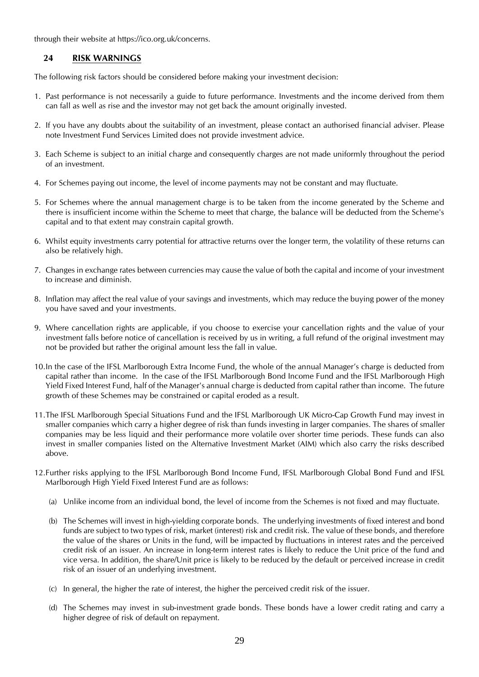through their website at https://ico.org.uk/concerns.

### <span id="page-28-0"></span>**24 RISK WARNINGS**

The following risk factors should be considered before making your investment decision:

- 1. Past performance is not necessarily a guide to future performance. Investments and the income derived from them can fall as well as rise and the investor may not get back the amount originally invested.
- 2. If you have any doubts about the suitability of an investment, please contact an authorised financial adviser. Please note Investment Fund Services Limited does not provide investment advice.
- 3. Each Scheme is subject to an initial charge and consequently charges are not made uniformly throughout the period of an investment.
- 4. For Schemes paying out income, the level of income payments may not be constant and may fluctuate.
- 5. For Schemes where the annual management charge is to be taken from the income generated by the Scheme and there is insufficient income within the Scheme to meet that charge, the balance will be deducted from the Scheme's capital and to that extent may constrain capital growth.
- 6. Whilst equity investments carry potential for attractive returns over the longer term, the volatility of these returns can also be relatively high.
- 7. Changes in exchange rates between currencies may cause the value of both the capital and income of your investment to increase and diminish.
- 8. Inflation may affect the real value of your savings and investments, which may reduce the buying power of the money you have saved and your investments.
- 9. Where cancellation rights are applicable, if you choose to exercise your cancellation rights and the value of your investment falls before notice of cancellation is received by us in writing, a full refund of the original investment may not be provided but rather the original amount less the fall in value.
- 10.In the case of the IFSL Marlborough Extra Income Fund, the whole of the annual Manager's charge is deducted from capital rather than income. In the case of the IFSL Marlborough Bond Income Fund and the IFSL Marlborough High Yield Fixed Interest Fund, half of the Manager's annual charge is deducted from capital rather than income. The future growth of these Schemes may be constrained or capital eroded as a result.
- 11.The IFSL Marlborough Special Situations Fund and the IFSL Marlborough UK Micro-Cap Growth Fund may invest in smaller companies which carry a higher degree of risk than funds investing in larger companies. The shares of smaller companies may be less liquid and their performance more volatile over shorter time periods. These funds can also invest in smaller companies listed on the Alternative Investment Market (AIM) which also carry the risks described above.
- 12.Further risks applying to the IFSL Marlborough Bond Income Fund, IFSL Marlborough Global Bond Fund and IFSL Marlborough High Yield Fixed Interest Fund are as follows:
	- (a) Unlike income from an individual bond, the level of income from the Schemes is not fixed and may fluctuate.
	- (b) The Schemes will invest in high-yielding corporate bonds. The underlying investments of fixed interest and bond funds are subject to two types of risk, market (interest) risk and credit risk. The value of these bonds, and therefore the value of the shares or Units in the fund, will be impacted by fluctuations in interest rates and the perceived credit risk of an issuer. An increase in long-term interest rates is likely to reduce the Unit price of the fund and vice versa. In addition, the share/Unit price is likely to be reduced by the default or perceived increase in credit risk of an issuer of an underlying investment.
	- (c) In general, the higher the rate of interest, the higher the perceived credit risk of the issuer.
	- (d) The Schemes may invest in sub-investment grade bonds. These bonds have a lower credit rating and carry a higher degree of risk of default on repayment.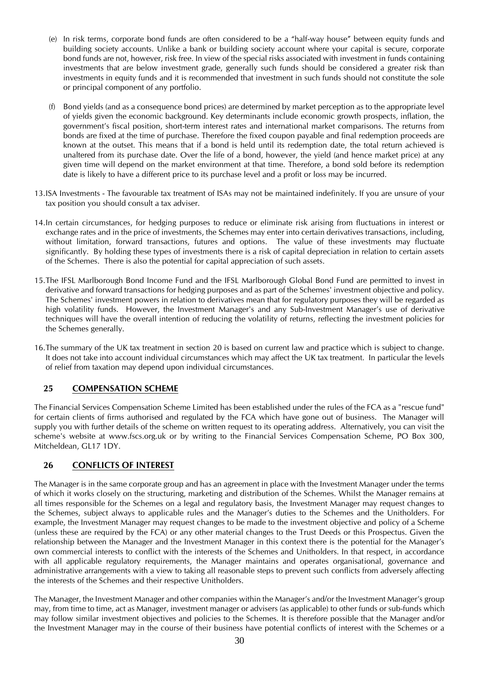- (e) In risk terms, corporate bond funds are often considered to be a "half-way house" between equity funds and building society accounts. Unlike a bank or building society account where your capital is secure, corporate bond funds are not, however, risk free. In view of the special risks associated with investment in funds containing investments that are below investment grade, generally such funds should be considered a greater risk than investments in equity funds and it is recommended that investment in such funds should not constitute the sole or principal component of any portfolio.
- (f) Bond yields (and as a consequence bond prices) are determined by market perception as to the appropriate level of yields given the economic background. Key determinants include economic growth prospects, inflation, the government's fiscal position, short-term interest rates and international market comparisons. The returns from bonds are fixed at the time of purchase. Therefore the fixed coupon payable and final redemption proceeds are known at the outset. This means that if a bond is held until its redemption date, the total return achieved is unaltered from its purchase date. Over the life of a bond, however, the yield (and hence market price) at any given time will depend on the market environment at that time. Therefore, a bond sold before its redemption date is likely to have a different price to its purchase level and a profit or loss may be incurred.
- 13.ISA Investments The favourable tax treatment of ISAs may not be maintained indefinitely. If you are unsure of your tax position you should consult a tax adviser.
- 14.In certain circumstances, for hedging purposes to reduce or eliminate risk arising from fluctuations in interest or exchange rates and in the price of investments, the Schemes may enter into certain derivatives transactions, including, without limitation, forward transactions, futures and options. The value of these investments may fluctuate significantly. By holding these types of investments there is a risk of capital depreciation in relation to certain assets of the Schemes. There is also the potential for capital appreciation of such assets.
- 15.The IFSL Marlborough Bond Income Fund and the IFSL Marlborough Global Bond Fund are permitted to invest in derivative and forward transactions for hedging purposes and as part of the Schemes' investment objective and policy. The Schemes' investment powers in relation to derivatives mean that for regulatory purposes they will be regarded as high volatility funds. However, the Investment Manager's and any Sub-Investment Manager's use of derivative techniques will have the overall intention of reducing the volatility of returns, reflecting the investment policies for the Schemes generally.
- 16.The summary of the UK tax treatment in section 20 is based on current law and practice which is subject to change. It does not take into account individual circumstances which may affect the UK tax treatment. In particular the levels of relief from taxation may depend upon individual circumstances.

### <span id="page-29-0"></span>**25 COMPENSATION SCHEME**

The Financial Services Compensation Scheme Limited has been established under the rules of the FCA as a "rescue fund" for certain clients of firms authorised and regulated by the FCA which have gone out of business. The Manager will supply you with further details of the scheme on written request to its operating address. Alternatively, you can visit the scheme's website at www.fscs.org.uk or by writing to the Financial Services Compensation Scheme, PO Box 300, Mitcheldean, GL17 1DY.

### <span id="page-29-1"></span>**26 CONFLICTS OF INTEREST**

The Manager is in the same corporate group and has an agreement in place with the Investment Manager under the terms of which it works closely on the structuring, marketing and distribution of the Schemes. Whilst the Manager remains at all times responsible for the Schemes on a legal and regulatory basis, the Investment Manager may request changes to the Schemes, subject always to applicable rules and the Manager's duties to the Schemes and the Unitholders. For example, the Investment Manager may request changes to be made to the investment objective and policy of a Scheme (unless these are required by the FCA) or any other material changes to the Trust Deeds or this Prospectus. Given the relationship between the Manager and the Investment Manager in this context there is the potential for the Manager's own commercial interests to conflict with the interests of the Schemes and Unitholders. In that respect, in accordance with all applicable regulatory requirements, the Manager maintains and operates organisational, governance and administrative arrangements with a view to taking all reasonable steps to prevent such conflicts from adversely affecting the interests of the Schemes and their respective Unitholders.

The Manager, the Investment Manager and other companies within the Manager's and/or the Investment Manager's group may, from time to time, act as Manager, investment manager or advisers (as applicable) to other funds or sub-funds which may follow similar investment objectives and policies to the Schemes. It is therefore possible that the Manager and/or the Investment Manager may in the course of their business have potential conflicts of interest with the Schemes or a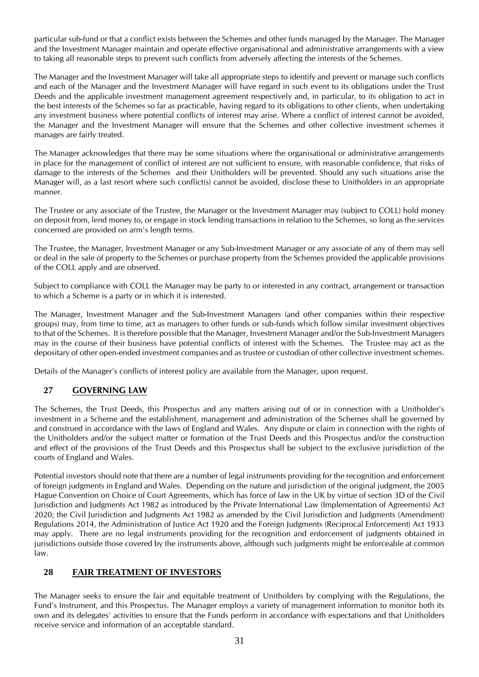particular sub-fund or that a conflict exists between the Schemes and other funds managed by the Manager. The Manager and the Investment Manager maintain and operate effective organisational and administrative arrangements with a view to taking all reasonable steps to prevent such conflicts from adversely affecting the interests of the Schemes.

The Manager and the Investment Manager will take all appropriate steps to identify and prevent or manage such conflicts and each of the Manager and the Investment Manager will have regard in such event to its obligations under the Trust Deeds and the applicable investment management agreement respectively and, in particular, to its obligation to act in the best interests of the Schemes so far as practicable, having regard to its obligations to other clients, when undertaking any investment business where potential conflicts of interest may arise. Where a conflict of interest cannot be avoided, the Manager and the Investment Manager will ensure that the Schemes and other collective investment schemes it manages are fairly treated.

The Manager acknowledges that there may be some situations where the organisational or administrative arrangements in place for the management of conflict of interest are not sufficient to ensure, with reasonable confidence, that risks of damage to the interests of the Schemes and their Unitholders will be prevented. Should any such situations arise the Manager will, as a last resort where such conflict(s) cannot be avoided, disclose these to Unitholders in an appropriate manner.

The Trustee or any associate of the Trustee, the Manager or the Investment Manager may (subject to COLL) hold money on deposit from, lend money to, or engage in stock lending transactions in relation to the Schemes, so long as the services concerned are provided on arm's length terms.

The Trustee, the Manager, Investment Manager or any Sub-Investment Manager or any associate of any of them may sell or deal in the sale of property to the Schemes or purchase property from the Schemes provided the applicable provisions of the COLL apply and are observed.

Subject to compliance with COLL the Manager may be party to or interested in any contract, arrangement or transaction to which a Scheme is a party or in which it is interested.

The Manager, Investment Manager and the Sub-Investment Managers (and other companies within their respective groups) may, from time to time, act as managers to other funds or sub-funds which follow similar investment objectives to that of the Schemes. It is therefore possible that the Manager, Investment Manager and/or the Sub-Investment Managers may in the course of their business have potential conflicts of interest with the Schemes. The Trustee may act as the depositary of other open-ended investment companies and as trustee or custodian of other collective investment schemes.

Details of the Manager's conflicts of interest policy are available from the Manager, upon request.

### <span id="page-30-0"></span>**27 GOVERNING LAW**

The Schemes, the Trust Deeds, this Prospectus and any matters arising out of or in connection with a Unitholder's investment in a Scheme and the establishment, management and administration of the Schemes shall be governed by and construed in accordance with the laws of England and Wales. Any dispute or claim in connection with the rights of the Unitholders and/or the subject matter or formation of the Trust Deeds and this Prospectus and/or the construction and effect of the provisions of the Trust Deeds and this Prospectus shall be subject to the exclusive jurisdiction of the courts of England and Wales.

Potential investors should note that there are a number of legal instruments providing for the recognition and enforcement of foreign judgments in England and Wales. Depending on the nature and jurisdiction of the original judgment, the 2005 Hague Convention on Choice of Court Agreements, which has force of law in the UK by virtue of section 3D of the Civil Jurisdiction and Judgments Act 1982 as introduced by the Private International Law (Implementation of Agreements) Act 2020; the Civil Jurisdiction and Judgments Act 1982 as amended by the Civil Jurisdiction and Judgments (Amendment) Regulations 2014, the Administration of Justice Act 1920 and the Foreign Judgments (Reciprocal Enforcement) Act 1933 may apply. There are no legal instruments providing for the recognition and enforcement of judgments obtained in jurisdictions outside those covered by the instruments above, although such judgments might be enforceable at common law.

### <span id="page-30-1"></span>**28 FAIR TREATMENT OF INVESTORS**

The Manager seeks to ensure the fair and equitable treatment of Unitholders by complying with the Regulations, the Fund's Instrument, and this Prospectus. The Manager employs a variety of management information to monitor both its own and its delegates' activities to ensure that the Funds perform in accordance with expectations and that Unitholders receive service and information of an acceptable standard.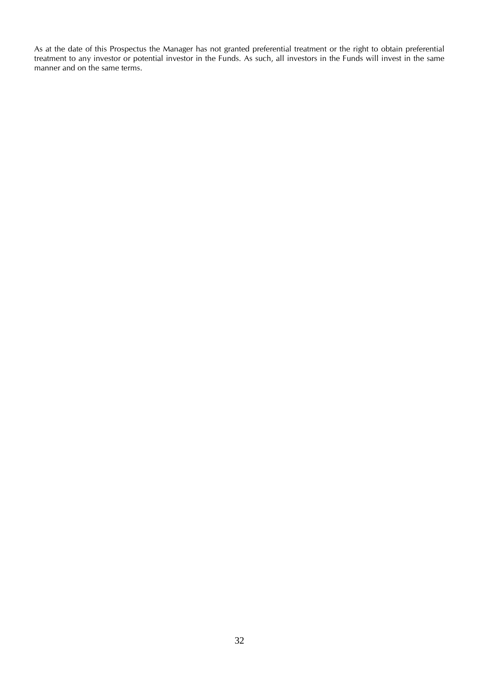As at the date of this Prospectus the Manager has not granted preferential treatment or the right to obtain preferential treatment to any investor or potential investor in the Funds. As such, all investors in the Funds will invest in the same manner and on the same terms.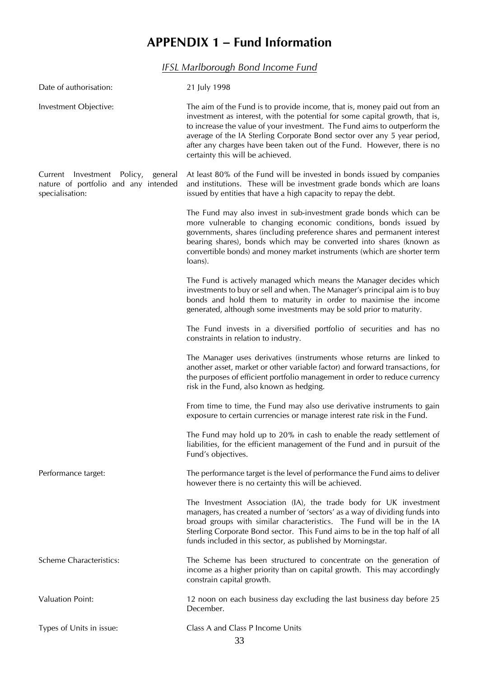# **APPENDIX 1 – Fund Information**

*IFSL Marlborough Bond Income Fund*

<span id="page-32-1"></span><span id="page-32-0"></span>

| Date of authorisation:                                                                           | 21 July 1998                                                                                                                                                                                                                                                                                                                                                                                                                      |
|--------------------------------------------------------------------------------------------------|-----------------------------------------------------------------------------------------------------------------------------------------------------------------------------------------------------------------------------------------------------------------------------------------------------------------------------------------------------------------------------------------------------------------------------------|
| Investment Objective:                                                                            | The aim of the Fund is to provide income, that is, money paid out from an<br>investment as interest, with the potential for some capital growth, that is,<br>to increase the value of your investment. The Fund aims to outperform the<br>average of the IA Sterling Corporate Bond sector over any 5 year period,<br>after any charges have been taken out of the Fund. However, there is no<br>certainty this will be achieved. |
| Current Investment Policy,<br>general<br>nature of portfolio and any intended<br>specialisation: | At least 80% of the Fund will be invested in bonds issued by companies<br>and institutions. These will be investment grade bonds which are loans<br>issued by entities that have a high capacity to repay the debt.                                                                                                                                                                                                               |
|                                                                                                  | The Fund may also invest in sub-investment grade bonds which can be<br>more vulnerable to changing economic conditions, bonds issued by<br>governments, shares (including preference shares and permanent interest<br>bearing shares), bonds which may be converted into shares (known as<br>convertible bonds) and money market instruments (which are shorter term<br>loans).                                                   |
|                                                                                                  | The Fund is actively managed which means the Manager decides which<br>investments to buy or sell and when. The Manager's principal aim is to buy<br>bonds and hold them to maturity in order to maximise the income<br>generated, although some investments may be sold prior to maturity.                                                                                                                                        |
|                                                                                                  | The Fund invests in a diversified portfolio of securities and has no<br>constraints in relation to industry.                                                                                                                                                                                                                                                                                                                      |
|                                                                                                  | The Manager uses derivatives (instruments whose returns are linked to<br>another asset, market or other variable factor) and forward transactions, for<br>the purposes of efficient portfolio management in order to reduce currency<br>risk in the Fund, also known as hedging.                                                                                                                                                  |
|                                                                                                  | From time to time, the Fund may also use derivative instruments to gain<br>exposure to certain currencies or manage interest rate risk in the Fund.                                                                                                                                                                                                                                                                               |
|                                                                                                  | The Fund may hold up to 20% in cash to enable the ready settlement of<br>liabilities, for the efficient management of the Fund and in pursuit of the<br>Fund's objectives.                                                                                                                                                                                                                                                        |
| Performance target:                                                                              | The performance target is the level of performance the Fund aims to deliver<br>however there is no certainty this will be achieved.                                                                                                                                                                                                                                                                                               |
|                                                                                                  | The Investment Association (IA), the trade body for UK investment<br>managers, has created a number of 'sectors' as a way of dividing funds into<br>broad groups with similar characteristics. The Fund will be in the IA<br>Sterling Corporate Bond sector. This Fund aims to be in the top half of all<br>funds included in this sector, as published by Morningstar.                                                           |
| <b>Scheme Characteristics:</b>                                                                   | The Scheme has been structured to concentrate on the generation of<br>income as a higher priority than on capital growth. This may accordingly<br>constrain capital growth.                                                                                                                                                                                                                                                       |
| <b>Valuation Point:</b>                                                                          | 12 noon on each business day excluding the last business day before 25<br>December.                                                                                                                                                                                                                                                                                                                                               |
| Types of Units in issue:                                                                         | Class A and Class P Income Units                                                                                                                                                                                                                                                                                                                                                                                                  |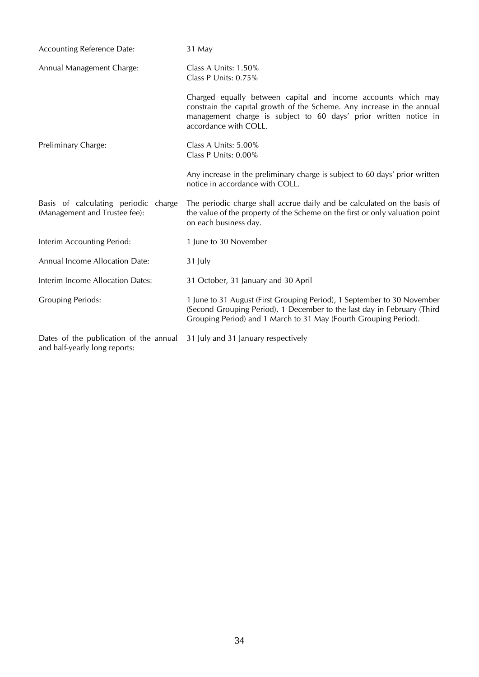| <b>Accounting Reference Date:</b>                                       | 31 May                                                                                                                                                                                                                               |
|-------------------------------------------------------------------------|--------------------------------------------------------------------------------------------------------------------------------------------------------------------------------------------------------------------------------------|
| Annual Management Charge:                                               | Class A Units: 1.50%<br>Class P Units: 0.75%                                                                                                                                                                                         |
|                                                                         | Charged equally between capital and income accounts which may<br>constrain the capital growth of the Scheme. Any increase in the annual<br>management charge is subject to 60 days' prior written notice in<br>accordance with COLL. |
| Preliminary Charge:                                                     | Class A Units: 5.00%<br>Class P Units: 0.00%                                                                                                                                                                                         |
|                                                                         | Any increase in the preliminary charge is subject to 60 days' prior written<br>notice in accordance with COLL.                                                                                                                       |
| Basis of calculating periodic charge<br>(Management and Trustee fee):   | The periodic charge shall accrue daily and be calculated on the basis of<br>the value of the property of the Scheme on the first or only valuation point<br>on each business day.                                                    |
| Interim Accounting Period:                                              | 1 June to 30 November                                                                                                                                                                                                                |
| Annual Income Allocation Date:                                          | 31 July                                                                                                                                                                                                                              |
| Interim Income Allocation Dates:                                        | 31 October, 31 January and 30 April                                                                                                                                                                                                  |
| <b>Grouping Periods:</b>                                                | 1 June to 31 August (First Grouping Period), 1 September to 30 November<br>(Second Grouping Period), 1 December to the last day in February (Third<br>Grouping Period) and 1 March to 31 May (Fourth Grouping Period).               |
| Dates of the publication of the annual<br>and half-yearly long reports: | 31 July and 31 January respectively                                                                                                                                                                                                  |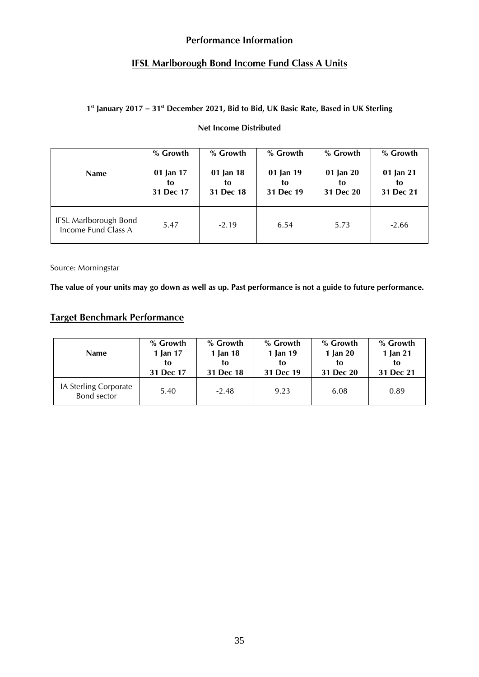### **Performance Information**

### **IFSL Marlborough Bond Income Fund Class A Units**

### **1 st January 2017 – 31 st December 2021, Bid to Bid, UK Basic Rate, Based in UK Sterling**

### **Net Income Distributed**

| <b>Name</b>                                         | % Growth  | % Growth  | % Growth  | % Growth  | % Growth  |
|-----------------------------------------------------|-----------|-----------|-----------|-----------|-----------|
|                                                     | 01 Jan 17 | 01 Jan 18 | 01 Jan 19 | 01 Jan 20 | 01 Jan 21 |
|                                                     | to        | to        | to        | to        | to        |
|                                                     | 31 Dec 17 | 31 Dec 18 | 31 Dec 19 | 31 Dec 20 | 31 Dec 21 |
| <b>IFSL Marlborough Bond</b><br>Income Fund Class A | 5.47      | $-2.19$   | 6.54      | 5.73      | $-2.66$   |

Source: Morningstar

**The value of your units may go down as well as up. Past performance is not a guide to future performance.**

## **Target Benchmark Performance**

| <b>Name</b>                          | % Growth  | % Growth  | % Growth  | % Growth   | % Growth  |
|--------------------------------------|-----------|-----------|-----------|------------|-----------|
|                                      | 1 Jan 17  | 1 Jan 18  | 1 Jan 19  | 1 Jan $20$ | 1 Jan 21  |
|                                      | to        | tο        | tο        | to         | tο        |
|                                      | 31 Dec 17 | 31 Dec 18 | 31 Dec 19 | 31 Dec 20  | 31 Dec 21 |
| IA Sterling Corporate<br>Bond sector | 5.40      | $-2.48$   | 9.23      | 6.08       | 0.89      |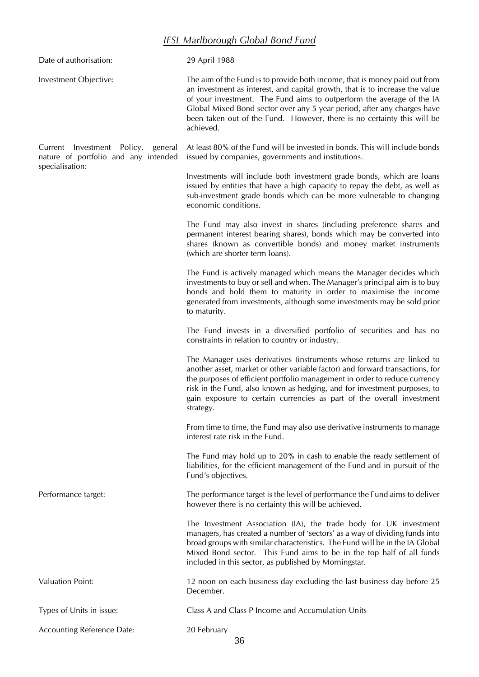## *IFSL Marlborough Global Bond Fund*

<span id="page-35-0"></span>

| Date of authorisation:                                                                           | 29 April 1988                                                                                                                                                                                                                                                                                                                                                                                          |
|--------------------------------------------------------------------------------------------------|--------------------------------------------------------------------------------------------------------------------------------------------------------------------------------------------------------------------------------------------------------------------------------------------------------------------------------------------------------------------------------------------------------|
| Investment Objective:                                                                            | The aim of the Fund is to provide both income, that is money paid out from<br>an investment as interest, and capital growth, that is to increase the value<br>of your investment. The Fund aims to outperform the average of the IA<br>Global Mixed Bond sector over any 5 year period, after any charges have<br>been taken out of the Fund. However, there is no certainty this will be<br>achieved. |
| Current Investment Policy,<br>general<br>nature of portfolio and any intended<br>specialisation: | At least 80% of the Fund will be invested in bonds. This will include bonds<br>issued by companies, governments and institutions.                                                                                                                                                                                                                                                                      |
|                                                                                                  | Investments will include both investment grade bonds, which are loans<br>issued by entities that have a high capacity to repay the debt, as well as<br>sub-investment grade bonds which can be more vulnerable to changing<br>economic conditions.                                                                                                                                                     |
|                                                                                                  | The Fund may also invest in shares (including preference shares and<br>permanent interest bearing shares), bonds which may be converted into<br>shares (known as convertible bonds) and money market instruments<br>(which are shorter term loans).                                                                                                                                                    |
|                                                                                                  | The Fund is actively managed which means the Manager decides which<br>investments to buy or sell and when. The Manager's principal aim is to buy<br>bonds and hold them to maturity in order to maximise the income<br>generated from investments, although some investments may be sold prior<br>to maturity.                                                                                         |
|                                                                                                  | The Fund invests in a diversified portfolio of securities and has no<br>constraints in relation to country or industry.                                                                                                                                                                                                                                                                                |
|                                                                                                  | The Manager uses derivatives (instruments whose returns are linked to<br>another asset, market or other variable factor) and forward transactions, for<br>the purposes of efficient portfolio management in order to reduce currency<br>risk in the Fund, also known as hedging, and for investment purposes, to<br>gain exposure to certain currencies as part of the overall investment<br>strategy. |
|                                                                                                  | From time to time, the Fund may also use derivative instruments to manage<br>interest rate risk in the Fund.                                                                                                                                                                                                                                                                                           |
|                                                                                                  | The Fund may hold up to 20% in cash to enable the ready settlement of<br>liabilities, for the efficient management of the Fund and in pursuit of the<br>Fund's objectives.                                                                                                                                                                                                                             |
| Performance target:                                                                              | The performance target is the level of performance the Fund aims to deliver<br>however there is no certainty this will be achieved.                                                                                                                                                                                                                                                                    |
|                                                                                                  | The Investment Association (IA), the trade body for UK investment<br>managers, has created a number of 'sectors' as a way of dividing funds into<br>broad groups with similar characteristics. The Fund will be in the IA Global<br>Mixed Bond sector. This Fund aims to be in the top half of all funds<br>included in this sector, as published by Morningstar.                                      |
| <b>Valuation Point:</b>                                                                          | 12 noon on each business day excluding the last business day before 25<br>December.                                                                                                                                                                                                                                                                                                                    |
| Types of Units in issue:                                                                         | Class A and Class P Income and Accumulation Units                                                                                                                                                                                                                                                                                                                                                      |
| Accounting Reference Date:                                                                       | 20 February                                                                                                                                                                                                                                                                                                                                                                                            |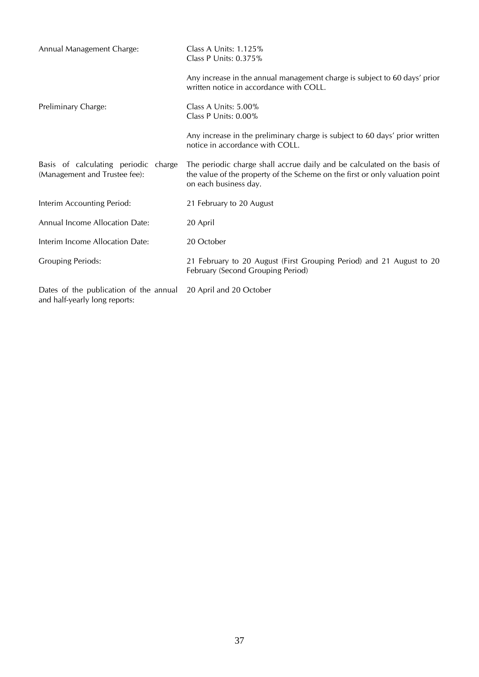| Annual Management Charge:                                               | Class A Units: $1.125%$<br>Class P Units: 0.375%                                                                                                                                  |
|-------------------------------------------------------------------------|-----------------------------------------------------------------------------------------------------------------------------------------------------------------------------------|
|                                                                         | Any increase in the annual management charge is subject to 60 days' prior<br>written notice in accordance with COLL.                                                              |
| Preliminary Charge:                                                     | Class A Units: 5.00%<br>Class P Units: 0.00%                                                                                                                                      |
|                                                                         | Any increase in the preliminary charge is subject to 60 days' prior written<br>notice in accordance with COLL.                                                                    |
| Basis of calculating periodic charge<br>(Management and Trustee fee):   | The periodic charge shall accrue daily and be calculated on the basis of<br>the value of the property of the Scheme on the first or only valuation point<br>on each business day. |
| Interim Accounting Period:                                              | 21 February to 20 August                                                                                                                                                          |
| Annual Income Allocation Date:                                          | 20 April                                                                                                                                                                          |
| Interim Income Allocation Date:                                         | 20 October                                                                                                                                                                        |
| <b>Grouping Periods:</b>                                                | 21 February to 20 August (First Grouping Period) and 21 August to 20<br>February (Second Grouping Period)                                                                         |
| Dates of the publication of the annual<br>and half-yearly long reports: | 20 April and 20 October                                                                                                                                                           |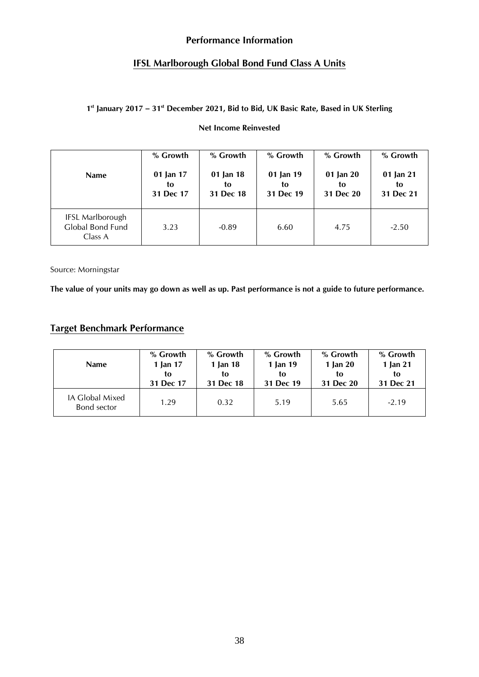## **Performance Information**

## **IFSL Marlborough Global Bond Fund Class A Units**

### **1 st January 2017 – 31 st December 2021, Bid to Bid, UK Basic Rate, Based in UK Sterling**

## **Net Income Reinvested**

| <b>Name</b>                                            | % Growth  | % Growth  | % Growth  | % Growth  | % Growth  |
|--------------------------------------------------------|-----------|-----------|-----------|-----------|-----------|
|                                                        | 01 Jan 17 | 01 Jan 18 | 01 Jan 19 | 01 Jan 20 | 01 Jan 21 |
|                                                        | to        | to        | to        | to        | to        |
|                                                        | 31 Dec 17 | 31 Dec 18 | 31 Dec 19 | 31 Dec 20 | 31 Dec 21 |
| <b>IFSL Marlborough</b><br>Global Bond Fund<br>Class A | 3.23      | $-0.89$   | 6.60      | 4.75      | $-2.50$   |

Source: Morningstar

**The value of your units may go down as well as up. Past performance is not a guide to future performance.**

# **Target Benchmark Performance**

| <b>Name</b>                    | % Growth  | % Growth  | % Growth  | % Growth  | % Growth  |
|--------------------------------|-----------|-----------|-----------|-----------|-----------|
|                                | 1 Jan 17  | 1 Jan 18  | 1 Jan 19  | 1 Jan 20  | 1 Jan 21  |
|                                | to        | to        | to        | tο        | to        |
|                                | 31 Dec 17 | 31 Dec 18 | 31 Dec 19 | 31 Dec 20 | 31 Dec 21 |
| IA Global Mixed<br>Bond sector | 1.29      | 0.32      | 5.19      | 5.65      | $-2.19$   |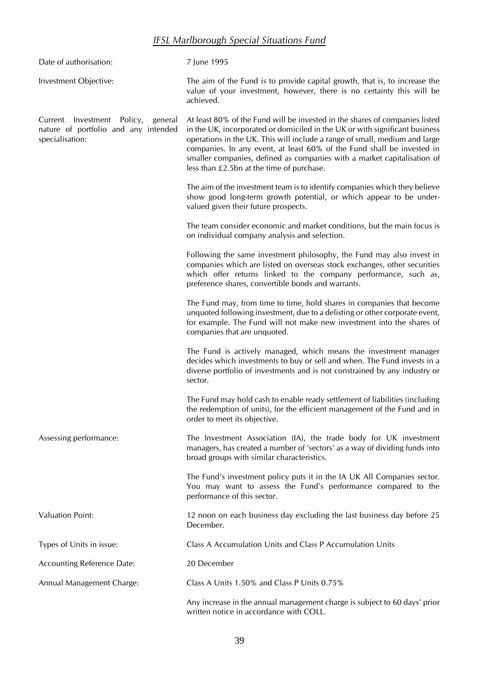# *IFSL Marlborough Special Situations Fund*

| Date of authorisation:                                                                           | 7 June 1995                                                                                                                                                                                                                                                                                                                                                                                                                                |
|--------------------------------------------------------------------------------------------------|--------------------------------------------------------------------------------------------------------------------------------------------------------------------------------------------------------------------------------------------------------------------------------------------------------------------------------------------------------------------------------------------------------------------------------------------|
| Investment Objective:                                                                            | The aim of the Fund is to provide capital growth, that is, to increase the<br>value of your investment, however, there is no certainty this will be<br>achieved.                                                                                                                                                                                                                                                                           |
| Current Investment Policy,<br>general<br>nature of portfolio and any intended<br>specialisation: | At least 80% of the Fund will be invested in the shares of companies listed<br>in the UK, incorporated or domiciled in the UK or with significant business<br>operations in the UK. This will include a range of small, medium and large<br>companies. In any event, at least 60% of the Fund shall be invested in<br>smaller companies, defined as companies with a market capitalisation of<br>less than £2.5bn at the time of purchase. |
|                                                                                                  | The aim of the investment team is to identify companies which they believe<br>show good long-term growth potential, or which appear to be under-<br>valued given their future prospects.                                                                                                                                                                                                                                                   |
|                                                                                                  | The team consider economic and market conditions, but the main focus is<br>on individual company analysis and selection.                                                                                                                                                                                                                                                                                                                   |
|                                                                                                  | Following the same investment philosophy, the Fund may also invest in<br>companies which are listed on overseas stock exchanges, other securities<br>which offer returns linked to the company performance, such as,<br>preference shares, convertible bonds and warrants.                                                                                                                                                                 |
|                                                                                                  | The Fund may, from time to time, hold shares in companies that become<br>unquoted following investment, due to a delisting or other corporate event,<br>for example. The Fund will not make new investment into the shares of<br>companies that are unquoted.                                                                                                                                                                              |
|                                                                                                  | The Fund is actively managed, which means the investment manager<br>decides which investments to buy or sell and when. The Fund invests in a<br>diverse portfolio of investments and is not constrained by any industry or<br>sector.                                                                                                                                                                                                      |
|                                                                                                  | The Fund may hold cash to enable ready settlement of liabilities (including<br>the redemption of units), for the efficient management of the Fund and in<br>order to meet its objective.                                                                                                                                                                                                                                                   |
| Assessing performance:                                                                           | The Investment Association (IA), the trade body for UK investment<br>managers, has created a number of 'sectors' as a way of dividing funds into<br>broad groups with similar characteristics.                                                                                                                                                                                                                                             |
|                                                                                                  | The Fund's investment policy puts it in the IA UK All Companies sector.<br>You may want to assess the Fund's performance compared to the<br>performance of this sector.                                                                                                                                                                                                                                                                    |
| <b>Valuation Point:</b>                                                                          | 12 noon on each business day excluding the last business day before 25<br>December.                                                                                                                                                                                                                                                                                                                                                        |
| Types of Units in issue:                                                                         | Class A Accumulation Units and Class P Accumulation Units                                                                                                                                                                                                                                                                                                                                                                                  |
| Accounting Reference Date:                                                                       | 20 December                                                                                                                                                                                                                                                                                                                                                                                                                                |
| Annual Management Charge:                                                                        | Class A Units 1.50% and Class P Units 0.75%                                                                                                                                                                                                                                                                                                                                                                                                |
|                                                                                                  | Any increase in the annual management charge is subject to 60 days' prior<br>written notice in accordance with COLL.                                                                                                                                                                                                                                                                                                                       |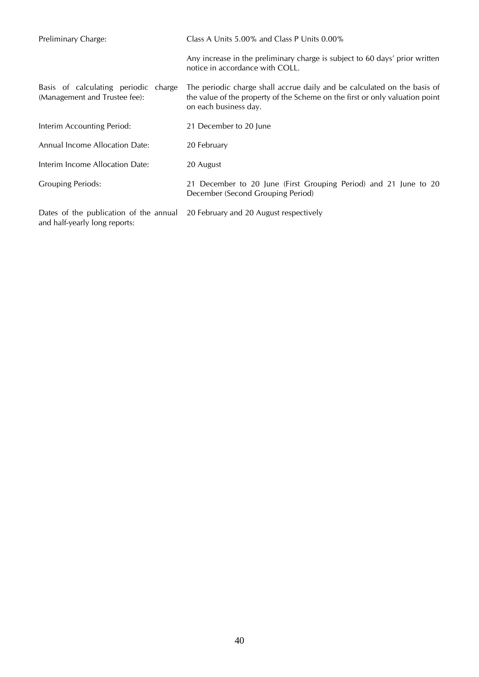| Preliminary Charge:                                                     | Class A Units $5.00\%$ and Class P Units $0.00\%$                                                                                                                                 |
|-------------------------------------------------------------------------|-----------------------------------------------------------------------------------------------------------------------------------------------------------------------------------|
|                                                                         | Any increase in the preliminary charge is subject to 60 days' prior written<br>notice in accordance with COLL.                                                                    |
| Basis of calculating periodic charge<br>(Management and Trustee fee):   | The periodic charge shall accrue daily and be calculated on the basis of<br>the value of the property of the Scheme on the first or only valuation point<br>on each business day. |
| Interim Accounting Period:                                              | 21 December to 20 June                                                                                                                                                            |
| Annual Income Allocation Date:                                          | 20 February                                                                                                                                                                       |
| Interim Income Allocation Date:                                         | 20 August                                                                                                                                                                         |
| <b>Grouping Periods:</b>                                                | 21 December to 20 June (First Grouping Period) and 21 June to 20<br>December (Second Grouping Period)                                                                             |
| Dates of the publication of the annual<br>and half-yearly long reports: | 20 February and 20 August respectively                                                                                                                                            |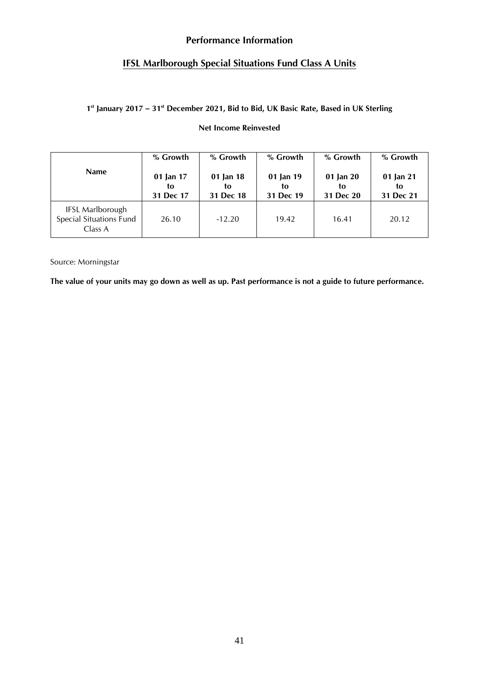## **Performance Information**

# **IFSL Marlborough Special Situations Fund Class A Units**

### **1 st January 2017 – 31 st December 2021, Bid to Bid, UK Basic Rate, Based in UK Sterling**

## **Net Income Reinvested**

|                                                                      | % Growth                     | % Growth                     | % Growth                     | % Growth                     | % Growth                     |
|----------------------------------------------------------------------|------------------------------|------------------------------|------------------------------|------------------------------|------------------------------|
| <b>Name</b>                                                          | 01 Jan 17<br>to<br>31 Dec 17 | 01 Jan 18<br>tο<br>31 Dec 18 | 01 Jan 19<br>to<br>31 Dec 19 | 01 Jan 20<br>to<br>31 Dec 20 | 01 Jan 21<br>to<br>31 Dec 21 |
| <b>IFSL Marlborough</b><br><b>Special Situations Fund</b><br>Class A | 26.10                        | $-12.20$                     | 19.42                        | 16.41                        | 20.12                        |

Source: Morningstar

**The value of your units may go down as well as up. Past performance is not a guide to future performance.**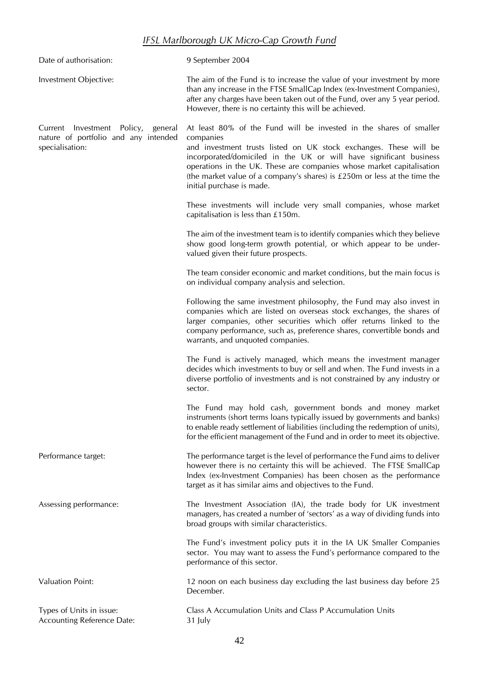# *IFSL Marlborough UK Micro-Cap Growth Fund*

| Date of authorisation:                                                                           | 9 September 2004                                                                                                                                                                                                                                                                                                                                                                                                |
|--------------------------------------------------------------------------------------------------|-----------------------------------------------------------------------------------------------------------------------------------------------------------------------------------------------------------------------------------------------------------------------------------------------------------------------------------------------------------------------------------------------------------------|
| Investment Objective:                                                                            | The aim of the Fund is to increase the value of your investment by more<br>than any increase in the FTSE SmallCap Index (ex-Investment Companies),<br>after any charges have been taken out of the Fund, over any 5 year period.<br>However, there is no certainty this will be achieved.                                                                                                                       |
| Current Investment Policy,<br>general<br>nature of portfolio and any intended<br>specialisation: | At least 80% of the Fund will be invested in the shares of smaller<br>companies<br>and investment trusts listed on UK stock exchanges. These will be<br>incorporated/domiciled in the UK or will have significant business<br>operations in the UK. These are companies whose market capitalisation<br>(the market value of a company's shares) is $£250m$ or less at the time the<br>initial purchase is made. |
|                                                                                                  | These investments will include very small companies, whose market<br>capitalisation is less than £150m.                                                                                                                                                                                                                                                                                                         |
|                                                                                                  | The aim of the investment team is to identify companies which they believe<br>show good long-term growth potential, or which appear to be under-<br>valued given their future prospects.                                                                                                                                                                                                                        |
|                                                                                                  | The team consider economic and market conditions, but the main focus is<br>on individual company analysis and selection.                                                                                                                                                                                                                                                                                        |
|                                                                                                  | Following the same investment philosophy, the Fund may also invest in<br>companies which are listed on overseas stock exchanges, the shares of<br>larger companies, other securities which offer returns linked to the<br>company performance, such as, preference shares, convertible bonds and<br>warrants, and unquoted companies.                                                                           |
|                                                                                                  | The Fund is actively managed, which means the investment manager<br>decides which investments to buy or sell and when. The Fund invests in a<br>diverse portfolio of investments and is not constrained by any industry or<br>sector.                                                                                                                                                                           |
|                                                                                                  | The Fund may hold cash, government bonds and money market<br>instruments (short terms loans typically issued by governments and banks)<br>to enable ready settlement of liabilities (including the redemption of units),<br>for the efficient management of the Fund and in order to meet its objective.                                                                                                        |
| Performance target:                                                                              | The performance target is the level of performance the Fund aims to deliver<br>however there is no certainty this will be achieved. The FTSE SmallCap<br>Index (ex-Investment Companies) has been chosen as the performance<br>target as it has similar aims and objectives to the Fund.                                                                                                                        |
| Assessing performance:                                                                           | The Investment Association (IA), the trade body for UK investment<br>managers, has created a number of 'sectors' as a way of dividing funds into<br>broad groups with similar characteristics.                                                                                                                                                                                                                  |
|                                                                                                  | The Fund's investment policy puts it in the IA UK Smaller Companies<br>sector. You may want to assess the Fund's performance compared to the<br>performance of this sector.                                                                                                                                                                                                                                     |
| <b>Valuation Point:</b>                                                                          | 12 noon on each business day excluding the last business day before 25<br>December.                                                                                                                                                                                                                                                                                                                             |
| Types of Units in issue:<br><b>Accounting Reference Date:</b>                                    | Class A Accumulation Units and Class P Accumulation Units<br>31 July                                                                                                                                                                                                                                                                                                                                            |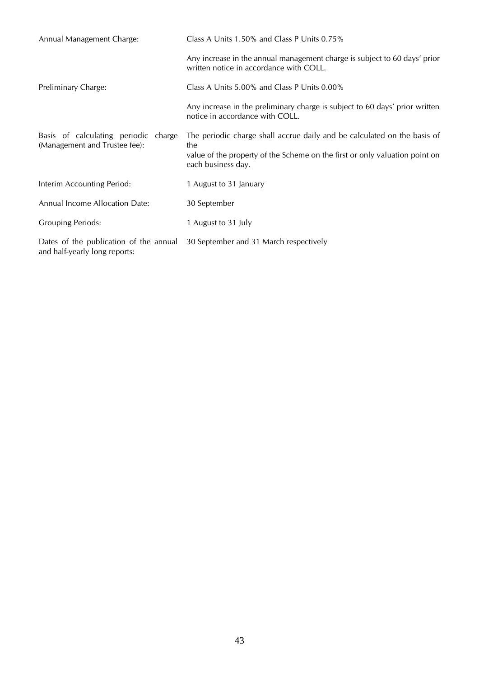| Annual Management Charge:                                               | Class A Units 1.50% and Class P Units 0.75%                                                                                                                                          |
|-------------------------------------------------------------------------|--------------------------------------------------------------------------------------------------------------------------------------------------------------------------------------|
|                                                                         | Any increase in the annual management charge is subject to 60 days' prior<br>written notice in accordance with COLL.                                                                 |
| Preliminary Charge:                                                     | Class A Units 5.00% and Class P Units 0.00%                                                                                                                                          |
|                                                                         | Any increase in the preliminary charge is subject to 60 days' prior written<br>notice in accordance with COLL.                                                                       |
| Basis of calculating periodic charge<br>(Management and Trustee fee):   | The periodic charge shall accrue daily and be calculated on the basis of<br>the<br>value of the property of the Scheme on the first or only valuation point on<br>each business day. |
| Interim Accounting Period:                                              | 1 August to 31 January                                                                                                                                                               |
| Annual Income Allocation Date:                                          | 30 September                                                                                                                                                                         |
| <b>Grouping Periods:</b>                                                | 1 August to 31 July                                                                                                                                                                  |
| Dates of the publication of the annual<br>and half-yearly long reports: | 30 September and 31 March respectively                                                                                                                                               |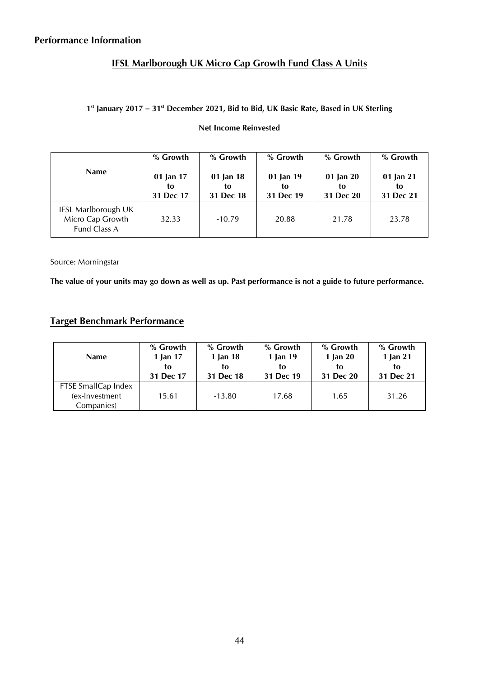# **IFSL Marlborough UK Micro Cap Growth Fund Class A Units**

## **1 st January 2017 – 31 st December 2021, Bid to Bid, UK Basic Rate, Based in UK Sterling**

## **Net Income Reinvested**

| <b>Name</b>                                             | % Growth<br>01 Jan 17<br>to | % Growth<br>01 Jan 18<br>to | % Growth<br>01 Jan 19<br>to | % Growth<br>01 Jan 20<br>to | % Growth<br>01 Jan 21<br>to |
|---------------------------------------------------------|-----------------------------|-----------------------------|-----------------------------|-----------------------------|-----------------------------|
|                                                         | 31 Dec 17                   | 31 Dec 18                   | 31 Dec 19                   | 31 Dec 20                   | 31 Dec 21                   |
| IFSL Marlborough UK<br>Micro Cap Growth<br>Fund Class A | 32.33                       | $-10.79$                    | 20.88                       | 21.78                       | 23.78                       |

Source: Morningstar

**The value of your units may go down as well as up. Past performance is not a guide to future performance.**

# **Target Benchmark Performance**

| <b>Name</b>                                          | % Growth  | % Growth  | % Growth  | % Growth   | % Growth  |
|------------------------------------------------------|-----------|-----------|-----------|------------|-----------|
|                                                      | 1 Jan 17  | 1 Jan 18  | 1 Jan 19  | 1 Jan $20$ | 1 Jan 21  |
|                                                      | to        | tο        | to        | tο         | to        |
|                                                      | 31 Dec 17 | 31 Dec 18 | 31 Dec 19 | 31 Dec 20  | 31 Dec 21 |
| FTSE SmallCap Index<br>(ex-Investment)<br>Companies) | 15.61     | $-13.80$  | 17.68     | 1.65       | 31.26     |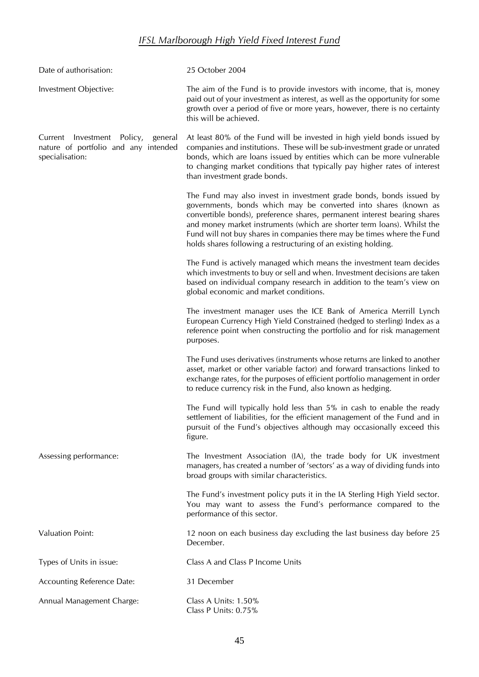# *IFSL Marlborough High Yield Fixed Interest Fund*

| Date of authorisation:                                                                           | 25 October 2004                                                                                                                                                                                                                                                                                                                                                                                                                            |
|--------------------------------------------------------------------------------------------------|--------------------------------------------------------------------------------------------------------------------------------------------------------------------------------------------------------------------------------------------------------------------------------------------------------------------------------------------------------------------------------------------------------------------------------------------|
| Investment Objective:                                                                            | The aim of the Fund is to provide investors with income, that is, money<br>paid out of your investment as interest, as well as the opportunity for some<br>growth over a period of five or more years, however, there is no certainty<br>this will be achieved.                                                                                                                                                                            |
| Current Investment Policy,<br>general<br>nature of portfolio and any intended<br>specialisation: | At least 80% of the Fund will be invested in high yield bonds issued by<br>companies and institutions. These will be sub-investment grade or unrated<br>bonds, which are loans issued by entities which can be more vulnerable<br>to changing market conditions that typically pay higher rates of interest<br>than investment grade bonds.                                                                                                |
|                                                                                                  | The Fund may also invest in investment grade bonds, bonds issued by<br>governments, bonds which may be converted into shares (known as<br>convertible bonds), preference shares, permanent interest bearing shares<br>and money market instruments (which are shorter term loans). Whilst the<br>Fund will not buy shares in companies there may be times where the Fund<br>holds shares following a restructuring of an existing holding. |
|                                                                                                  | The Fund is actively managed which means the investment team decides<br>which investments to buy or sell and when. Investment decisions are taken<br>based on individual company research in addition to the team's view on<br>global economic and market conditions.                                                                                                                                                                      |
|                                                                                                  | The investment manager uses the ICE Bank of America Merrill Lynch<br>European Currency High Yield Constrained (hedged to sterling) Index as a<br>reference point when constructing the portfolio and for risk management<br>purposes.                                                                                                                                                                                                      |
|                                                                                                  | The Fund uses derivatives (instruments whose returns are linked to another<br>asset, market or other variable factor) and forward transactions linked to<br>exchange rates, for the purposes of efficient portfolio management in order<br>to reduce currency risk in the Fund, also known as hedging.                                                                                                                                     |
|                                                                                                  | The Fund will typically hold less than 5% in cash to enable the ready<br>settlement of liabilities, for the efficient management of the Fund and in<br>pursuit of the Fund's objectives although may occasionally exceed this<br>figure.                                                                                                                                                                                                   |
| Assessing performance:                                                                           | The Investment Association (IA), the trade body for UK investment<br>managers, has created a number of 'sectors' as a way of dividing funds into<br>broad groups with similar characteristics.                                                                                                                                                                                                                                             |
|                                                                                                  | The Fund's investment policy puts it in the IA Sterling High Yield sector.<br>You may want to assess the Fund's performance compared to the<br>performance of this sector.                                                                                                                                                                                                                                                                 |
| <b>Valuation Point:</b>                                                                          | 12 noon on each business day excluding the last business day before 25<br>December.                                                                                                                                                                                                                                                                                                                                                        |
| Types of Units in issue:                                                                         | Class A and Class P Income Units                                                                                                                                                                                                                                                                                                                                                                                                           |
| Accounting Reference Date:                                                                       | 31 December                                                                                                                                                                                                                                                                                                                                                                                                                                |
| Annual Management Charge:                                                                        | Class A Units: 1.50%<br>Class P Units: 0.75%                                                                                                                                                                                                                                                                                                                                                                                               |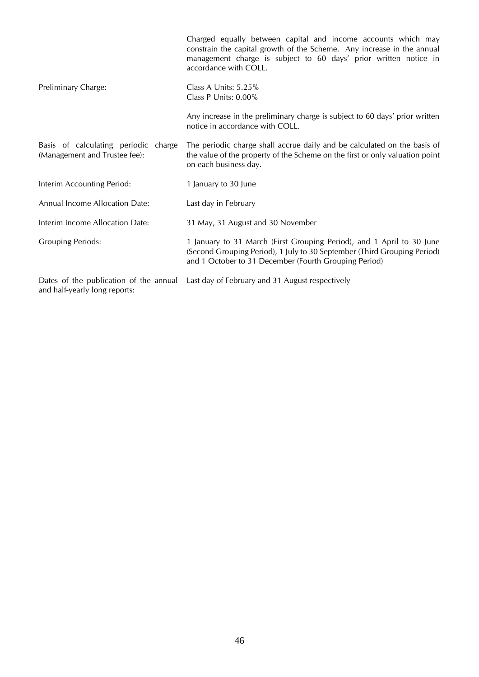|                                                                       | Charged equally between capital and income accounts which may<br>constrain the capital growth of the Scheme. Any increase in the annual<br>management charge is subject to 60 days' prior written notice in<br>accordance with COLL. |
|-----------------------------------------------------------------------|--------------------------------------------------------------------------------------------------------------------------------------------------------------------------------------------------------------------------------------|
| Preliminary Charge:                                                   | Class A Units: 5.25%<br>Class P Units: 0.00%                                                                                                                                                                                         |
|                                                                       | Any increase in the preliminary charge is subject to 60 days' prior written<br>notice in accordance with COLL.                                                                                                                       |
| Basis of calculating periodic charge<br>(Management and Trustee fee): | The periodic charge shall accrue daily and be calculated on the basis of<br>the value of the property of the Scheme on the first or only valuation point<br>on each business day.                                                    |
| Interim Accounting Period:                                            | 1 January to 30 June                                                                                                                                                                                                                 |
| Annual Income Allocation Date:                                        | Last day in February                                                                                                                                                                                                                 |
| Interim Income Allocation Date:                                       | 31 May, 31 August and 30 November                                                                                                                                                                                                    |
| <b>Grouping Periods:</b>                                              | 1 January to 31 March (First Grouping Period), and 1 April to 30 June<br>(Second Grouping Period), 1 July to 30 September (Third Grouping Period)<br>and 1 October to 31 December (Fourth Grouping Period)                           |
| Dates of the publication of the annual                                | Last day of February and 31 August respectively                                                                                                                                                                                      |

and half-yearly long reports: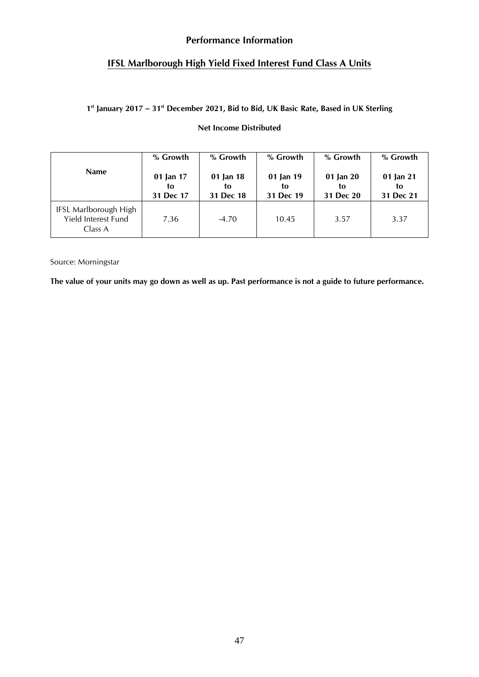## **Performance Information**

## **IFSL Marlborough High Yield Fixed Interest Fund Class A Units**

## **1 st January 2017 – 31 st December 2021, Bid to Bid, UK Basic Rate, Based in UK Sterling**

## **Net Income Distributed**

|                                                         | % Growth                     | % Growth                     | % Growth                     | % Growth                     | % Growth                     |
|---------------------------------------------------------|------------------------------|------------------------------|------------------------------|------------------------------|------------------------------|
| <b>Name</b>                                             | 01 Jan 17<br>to<br>31 Dec 17 | 01 Jan 18<br>to<br>31 Dec 18 | 01 Jan 19<br>to<br>31 Dec 19 | 01 Jan 20<br>to<br>31 Dec 20 | 01 Jan 21<br>to<br>31 Dec 21 |
| IFSL Marlborough High<br>Yield Interest Fund<br>Class A | 7.36                         | $-4.70$                      | 10.45                        | 3.57                         | 3.37                         |

Source: Morningstar

**The value of your units may go down as well as up. Past performance is not a guide to future performance.**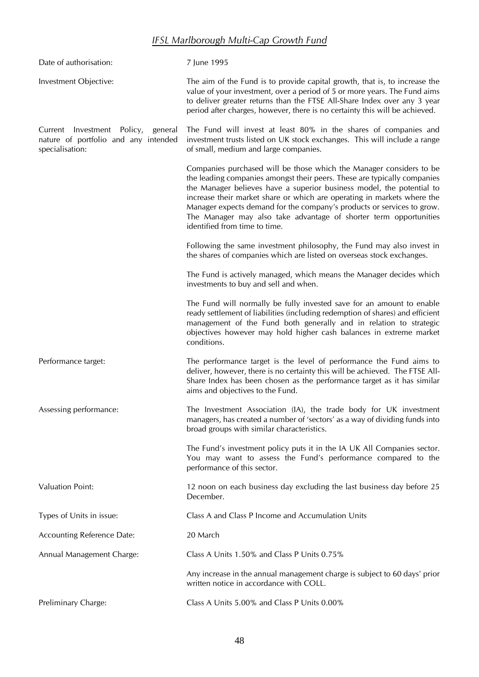# *IFSL Marlborough Multi-Cap Growth Fund*

| Date of authorisation:                                                                        | 7 June 1995                                                                                                                                                                                                                                                                                                                                                                                                                                                                         |
|-----------------------------------------------------------------------------------------------|-------------------------------------------------------------------------------------------------------------------------------------------------------------------------------------------------------------------------------------------------------------------------------------------------------------------------------------------------------------------------------------------------------------------------------------------------------------------------------------|
| Investment Objective:                                                                         | The aim of the Fund is to provide capital growth, that is, to increase the<br>value of your investment, over a period of 5 or more years. The Fund aims<br>to deliver greater returns than the FTSE All-Share Index over any 3 year<br>period after charges, however, there is no certainty this will be achieved.                                                                                                                                                                  |
| Current Investment Policy, general<br>nature of portfolio and any intended<br>specialisation: | The Fund will invest at least 80% in the shares of companies and<br>investment trusts listed on UK stock exchanges. This will include a range<br>of small, medium and large companies.                                                                                                                                                                                                                                                                                              |
|                                                                                               | Companies purchased will be those which the Manager considers to be<br>the leading companies amongst their peers. These are typically companies<br>the Manager believes have a superior business model, the potential to<br>increase their market share or which are operating in markets where the<br>Manager expects demand for the company's products or services to grow.<br>The Manager may also take advantage of shorter term opportunities<br>identified from time to time. |
|                                                                                               | Following the same investment philosophy, the Fund may also invest in<br>the shares of companies which are listed on overseas stock exchanges.                                                                                                                                                                                                                                                                                                                                      |
|                                                                                               | The Fund is actively managed, which means the Manager decides which<br>investments to buy and sell and when.                                                                                                                                                                                                                                                                                                                                                                        |
|                                                                                               | The Fund will normally be fully invested save for an amount to enable<br>ready settlement of liabilities (including redemption of shares) and efficient<br>management of the Fund both generally and in relation to strategic<br>objectives however may hold higher cash balances in extreme market<br>conditions.                                                                                                                                                                  |
| Performance target:                                                                           | The performance target is the level of performance the Fund aims to<br>deliver, however, there is no certainty this will be achieved. The FTSE All-<br>Share Index has been chosen as the performance target as it has similar<br>aims and objectives to the Fund.                                                                                                                                                                                                                  |
| Assessing performance:                                                                        | The Investment Association (IA), the trade body for UK investment<br>managers, has created a number of 'sectors' as a way of dividing funds into<br>broad groups with similar characteristics.                                                                                                                                                                                                                                                                                      |
|                                                                                               | The Fund's investment policy puts it in the IA UK All Companies sector.<br>You may want to assess the Fund's performance compared to the<br>performance of this sector.                                                                                                                                                                                                                                                                                                             |
| <b>Valuation Point:</b>                                                                       | 12 noon on each business day excluding the last business day before 25<br>December.                                                                                                                                                                                                                                                                                                                                                                                                 |
| Types of Units in issue:                                                                      | Class A and Class P Income and Accumulation Units                                                                                                                                                                                                                                                                                                                                                                                                                                   |
| <b>Accounting Reference Date:</b>                                                             | 20 March                                                                                                                                                                                                                                                                                                                                                                                                                                                                            |
| Annual Management Charge:                                                                     | Class A Units 1.50% and Class P Units 0.75%                                                                                                                                                                                                                                                                                                                                                                                                                                         |
|                                                                                               | Any increase in the annual management charge is subject to 60 days' prior<br>written notice in accordance with COLL.                                                                                                                                                                                                                                                                                                                                                                |
| Preliminary Charge:                                                                           | Class A Units 5.00% and Class P Units 0.00%                                                                                                                                                                                                                                                                                                                                                                                                                                         |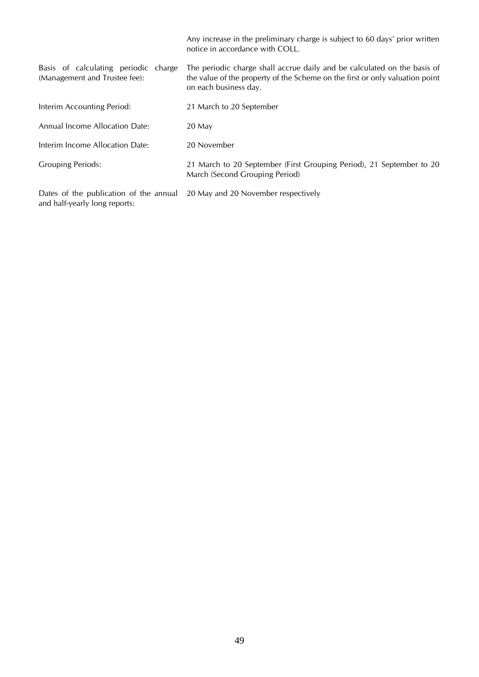|                                                                         | Any increase in the preliminary charge is subject to 60 days' prior written<br>notice in accordance with COLL.                                                                    |
|-------------------------------------------------------------------------|-----------------------------------------------------------------------------------------------------------------------------------------------------------------------------------|
| Basis of calculating periodic charge<br>(Management and Trustee fee):   | The periodic charge shall accrue daily and be calculated on the basis of<br>the value of the property of the Scheme on the first or only valuation point<br>on each business day. |
| Interim Accounting Period:                                              | 21 March to 20 September                                                                                                                                                          |
| Annual Income Allocation Date:                                          | 20 May                                                                                                                                                                            |
| Interim Income Allocation Date:                                         | 20 November                                                                                                                                                                       |
| <b>Grouping Periods:</b>                                                | 21 March to 20 September (First Grouping Period), 21 September to 20<br>March (Second Grouping Period)                                                                            |
| Dates of the publication of the annual<br>and half-yearly long reports: | 20 May and 20 November respectively                                                                                                                                               |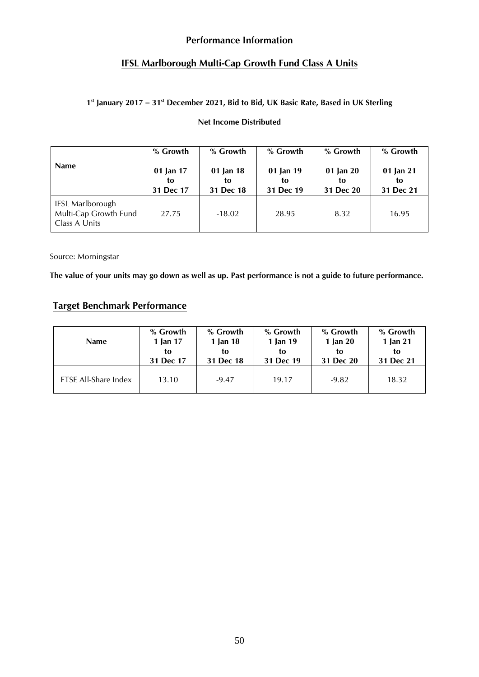## **Performance Information**

## **IFSL Marlborough Multi-Cap Growth Fund Class A Units**

### **1 st January 2017 – 31 st December 2021, Bid to Bid, UK Basic Rate, Based in UK Sterling**

### **Net Income Distributed**

| <b>Name</b>                                                       | % Growth  | % Growth  | % Growth  | % Growth  | % Growth  |
|-------------------------------------------------------------------|-----------|-----------|-----------|-----------|-----------|
|                                                                   | 01 Jan 17 | 01 Jan 18 | 01 Jan 19 | 01 Jan 20 | 01 Jan 21 |
|                                                                   | to        | to        | to        | to        | to        |
|                                                                   | 31 Dec 17 | 31 Dec 18 | 31 Dec 19 | 31 Dec 20 | 31 Dec 21 |
| <b>IFSL Marlborough</b><br>Multi-Cap Growth Fund<br>Class A Units | 27.75     | $-18.02$  | 28.95     | 8.32      | 16.95     |

Source: Morningstar

 **The value of your units may go down as well as up. Past performance is not a guide to future performance.**

## **Target Benchmark Performance**

| <b>Name</b>                 | % Growth  | % Growth  | % Growth  | % Growth   | % Growth  |
|-----------------------------|-----------|-----------|-----------|------------|-----------|
|                             | 1 Jan 17  | 1 Jan 18  | 1 Jan 19  | 1 Jan $20$ | 1 Jan 21  |
|                             | to        | to        | to        | to         | to        |
|                             | 31 Dec 17 | 31 Dec 18 | 31 Dec 19 | 31 Dec 20  | 31 Dec 21 |
| <b>FTSE All-Share Index</b> | 13.10     | $-9.47$   | 19.17     | $-9.82$    | 18.32     |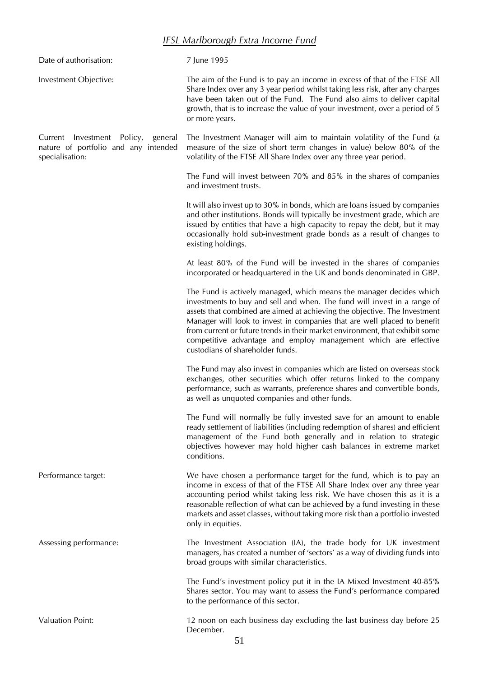# *IFSL Marlborough Extra Income Fund*

| Date of authorisation:                                                                           | 7 June 1995                                                                                                                                                                                                                                                                                                                                                                                                                                                                                     |
|--------------------------------------------------------------------------------------------------|-------------------------------------------------------------------------------------------------------------------------------------------------------------------------------------------------------------------------------------------------------------------------------------------------------------------------------------------------------------------------------------------------------------------------------------------------------------------------------------------------|
| Investment Objective:                                                                            | The aim of the Fund is to pay an income in excess of that of the FTSE All<br>Share Index over any 3 year period whilst taking less risk, after any charges<br>have been taken out of the Fund. The Fund also aims to deliver capital<br>growth, that is to increase the value of your investment, over a period of 5<br>or more years.                                                                                                                                                          |
| Current Investment Policy,<br>general<br>nature of portfolio and any intended<br>specialisation: | The Investment Manager will aim to maintain volatility of the Fund (a<br>measure of the size of short term changes in value) below 80% of the<br>volatility of the FTSE All Share Index over any three year period.                                                                                                                                                                                                                                                                             |
|                                                                                                  | The Fund will invest between 70% and 85% in the shares of companies<br>and investment trusts.                                                                                                                                                                                                                                                                                                                                                                                                   |
|                                                                                                  | It will also invest up to 30% in bonds, which are loans issued by companies<br>and other institutions. Bonds will typically be investment grade, which are<br>issued by entities that have a high capacity to repay the debt, but it may<br>occasionally hold sub-investment grade bonds as a result of changes to<br>existing holdings.                                                                                                                                                        |
|                                                                                                  | At least 80% of the Fund will be invested in the shares of companies<br>incorporated or headquartered in the UK and bonds denominated in GBP.                                                                                                                                                                                                                                                                                                                                                   |
|                                                                                                  | The Fund is actively managed, which means the manager decides which<br>investments to buy and sell and when. The fund will invest in a range of<br>assets that combined are aimed at achieving the objective. The Investment<br>Manager will look to invest in companies that are well placed to benefit<br>from current or future trends in their market environment, that exhibit some<br>competitive advantage and employ management which are effective<br>custodians of shareholder funds. |
|                                                                                                  | The Fund may also invest in companies which are listed on overseas stock<br>exchanges, other securities which offer returns linked to the company<br>performance, such as warrants, preference shares and convertible bonds,<br>as well as unquoted companies and other funds.                                                                                                                                                                                                                  |
|                                                                                                  | The Fund will normally be fully invested save for an amount to enable<br>ready settlement of liabilities (including redemption of shares) and efficient<br>management of the Fund both generally and in relation to strategic<br>objectives however may hold higher cash balances in extreme market<br>conditions.                                                                                                                                                                              |
| Performance target:                                                                              | We have chosen a performance target for the fund, which is to pay an<br>income in excess of that of the FTSE All Share Index over any three year<br>accounting period whilst taking less risk. We have chosen this as it is a<br>reasonable reflection of what can be achieved by a fund investing in these<br>markets and asset classes, without taking more risk than a portfolio invested<br>only in equities.                                                                               |
| Assessing performance:                                                                           | The Investment Association (IA), the trade body for UK investment<br>managers, has created a number of 'sectors' as a way of dividing funds into<br>broad groups with similar characteristics.                                                                                                                                                                                                                                                                                                  |
|                                                                                                  | The Fund's investment policy put it in the IA Mixed Investment 40-85%<br>Shares sector. You may want to assess the Fund's performance compared<br>to the performance of this sector.                                                                                                                                                                                                                                                                                                            |
| <b>Valuation Point:</b>                                                                          | 12 noon on each business day excluding the last business day before 25<br>December.<br>$\epsilon$ 1                                                                                                                                                                                                                                                                                                                                                                                             |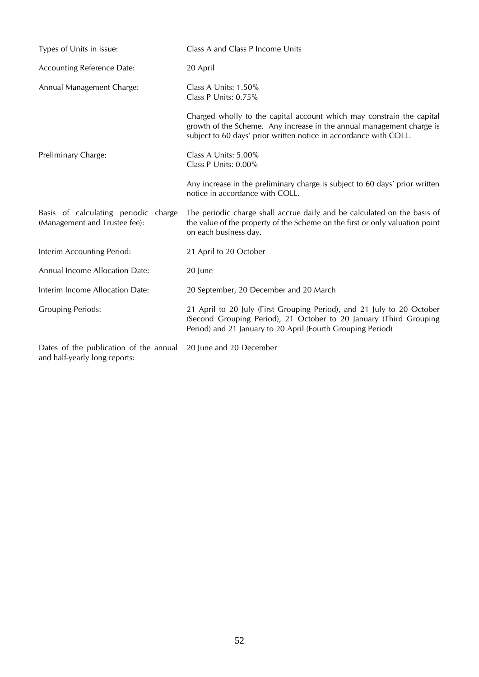| Types of Units in issue:                                                | Class A and Class P Income Units                                                                                                                                                                                    |  |  |
|-------------------------------------------------------------------------|---------------------------------------------------------------------------------------------------------------------------------------------------------------------------------------------------------------------|--|--|
| <b>Accounting Reference Date:</b>                                       | 20 April                                                                                                                                                                                                            |  |  |
| Annual Management Charge:                                               | Class A Units: $1.50\%$<br>Class P Units: 0.75%                                                                                                                                                                     |  |  |
|                                                                         | Charged wholly to the capital account which may constrain the capital<br>growth of the Scheme. Any increase in the annual management charge is<br>subject to 60 days' prior written notice in accordance with COLL. |  |  |
| Preliminary Charge:                                                     | Class A Units: 5.00%<br>Class P Units: 0.00%                                                                                                                                                                        |  |  |
|                                                                         | Any increase in the preliminary charge is subject to 60 days' prior written<br>notice in accordance with COLL.                                                                                                      |  |  |
| Basis of calculating periodic charge<br>(Management and Trustee fee):   | The periodic charge shall accrue daily and be calculated on the basis of<br>the value of the property of the Scheme on the first or only valuation point<br>on each business day.                                   |  |  |
| Interim Accounting Period:                                              | 21 April to 20 October                                                                                                                                                                                              |  |  |
| Annual Income Allocation Date:                                          | 20 June                                                                                                                                                                                                             |  |  |
| Interim Income Allocation Date:                                         | 20 September, 20 December and 20 March                                                                                                                                                                              |  |  |
| <b>Grouping Periods:</b>                                                | 21 April to 20 July (First Grouping Period), and 21 July to 20 October<br>(Second Grouping Period), 21 October to 20 January (Third Grouping<br>Period) and 21 January to 20 April (Fourth Grouping Period)         |  |  |
| Dates of the publication of the annual<br>and half-yearly long reports: | 20 June and 20 December                                                                                                                                                                                             |  |  |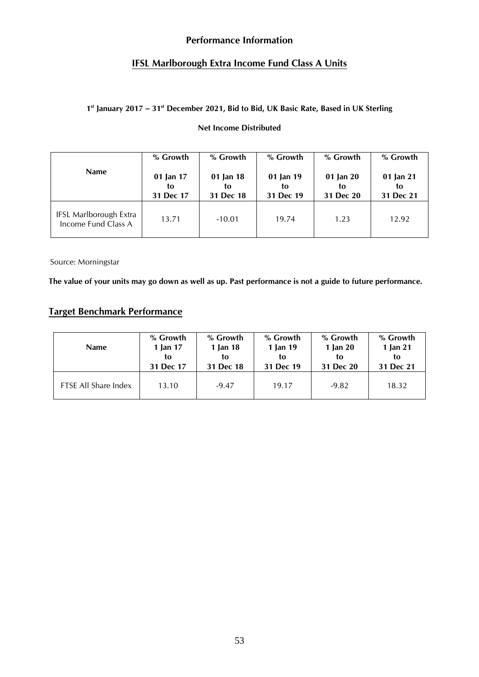## **Performance Information**

## **IFSL Marlborough Extra Income Fund Class A Units**

## **1 st January 2017 – 31 st December 2021, Bid to Bid, UK Basic Rate, Based in UK Sterling**

## **Net Income Distributed**

| <b>Name</b>                                   | % Growth                     | % Growth                     | % Growth                     | % Growth                         | % Growth                     |
|-----------------------------------------------|------------------------------|------------------------------|------------------------------|----------------------------------|------------------------------|
|                                               | 01 Jan 17<br>to<br>31 Dec 17 | 01 Jan 18<br>tο<br>31 Dec 18 | 01 Jan 19<br>to<br>31 Dec 19 | $01$ Jan $20$<br>to<br>31 Dec 20 | 01 Jan 21<br>to<br>31 Dec 21 |
| IFSL Marlborough Extra<br>Income Fund Class A | 13.71                        | $-10.01$                     | 19.74                        | 1.23                             | 12.92                        |

Source: Morningstar

**The value of your units may go down as well as up. Past performance is not a guide to future performance.**

## **Target Benchmark Performance**

| <b>Name</b>          | % Growth  | % Growth  | % Growth  | % Growth   | % Growth  |
|----------------------|-----------|-----------|-----------|------------|-----------|
|                      | 1 Jan 17  | 1 Jan 18  | 1 Jan 19  | 1 Jan $20$ | 1 Jan 21  |
|                      | to        | tο        | tο        | to         | to        |
|                      | 31 Dec 17 | 31 Dec 18 | 31 Dec 19 | 31 Dec 20  | 31 Dec 21 |
| FTSE All Share Index | 13.10     | $-9.47$   | 19.17     | $-9.82$    | 18.32     |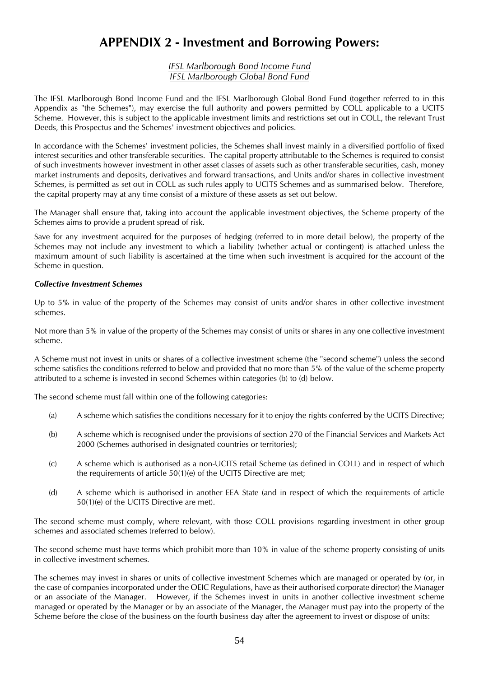# **APPENDIX 2 - Investment and Borrowing Powers:**

#### *IFSL Marlborough Bond Income Fund IFSL Marlborough Global Bond Fund*

The IFSL Marlborough Bond Income Fund and the IFSL Marlborough Global Bond Fund (together referred to in this Appendix as "the Schemes"), may exercise the full authority and powers permitted by COLL applicable to a UCITS Scheme. However, this is subject to the applicable investment limits and restrictions set out in COLL, the relevant Trust Deeds, this Prospectus and the Schemes' investment objectives and policies.

In accordance with the Schemes' investment policies, the Schemes shall invest mainly in a diversified portfolio of fixed interest securities and other transferable securities. The capital property attributable to the Schemes is required to consist of such investments however investment in other asset classes of assets such as other transferable securities, cash, money market instruments and deposits, derivatives and forward transactions, and Units and/or shares in collective investment Schemes, is permitted as set out in COLL as such rules apply to UCITS Schemes and as summarised below. Therefore, the capital property may at any time consist of a mixture of these assets as set out below.

The Manager shall ensure that, taking into account the applicable investment objectives, the Scheme property of the Schemes aims to provide a prudent spread of risk.

Save for any investment acquired for the purposes of hedging (referred to in more detail below), the property of the Schemes may not include any investment to which a liability (whether actual or contingent) is attached unless the maximum amount of such liability is ascertained at the time when such investment is acquired for the account of the Scheme in question.

#### *Collective Investment Schemes*

Up to 5% in value of the property of the Schemes may consist of units and/or shares in other collective investment schemes.

Not more than 5% in value of the property of the Schemes may consist of units or shares in any one collective investment scheme.

A Scheme must not invest in units or shares of a collective investment scheme (the "second scheme") unless the second scheme satisfies the conditions referred to below and provided that no more than 5% of the value of the scheme property attributed to a scheme is invested in second Schemes within categories (b) to (d) below.

The second scheme must fall within one of the following categories:

- (a) A scheme which satisfies the conditions necessary for it to enjoy the rights conferred by the UCITS Directive;
- (b) A scheme which is recognised under the provisions of section 270 of the Financial Services and Markets Act 2000 (Schemes authorised in designated countries or territories);
- (c) A scheme which is authorised as a non-UCITS retail Scheme (as defined in COLL) and in respect of which the requirements of article 50(1)(e) of the UCITS Directive are met;
- (d) A scheme which is authorised in another EEA State (and in respect of which the requirements of article 50(1)(e) of the UCITS Directive are met).

The second scheme must comply, where relevant, with those COLL provisions regarding investment in other group schemes and associated schemes (referred to below).

The second scheme must have terms which prohibit more than 10% in value of the scheme property consisting of units in collective investment schemes.

The schemes may invest in shares or units of collective investment Schemes which are managed or operated by (or, in the case of companies incorporated under the OEIC Regulations, have as their authorised corporate director) the Manager or an associate of the Manager. However, if the Schemes invest in units in another collective investment scheme managed or operated by the Manager or by an associate of the Manager, the Manager must pay into the property of the Scheme before the close of the business on the fourth business day after the agreement to invest or dispose of units: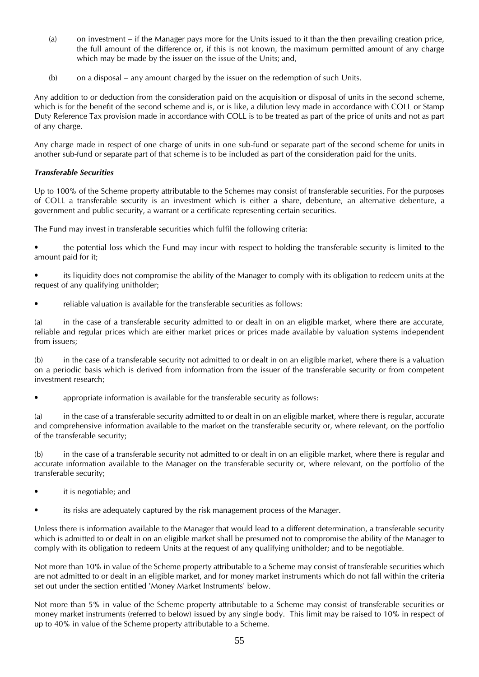- (a) on investment if the Manager pays more for the Units issued to it than the then prevailing creation price, the full amount of the difference or, if this is not known, the maximum permitted amount of any charge which may be made by the issuer on the issue of the Units; and,
- (b) on a disposal any amount charged by the issuer on the redemption of such Units.

Any addition to or deduction from the consideration paid on the acquisition or disposal of units in the second scheme, which is for the benefit of the second scheme and is, or is like, a dilution levy made in accordance with COLL or Stamp Duty Reference Tax provision made in accordance with COLL is to be treated as part of the price of units and not as part of any charge.

Any charge made in respect of one charge of units in one sub-fund or separate part of the second scheme for units in another sub-fund or separate part of that scheme is to be included as part of the consideration paid for the units.

#### *Transferable Securities*

Up to 100% of the Scheme property attributable to the Schemes may consist of transferable securities. For the purposes of COLL a transferable security is an investment which is either a share, debenture, an alternative debenture, a government and public security, a warrant or a certificate representing certain securities.

The Fund may invest in transferable securities which fulfil the following criteria:

• the potential loss which the Fund may incur with respect to holding the transferable security is limited to the amount paid for it;

• its liquidity does not compromise the ability of the Manager to comply with its obligation to redeem units at the request of any qualifying unitholder;

• reliable valuation is available for the transferable securities as follows:

(a) in the case of a transferable security admitted to or dealt in on an eligible market, where there are accurate, reliable and regular prices which are either market prices or prices made available by valuation systems independent from issuers;

(b) in the case of a transferable security not admitted to or dealt in on an eligible market, where there is a valuation on a periodic basis which is derived from information from the issuer of the transferable security or from competent investment research;

• appropriate information is available for the transferable security as follows:

(a) in the case of a transferable security admitted to or dealt in on an eligible market, where there is regular, accurate and comprehensive information available to the market on the transferable security or, where relevant, on the portfolio of the transferable security;

(b) in the case of a transferable security not admitted to or dealt in on an eligible market, where there is regular and accurate information available to the Manager on the transferable security or, where relevant, on the portfolio of the transferable security;

- it is negotiable; and
- its risks are adequately captured by the risk management process of the Manager.

Unless there is information available to the Manager that would lead to a different determination, a transferable security which is admitted to or dealt in on an eligible market shall be presumed not to compromise the ability of the Manager to comply with its obligation to redeem Units at the request of any qualifying unitholder; and to be negotiable.

Not more than 10% in value of the Scheme property attributable to a Scheme may consist of transferable securities which are not admitted to or dealt in an eligible market, and for money market instruments which do not fall within the criteria set out under the section entitled 'Money Market Instruments' below.

Not more than 5% in value of the Scheme property attributable to a Scheme may consist of transferable securities or money market instruments (referred to below) issued by any single body. This limit may be raised to 10% in respect of up to 40% in value of the Scheme property attributable to a Scheme.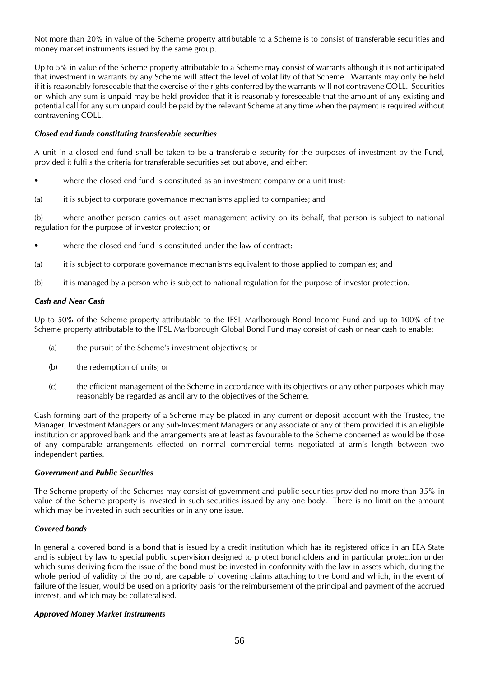Not more than 20% in value of the Scheme property attributable to a Scheme is to consist of transferable securities and money market instruments issued by the same group.

Up to 5% in value of the Scheme property attributable to a Scheme may consist of warrants although it is not anticipated that investment in warrants by any Scheme will affect the level of volatility of that Scheme. Warrants may only be held if it is reasonably foreseeable that the exercise of the rights conferred by the warrants will not contravene COLL. Securities on which any sum is unpaid may be held provided that it is reasonably foreseeable that the amount of any existing and potential call for any sum unpaid could be paid by the relevant Scheme at any time when the payment is required without contravening COLL.

#### *Closed end funds constituting transferable securities*

A unit in a closed end fund shall be taken to be a transferable security for the purposes of investment by the Fund, provided it fulfils the criteria for transferable securities set out above, and either:

- where the closed end fund is constituted as an investment company or a unit trust:
- (a) it is subject to corporate governance mechanisms applied to companies; and

(b) where another person carries out asset management activity on its behalf, that person is subject to national regulation for the purpose of investor protection; or

- where the closed end fund is constituted under the law of contract:
- (a) it is subject to corporate governance mechanisms equivalent to those applied to companies; and
- (b) it is managed by a person who is subject to national regulation for the purpose of investor protection.

#### *Cash and Near Cash*

Up to 50% of the Scheme property attributable to the IFSL Marlborough Bond Income Fund and up to 100% of the Scheme property attributable to the IFSL Marlborough Global Bond Fund may consist of cash or near cash to enable:

- (a) the pursuit of the Scheme's investment objectives; or
- (b) the redemption of units; or
- (c) the efficient management of the Scheme in accordance with its objectives or any other purposes which may reasonably be regarded as ancillary to the objectives of the Scheme.

Cash forming part of the property of a Scheme may be placed in any current or deposit account with the Trustee, the Manager, Investment Managers or any Sub-Investment Managers or any associate of any of them provided it is an eligible institution or approved bank and the arrangements are at least as favourable to the Scheme concerned as would be those of any comparable arrangements effected on normal commercial terms negotiated at arm's length between two independent parties.

#### *Government and Public Securities*

The Scheme property of the Schemes may consist of government and public securities provided no more than 35% in value of the Scheme property is invested in such securities issued by any one body. There is no limit on the amount which may be invested in such securities or in any one issue.

#### *Covered bonds*

In general a covered bond is a bond that is issued by a credit institution which has its registered office in an EEA State and is subject by law to special public supervision designed to protect bondholders and in particular protection under which sums deriving from the issue of the bond must be invested in conformity with the law in assets which, during the whole period of validity of the bond, are capable of covering claims attaching to the bond and which, in the event of failure of the issuer, would be used on a priority basis for the reimbursement of the principal and payment of the accrued interest, and which may be collateralised.

#### *Approved Money Market Instruments*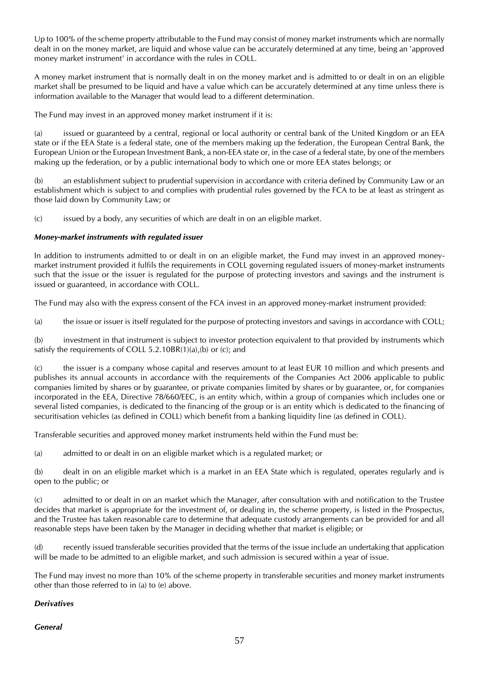Up to 100% of the scheme property attributable to the Fund may consist of money market instruments which are normally dealt in on the money market, are liquid and whose value can be accurately determined at any time, being an 'approved money market instrument' in accordance with the rules in COLL.

A money market instrument that is normally dealt in on the money market and is admitted to or dealt in on an eligible market shall be presumed to be liquid and have a value which can be accurately determined at any time unless there is information available to the Manager that would lead to a different determination.

The Fund may invest in an approved money market instrument if it is:

(a) issued or guaranteed by a central, regional or local authority or central bank of the United Kingdom or an EEA state or if the EEA State is a federal state, one of the members making up the federation, the European Central Bank, the European Union or the European Investment Bank, a non-EEA state or, in the case of a federal state, by one of the members making up the federation, or by a public international body to which one or more EEA states belongs; or

(b) an establishment subject to prudential supervision in accordance with criteria defined by Community Law or an establishment which is subject to and complies with prudential rules governed by the FCA to be at least as stringent as those laid down by Community Law; or

(c) issued by a body, any securities of which are dealt in on an eligible market.

#### *Money-market instruments with regulated issuer*

In addition to instruments admitted to or dealt in on an eligible market, the Fund may invest in an approved moneymarket instrument provided it fulfils the requirements in COLL governing regulated issuers of money-market instruments such that the issue or the issuer is regulated for the purpose of protecting investors and savings and the instrument is issued or guaranteed, in accordance with COLL.

The Fund may also with the express consent of the FCA invest in an approved money-market instrument provided:

(a) the issue or issuer is itself regulated for the purpose of protecting investors and savings in accordance with COLL;

(b) investment in that instrument is subject to investor protection equivalent to that provided by instruments which satisfy the requirements of COLL 5.2.10BR(1)(a),(b) or (c); and

(c) the issuer is a company whose capital and reserves amount to at least EUR 10 million and which presents and publishes its annual accounts in accordance with the requirements of the Companies Act 2006 applicable to public companies limited by shares or by guarantee, or private companies limited by shares or by guarantee, or, for companies incorporated in the EEA, Directive 78/660/EEC, is an entity which, within a group of companies which includes one or several listed companies, is dedicated to the financing of the group or is an entity which is dedicated to the financing of securitisation vehicles (as defined in COLL) which benefit from a banking liquidity line (as defined in COLL).

Transferable securities and approved money market instruments held within the Fund must be:

(a) admitted to or dealt in on an eligible market which is a regulated market; or

(b) dealt in on an eligible market which is a market in an EEA State which is regulated, operates regularly and is open to the public; or

(c) admitted to or dealt in on an market which the Manager, after consultation with and notification to the Trustee decides that market is appropriate for the investment of, or dealing in, the scheme property, is listed in the Prospectus, and the Trustee has taken reasonable care to determine that adequate custody arrangements can be provided for and all reasonable steps have been taken by the Manager in deciding whether that market is eligible; or

(d) recently issued transferable securities provided that the terms of the issue include an undertaking that application will be made to be admitted to an eligible market, and such admission is secured within a year of issue.

The Fund may invest no more than 10% of the scheme property in transferable securities and money market instruments other than those referred to in (a) to (e) above.

#### *Derivatives*

#### *General*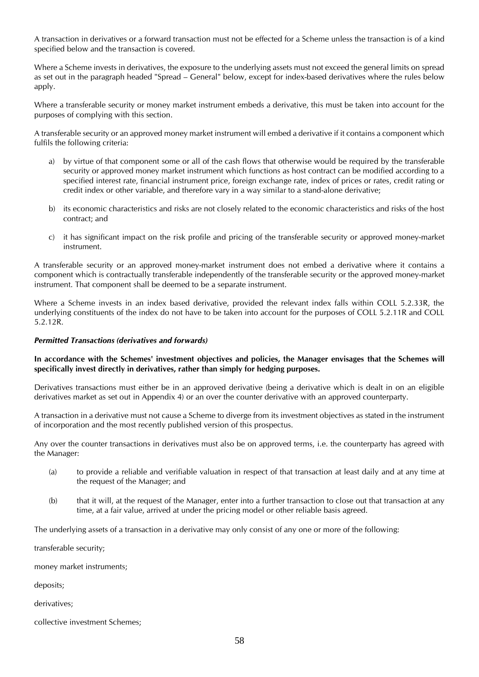A transaction in derivatives or a forward transaction must not be effected for a Scheme unless the transaction is of a kind specified below and the transaction is covered.

Where a Scheme invests in derivatives, the exposure to the underlying assets must not exceed the general limits on spread as set out in the paragraph headed "Spread – General" below, except for index-based derivatives where the rules below apply.

Where a transferable security or money market instrument embeds a derivative, this must be taken into account for the purposes of complying with this section.

A transferable security or an approved money market instrument will embed a derivative if it contains a component which fulfils the following criteria:

- a) by virtue of that component some or all of the cash flows that otherwise would be required by the transferable security or approved money market instrument which functions as host contract can be modified according to a specified interest rate, financial instrument price, foreign exchange rate, index of prices or rates, credit rating or credit index or other variable, and therefore vary in a way similar to a stand-alone derivative;
- b) its economic characteristics and risks are not closely related to the economic characteristics and risks of the host contract; and
- c) it has significant impact on the risk profile and pricing of the transferable security or approved money-market instrument.

A transferable security or an approved money-market instrument does not embed a derivative where it contains a component which is contractually transferable independently of the transferable security or the approved money-market instrument. That component shall be deemed to be a separate instrument.

Where a Scheme invests in an index based derivative, provided the relevant index falls within COLL 5.2.33R, the underlying constituents of the index do not have to be taken into account for the purposes of COLL 5.2.11R and COLL 5.2.12R.

#### *Permitted Transactions (derivatives and forwards)*

#### **In accordance with the Schemes' investment objectives and policies, the Manager envisages that the Schemes will specifically invest directly in derivatives, rather than simply for hedging purposes.**

Derivatives transactions must either be in an approved derivative (being a derivative which is dealt in on an eligible derivatives market as set out in Appendix 4) or an over the counter derivative with an approved counterparty.

A transaction in a derivative must not cause a Scheme to diverge from its investment objectives as stated in the instrument of incorporation and the most recently published version of this prospectus.

Any over the counter transactions in derivatives must also be on approved terms, i.e. the counterparty has agreed with the Manager:

- (a) to provide a reliable and verifiable valuation in respect of that transaction at least daily and at any time at the request of the Manager; and
- (b) that it will, at the request of the Manager, enter into a further transaction to close out that transaction at any time, at a fair value, arrived at under the pricing model or other reliable basis agreed.

The underlying assets of a transaction in a derivative may only consist of any one or more of the following:

transferable security;

money market instruments;

deposits;

derivatives;

collective investment Schemes;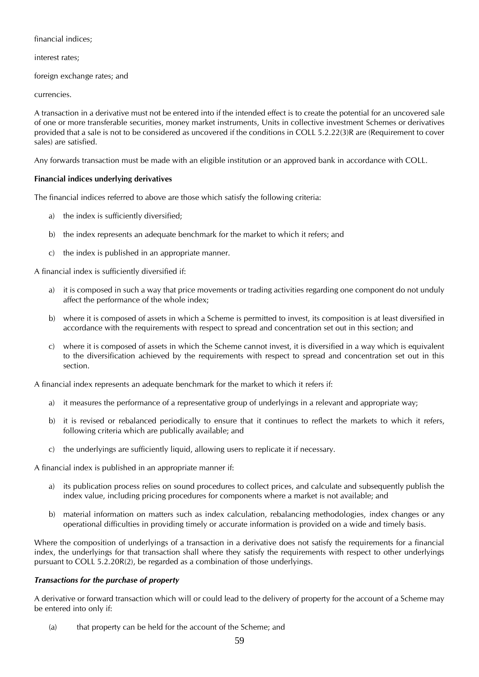financial indices;

interest rates;

foreign exchange rates; and

currencies.

A transaction in a derivative must not be entered into if the intended effect is to create the potential for an uncovered sale of one or more transferable securities, money market instruments, Units in collective investment Schemes or derivatives provided that a sale is not to be considered as uncovered if the conditions in COLL 5.2.22(3)R are (Requirement to cover sales) are satisfied.

Any forwards transaction must be made with an eligible institution or an approved bank in accordance with COLL.

#### **Financial indices underlying derivatives**

The financial indices referred to above are those which satisfy the following criteria:

- a) the index is sufficiently diversified;
- b) the index represents an adequate benchmark for the market to which it refers; and
- c) the index is published in an appropriate manner.

A financial index is sufficiently diversified if:

- a) it is composed in such a way that price movements or trading activities regarding one component do not unduly affect the performance of the whole index;
- b) where it is composed of assets in which a Scheme is permitted to invest, its composition is at least diversified in accordance with the requirements with respect to spread and concentration set out in this section; and
- c) where it is composed of assets in which the Scheme cannot invest, it is diversified in a way which is equivalent to the diversification achieved by the requirements with respect to spread and concentration set out in this section.

A financial index represents an adequate benchmark for the market to which it refers if:

- a) it measures the performance of a representative group of underlyings in a relevant and appropriate way;
- b) it is revised or rebalanced periodically to ensure that it continues to reflect the markets to which it refers, following criteria which are publically available; and
- c) the underlyings are sufficiently liquid, allowing users to replicate it if necessary.

A financial index is published in an appropriate manner if:

- a) its publication process relies on sound procedures to collect prices, and calculate and subsequently publish the index value, including pricing procedures for components where a market is not available; and
- b) material information on matters such as index calculation, rebalancing methodologies, index changes or any operational difficulties in providing timely or accurate information is provided on a wide and timely basis.

Where the composition of underlyings of a transaction in a derivative does not satisfy the requirements for a financial index, the underlyings for that transaction shall where they satisfy the requirements with respect to other underlyings pursuant to COLL 5.2.20R(2), be regarded as a combination of those underlyings.

#### *Transactions for the purchase of property*

A derivative or forward transaction which will or could lead to the delivery of property for the account of a Scheme may be entered into only if:

(a) that property can be held for the account of the Scheme; and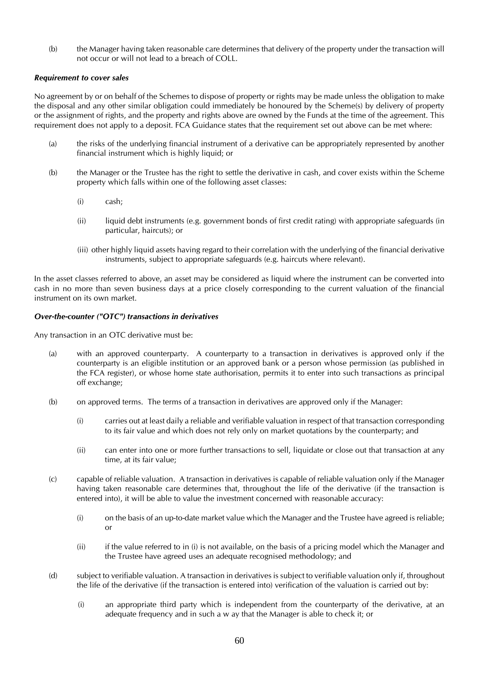(b) the Manager having taken reasonable care determines that delivery of the property under the transaction will not occur or will not lead to a breach of COLL.

#### *Requirement to cover sales*

No agreement by or on behalf of the Schemes to dispose of property or rights may be made unless the obligation to make the disposal and any other similar obligation could immediately be honoured by the Scheme(s) by delivery of property or the assignment of rights, and the property and rights above are owned by the Funds at the time of the agreement. This requirement does not apply to a deposit. FCA Guidance states that the requirement set out above can be met where:

- (a) the risks of the underlying financial instrument of a derivative can be appropriately represented by another financial instrument which is highly liquid; or
- (b) the Manager or the Trustee has the right to settle the derivative in cash, and cover exists within the Scheme property which falls within one of the following asset classes:
	- (i) cash;
	- (ii) liquid debt instruments (e.g. government bonds of first credit rating) with appropriate safeguards (in particular, haircuts); or
	- (iii) other highly liquid assets having regard to their correlation with the underlying of the financial derivative instruments, subject to appropriate safeguards (e.g. haircuts where relevant).

In the asset classes referred to above, an asset may be considered as liquid where the instrument can be converted into cash in no more than seven business days at a price closely corresponding to the current valuation of the financial instrument on its own market.

#### *Over-the-counter ("OTC") transactions in derivatives*

Any transaction in an OTC derivative must be:

- (a) with an approved counterparty. A counterparty to a transaction in derivatives is approved only if the counterparty is an eligible institution or an approved bank or a person whose permission (as published in the FCA register), or whose home state authorisation, permits it to enter into such transactions as principal off exchange;
- (b) on approved terms. The terms of a transaction in derivatives are approved only if the Manager:
	- (i) carries out at least daily a reliable and verifiable valuation in respect of that transaction corresponding to its fair value and which does not rely only on market quotations by the counterparty; and
	- (ii) can enter into one or more further transactions to sell, liquidate or close out that transaction at any time, at its fair value;
- (c) capable of reliable valuation. A transaction in derivatives is capable of reliable valuation only if the Manager having taken reasonable care determines that, throughout the life of the derivative (if the transaction is entered into), it will be able to value the investment concerned with reasonable accuracy:
	- (i) on the basis of an up-to-date market value which the Manager and the Trustee have agreed is reliable; or
	- (ii) if the value referred to in (i) is not available, on the basis of a pricing model which the Manager and the Trustee have agreed uses an adequate recognised methodology; and
- (d) subject to verifiable valuation. A transaction in derivatives is subject to verifiable valuation only if, throughout the life of the derivative (if the transaction is entered into) verification of the valuation is carried out by:
	- (i) an appropriate third party which is independent from the counterparty of the derivative, at an adequate frequency and in such a w ay that the Manager is able to check it; or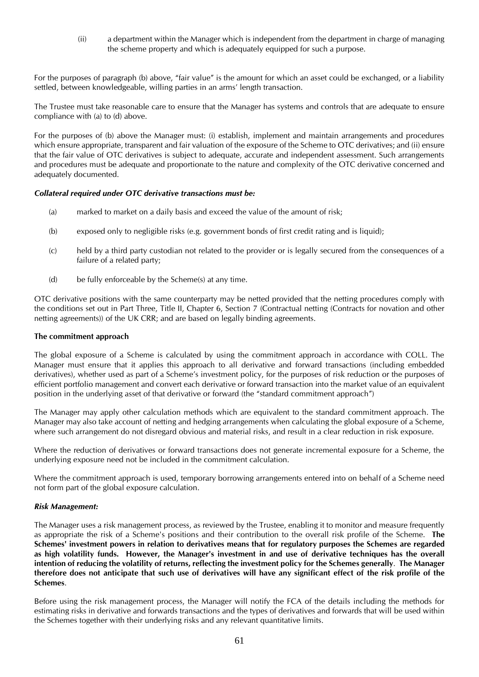(ii) a department within the Manager which is independent from the department in charge of managing the scheme property and which is adequately equipped for such a purpose.

For the purposes of paragraph (b) above, "fair value" is the amount for which an asset could be exchanged, or a liability settled, between knowledgeable, willing parties in an arms' length transaction.

The Trustee must take reasonable care to ensure that the Manager has systems and controls that are adequate to ensure compliance with (a) to (d) above.

For the purposes of (b) above the Manager must: (i) establish, implement and maintain arrangements and procedures which ensure appropriate, transparent and fair valuation of the exposure of the Scheme to OTC derivatives; and (ii) ensure that the fair value of OTC derivatives is subject to adequate, accurate and independent assessment. Such arrangements and procedures must be adequate and proportionate to the nature and complexity of the OTC derivative concerned and adequately documented.

#### *Collateral required under OTC derivative transactions must be:*

- (a) marked to market on a daily basis and exceed the value of the amount of risk;
- (b) exposed only to negligible risks (e.g. government bonds of first credit rating and is liquid);
- (c) held by a third party custodian not related to the provider or is legally secured from the consequences of a failure of a related party;
- (d) be fully enforceable by the Scheme(s) at any time.

OTC derivative positions with the same counterparty may be netted provided that the netting procedures comply with the conditions set out in Part Three, Title II, Chapter 6, Section 7 (Contractual netting (Contracts for novation and other netting agreements)) of the UK CRR; and are based on legally binding agreements.

#### **The commitment approach**

The global exposure of a Scheme is calculated by using the commitment approach in accordance with COLL. The Manager must ensure that it applies this approach to all derivative and forward transactions (including embedded derivatives), whether used as part of a Scheme's investment policy, for the purposes of risk reduction or the purposes of efficient portfolio management and convert each derivative or forward transaction into the market value of an equivalent position in the underlying asset of that derivative or forward (the "standard commitment approach")

The Manager may apply other calculation methods which are equivalent to the standard commitment approach. The Manager may also take account of netting and hedging arrangements when calculating the global exposure of a Scheme, where such arrangement do not disregard obvious and material risks, and result in a clear reduction in risk exposure.

Where the reduction of derivatives or forward transactions does not generate incremental exposure for a Scheme, the underlying exposure need not be included in the commitment calculation.

Where the commitment approach is used, temporary borrowing arrangements entered into on behalf of a Scheme need not form part of the global exposure calculation.

#### *Risk Management:*

The Manager uses a risk management process, as reviewed by the Trustee, enabling it to monitor and measure frequently as appropriate the risk of a Scheme's positions and their contribution to the overall risk profile of the Scheme. **The Schemes' investment powers in relation to derivatives means that for regulatory purposes the Schemes are regarded as high volatility funds. However, the Manager's investment in and use of derivative techniques has the overall intention of reducing the volatility of returns, reflecting the investment policy for the Schemes generally**. **The Manager therefore does not anticipate that such use of derivatives will have any significant effect of the risk profile of the Schemes**.

Before using the risk management process, the Manager will notify the FCA of the details including the methods for estimating risks in derivative and forwards transactions and the types of derivatives and forwards that will be used within the Schemes together with their underlying risks and any relevant quantitative limits.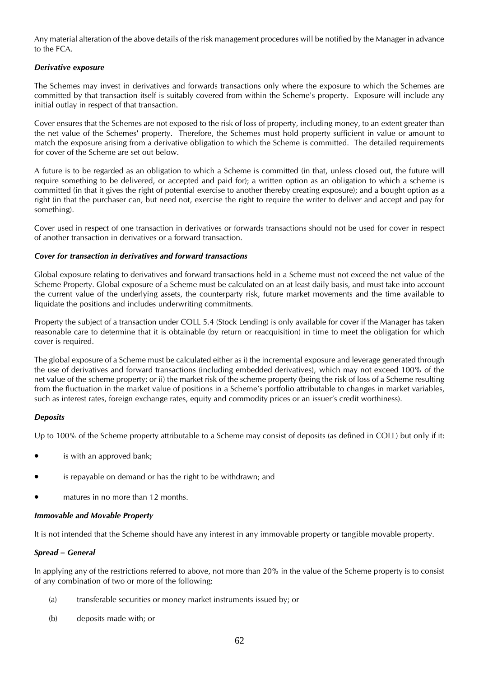Any material alteration of the above details of the risk management procedures will be notified by the Manager in advance to the FCA.

#### *Derivative exposure*

The Schemes may invest in derivatives and forwards transactions only where the exposure to which the Schemes are committed by that transaction itself is suitably covered from within the Scheme's property. Exposure will include any initial outlay in respect of that transaction.

Cover ensures that the Schemes are not exposed to the risk of loss of property, including money, to an extent greater than the net value of the Schemes' property. Therefore, the Schemes must hold property sufficient in value or amount to match the exposure arising from a derivative obligation to which the Scheme is committed. The detailed requirements for cover of the Scheme are set out below.

A future is to be regarded as an obligation to which a Scheme is committed (in that, unless closed out, the future will require something to be delivered, or accepted and paid for); a written option as an obligation to which a scheme is committed (in that it gives the right of potential exercise to another thereby creating exposure); and a bought option as a right (in that the purchaser can, but need not, exercise the right to require the writer to deliver and accept and pay for something).

Cover used in respect of one transaction in derivatives or forwards transactions should not be used for cover in respect of another transaction in derivatives or a forward transaction.

#### *Cover for transaction in derivatives and forward transactions*

Global exposure relating to derivatives and forward transactions held in a Scheme must not exceed the net value of the Scheme Property. Global exposure of a Scheme must be calculated on an at least daily basis, and must take into account the current value of the underlying assets, the counterparty risk, future market movements and the time available to liquidate the positions and includes underwriting commitments.

Property the subject of a transaction under COLL 5.4 (Stock Lending) is only available for cover if the Manager has taken reasonable care to determine that it is obtainable (by return or reacquisition) in time to meet the obligation for which cover is required.

The global exposure of a Scheme must be calculated either as i) the incremental exposure and leverage generated through the use of derivatives and forward transactions (including embedded derivatives), which may not exceed 100% of the net value of the scheme property; or ii) the market risk of the scheme property (being the risk of loss of a Scheme resulting from the fluctuation in the market value of positions in a Scheme's portfolio attributable to changes in market variables, such as interest rates, foreign exchange rates, equity and commodity prices or an issuer's credit worthiness).

#### *Deposits*

Up to 100% of the Scheme property attributable to a Scheme may consist of deposits (as defined in COLL) but only if it:

- is with an approved bank;
- is repayable on demand or has the right to be withdrawn; and
- matures in no more than 12 months.

#### *Immovable and Movable Property*

It is not intended that the Scheme should have any interest in any immovable property or tangible movable property.

#### *Spread – General*

In applying any of the restrictions referred to above, not more than 20% in the value of the Scheme property is to consist of any combination of two or more of the following:

- (a) transferable securities or money market instruments issued by; or
- (b) deposits made with; or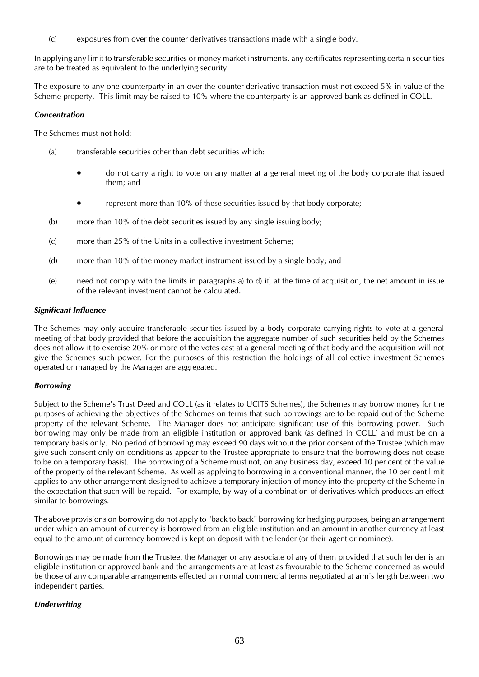(c) exposures from over the counter derivatives transactions made with a single body.

In applying any limit to transferable securities or money market instruments, any certificates representing certain securities are to be treated as equivalent to the underlying security.

The exposure to any one counterparty in an over the counter derivative transaction must not exceed 5% in value of the Scheme property. This limit may be raised to 10% where the counterparty is an approved bank as defined in COLL.

#### *Concentration*

The Schemes must not hold:

- (a) transferable securities other than debt securities which:
	- do not carry a right to vote on any matter at a general meeting of the body corporate that issued them; and
	- represent more than 10% of these securities issued by that body corporate;
- (b) more than 10% of the debt securities issued by any single issuing body;
- (c) more than 25% of the Units in a collective investment Scheme;
- (d) more than 10% of the money market instrument issued by a single body; and
- (e) need not comply with the limits in paragraphs a) to d) if, at the time of acquisition, the net amount in issue of the relevant investment cannot be calculated.

#### *Significant Influence*

The Schemes may only acquire transferable securities issued by a body corporate carrying rights to vote at a general meeting of that body provided that before the acquisition the aggregate number of such securities held by the Schemes does not allow it to exercise 20% or more of the votes cast at a general meeting of that body and the acquisition will not give the Schemes such power. For the purposes of this restriction the holdings of all collective investment Schemes operated or managed by the Manager are aggregated.

#### *Borrowing*

Subject to the Scheme's Trust Deed and COLL (as it relates to UCITS Schemes), the Schemes may borrow money for the purposes of achieving the objectives of the Schemes on terms that such borrowings are to be repaid out of the Scheme property of the relevant Scheme. The Manager does not anticipate significant use of this borrowing power. Such borrowing may only be made from an eligible institution or approved bank (as defined in COLL) and must be on a temporary basis only. No period of borrowing may exceed 90 days without the prior consent of the Trustee (which may give such consent only on conditions as appear to the Trustee appropriate to ensure that the borrowing does not cease to be on a temporary basis). The borrowing of a Scheme must not, on any business day, exceed 10 per cent of the value of the property of the relevant Scheme. As well as applying to borrowing in a conventional manner, the 10 per cent limit applies to any other arrangement designed to achieve a temporary injection of money into the property of the Scheme in the expectation that such will be repaid. For example, by way of a combination of derivatives which produces an effect similar to borrowings.

The above provisions on borrowing do not apply to "back to back" borrowing for hedging purposes, being an arrangement under which an amount of currency is borrowed from an eligible institution and an amount in another currency at least equal to the amount of currency borrowed is kept on deposit with the lender (or their agent or nominee).

Borrowings may be made from the Trustee, the Manager or any associate of any of them provided that such lender is an eligible institution or approved bank and the arrangements are at least as favourable to the Scheme concerned as would be those of any comparable arrangements effected on normal commercial terms negotiated at arm's length between two independent parties.

#### *Underwriting*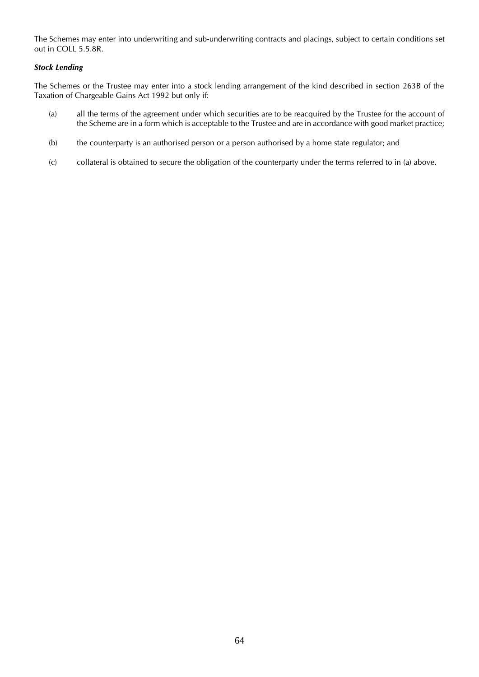The Schemes may enter into underwriting and sub-underwriting contracts and placings, subject to certain conditions set out in COLL 5.5.8R.

#### *Stock Lending*

The Schemes or the Trustee may enter into a stock lending arrangement of the kind described in section 263B of the Taxation of Chargeable Gains Act 1992 but only if:

- (a) all the terms of the agreement under which securities are to be reacquired by the Trustee for the account of the Scheme are in a form which is acceptable to the Trustee and are in accordance with good market practice;
- (b) the counterparty is an authorised person or a person authorised by a home state regulator; and
- (c) collateral is obtained to secure the obligation of the counterparty under the terms referred to in (a) above.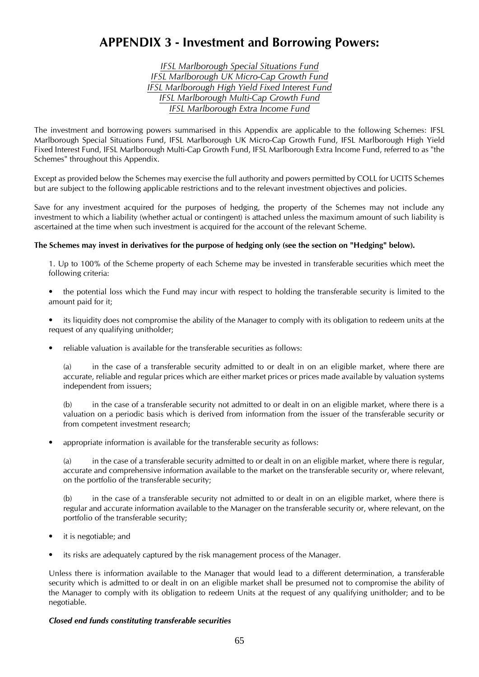# **APPENDIX 3 - Investment and Borrowing Powers:**

*IFSL Marlborough Special Situations Fund IFSL Marlborough UK Micro-Cap Growth Fund IFSL Marlborough High Yield Fixed Interest Fund IFSL Marlborough Multi-Cap Growth Fund IFSL Marlborough Extra Income Fund*

The investment and borrowing powers summarised in this Appendix are applicable to the following Schemes: IFSL Marlborough Special Situations Fund, IFSL Marlborough UK Micro-Cap Growth Fund, IFSL Marlborough High Yield Fixed Interest Fund, IFSL Marlborough Multi-Cap Growth Fund, IFSL Marlborough Extra Income Fund, referred to as "the Schemes" throughout this Appendix.

Except as provided below the Schemes may exercise the full authority and powers permitted by COLL for UCITS Schemes but are subject to the following applicable restrictions and to the relevant investment objectives and policies.

Save for any investment acquired for the purposes of hedging, the property of the Schemes may not include any investment to which a liability (whether actual or contingent) is attached unless the maximum amount of such liability is ascertained at the time when such investment is acquired for the account of the relevant Scheme.

#### **The Schemes may invest in derivatives for the purpose of hedging only (see the section on "Hedging" below).**

1. Up to 100% of the Scheme property of each Scheme may be invested in transferable securities which meet the following criteria:

- the potential loss which the Fund may incur with respect to holding the transferable security is limited to the amount paid for it;
- its liquidity does not compromise the ability of the Manager to comply with its obligation to redeem units at the request of any qualifying unitholder;
- reliable valuation is available for the transferable securities as follows:

(a) in the case of a transferable security admitted to or dealt in on an eligible market, where there are accurate, reliable and regular prices which are either market prices or prices made available by valuation systems independent from issuers;

(b) in the case of a transferable security not admitted to or dealt in on an eligible market, where there is a valuation on a periodic basis which is derived from information from the issuer of the transferable security or from competent investment research;

• appropriate information is available for the transferable security as follows:

(a) in the case of a transferable security admitted to or dealt in on an eligible market, where there is regular, accurate and comprehensive information available to the market on the transferable security or, where relevant, on the portfolio of the transferable security;

(b) in the case of a transferable security not admitted to or dealt in on an eligible market, where there is regular and accurate information available to the Manager on the transferable security or, where relevant, on the portfolio of the transferable security;

- it is negotiable; and
- its risks are adequately captured by the risk management process of the Manager.

Unless there is information available to the Manager that would lead to a different determination, a transferable security which is admitted to or dealt in on an eligible market shall be presumed not to compromise the ability of the Manager to comply with its obligation to redeem Units at the request of any qualifying unitholder; and to be negotiable.

#### *Closed end funds constituting transferable securities*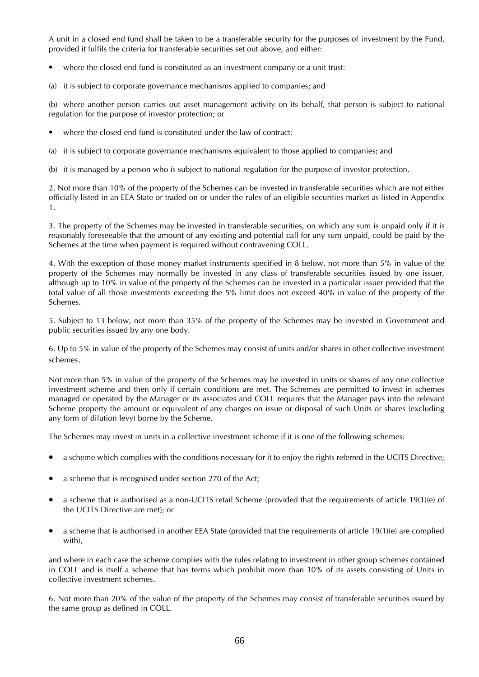A unit in a closed end fund shall be taken to be a transferable security for the purposes of investment by the Fund, provided it fulfils the criteria for transferable securities set out above, and either:

- where the closed end fund is constituted as an investment company or a unit trust:
- (a) it is subject to corporate governance mechanisms applied to companies; and

(b) where another person carries out asset management activity on its behalf, that person is subject to national regulation for the purpose of investor protection; or

- where the closed end fund is constituted under the law of contract:
- (a) it is subject to corporate governance mechanisms equivalent to those applied to companies; and

(b) it is managed by a person who is subject to national regulation for the purpose of investor protection.

2. Not more than 10% of the property of the Schemes can be invested in transferable securities which are not either officially listed in an EEA State or traded on or under the rules of an eligible securities market as listed in Appendix 1.

3. The property of the Schemes may be invested in transferable securities, on which any sum is unpaid only if it is reasonably foreseeable that the amount of any existing and potential call for any sum unpaid, could be paid by the Schemes at the time when payment is required without contravening COLL.

4. With the exception of those money market instruments specified in 8 below, not more than 5% in value of the property of the Schemes may normally be invested in any class of transferable securities issued by one issuer, although up to 10% in value of the property of the Schemes can be invested in a particular issuer provided that the total value of all those investments exceeding the 5% limit does not exceed 40% in value of the property of the Schemes.

5. Subject to 13 below, not more than 35% of the property of the Schemes may be invested in Government and public securities issued by any one body.

6. Up to 5% in value of the property of the Schemes may consist of units and/or shares in other collective investment schemes.

Not more than 5% in value of the property of the Schemes may be invested in units or shares of any one collective investment scheme and then only if certain conditions are met. The Schemes are permitted to invest in schemes managed or operated by the Manager or its associates and COLL requires that the Manager pays into the relevant Scheme property the amount or equivalent of any charges on issue or disposal of such Units or shares (excluding any form of dilution levy) borne by the Scheme.

The Schemes may invest in units in a collective investment scheme if it is one of the following schemes:

- a scheme which complies with the conditions necessary for it to enjoy the rights referred in the UCITS Directive;
- a scheme that is recognised under section 270 of the Act;
- a scheme that is authorised as a non-UCITS retail Scheme (provided that the requirements of article 19(1)(e) of the UCITS Directive are met); or
- $\bullet$  a scheme that is authorised in another EEA State (provided that the requirements of article 19(1)(e) are complied with),

and where in each case the scheme complies with the rules relating to investment in other group schemes contained in COLL and is itself a scheme that has terms which prohibit more than 10% of its assets consisting of Units in collective investment schemes.

6. Not more than 20% of the value of the property of the Schemes may consist of transferable securities issued by the same group as defined in COLL.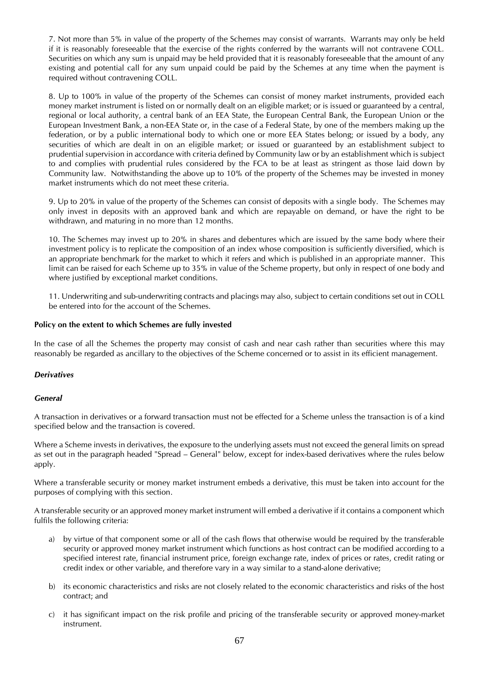7. Not more than 5% in value of the property of the Schemes may consist of warrants. Warrants may only be held if it is reasonably foreseeable that the exercise of the rights conferred by the warrants will not contravene COLL. Securities on which any sum is unpaid may be held provided that it is reasonably foreseeable that the amount of any existing and potential call for any sum unpaid could be paid by the Schemes at any time when the payment is required without contravening COLL.

8. Up to 100% in value of the property of the Schemes can consist of money market instruments, provided each money market instrument is listed on or normally dealt on an eligible market; or is issued or guaranteed by a central, regional or local authority, a central bank of an EEA State, the European Central Bank, the European Union or the European Investment Bank, a non-EEA State or, in the case of a Federal State, by one of the members making up the federation, or by a public international body to which one or more EEA States belong; or issued by a body, any securities of which are dealt in on an eligible market; or issued or guaranteed by an establishment subject to prudential supervision in accordance with criteria defined by Community law or by an establishment which is subject to and complies with prudential rules considered by the FCA to be at least as stringent as those laid down by Community law. Notwithstanding the above up to 10% of the property of the Schemes may be invested in money market instruments which do not meet these criteria.

9. Up to 20% in value of the property of the Schemes can consist of deposits with a single body. The Schemes may only invest in deposits with an approved bank and which are repayable on demand, or have the right to be withdrawn, and maturing in no more than 12 months.

10. The Schemes may invest up to 20% in shares and debentures which are issued by the same body where their investment policy is to replicate the composition of an index whose composition is sufficiently diversified, which is an appropriate benchmark for the market to which it refers and which is published in an appropriate manner. This limit can be raised for each Scheme up to 35% in value of the Scheme property, but only in respect of one body and where justified by exceptional market conditions.

11. Underwriting and sub-underwriting contracts and placings may also, subject to certain conditions set out in COLL be entered into for the account of the Schemes.

#### **Policy on the extent to which Schemes are fully invested**

In the case of all the Schemes the property may consist of cash and near cash rather than securities where this may reasonably be regarded as ancillary to the objectives of the Scheme concerned or to assist in its efficient management.

#### *Derivatives*

#### *General*

A transaction in derivatives or a forward transaction must not be effected for a Scheme unless the transaction is of a kind specified below and the transaction is covered.

Where a Scheme invests in derivatives, the exposure to the underlying assets must not exceed the general limits on spread as set out in the paragraph headed "Spread – General" below, except for index-based derivatives where the rules below apply.

Where a transferable security or money market instrument embeds a derivative, this must be taken into account for the purposes of complying with this section.

A transferable security or an approved money market instrument will embed a derivative if it contains a component which fulfils the following criteria:

- a) by virtue of that component some or all of the cash flows that otherwise would be required by the transferable security or approved money market instrument which functions as host contract can be modified according to a specified interest rate, financial instrument price, foreign exchange rate, index of prices or rates, credit rating or credit index or other variable, and therefore vary in a way similar to a stand-alone derivative;
- b) its economic characteristics and risks are not closely related to the economic characteristics and risks of the host contract; and
- c) it has significant impact on the risk profile and pricing of the transferable security or approved money-market instrument.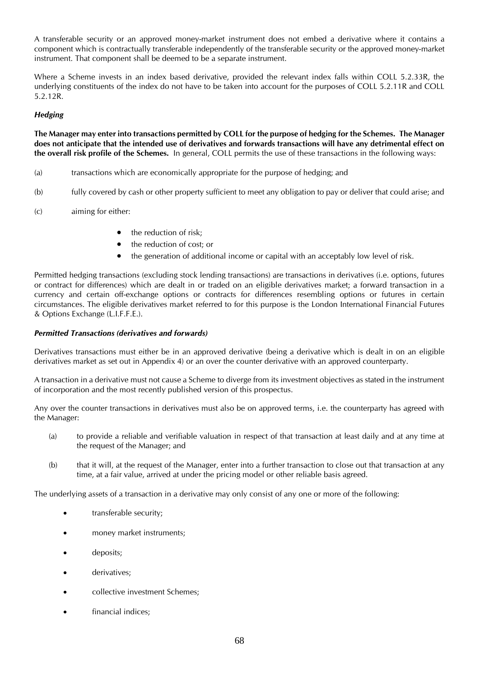A transferable security or an approved money-market instrument does not embed a derivative where it contains a component which is contractually transferable independently of the transferable security or the approved money-market instrument. That component shall be deemed to be a separate instrument.

Where a Scheme invests in an index based derivative, provided the relevant index falls within COLL 5.2.33R, the underlying constituents of the index do not have to be taken into account for the purposes of COLL 5.2.11R and COLL 5.2.12R.

#### *Hedging*

**The Manager may enter into transactions permitted by COLL for the purpose of hedging for the Schemes. The Manager does not anticipate that the intended use of derivatives and forwards transactions will have any detrimental effect on the overall risk profile of the Schemes.** In general, COLL permits the use of these transactions in the following ways:

- (a) transactions which are economically appropriate for the purpose of hedging; and
- (b) fully covered by cash or other property sufficient to meet any obligation to pay or deliver that could arise; and
- (c) aiming for either:
	- the reduction of risk;
	- the reduction of cost; or
	- the generation of additional income or capital with an acceptably low level of risk.

Permitted hedging transactions (excluding stock lending transactions) are transactions in derivatives (i.e. options, futures or contract for differences) which are dealt in or traded on an eligible derivatives market; a forward transaction in a currency and certain off-exchange options or contracts for differences resembling options or futures in certain circumstances. The eligible derivatives market referred to for this purpose is the London International Financial Futures & Options Exchange (L.I.F.F.E.).

#### *Permitted Transactions (derivatives and forwards)*

Derivatives transactions must either be in an approved derivative (being a derivative which is dealt in on an eligible derivatives market as set out in Appendix 4) or an over the counter derivative with an approved counterparty.

A transaction in a derivative must not cause a Scheme to diverge from its investment objectives as stated in the instrument of incorporation and the most recently published version of this prospectus.

Any over the counter transactions in derivatives must also be on approved terms, i.e. the counterparty has agreed with the Manager:

- (a) to provide a reliable and verifiable valuation in respect of that transaction at least daily and at any time at the request of the Manager; and
- (b) that it will, at the request of the Manager, enter into a further transaction to close out that transaction at any time, at a fair value, arrived at under the pricing model or other reliable basis agreed.

The underlying assets of a transaction in a derivative may only consist of any one or more of the following:

- **transferable security**;
- money market instruments;
- deposits;
- derivatives;
- collective investment Schemes;
- financial indices;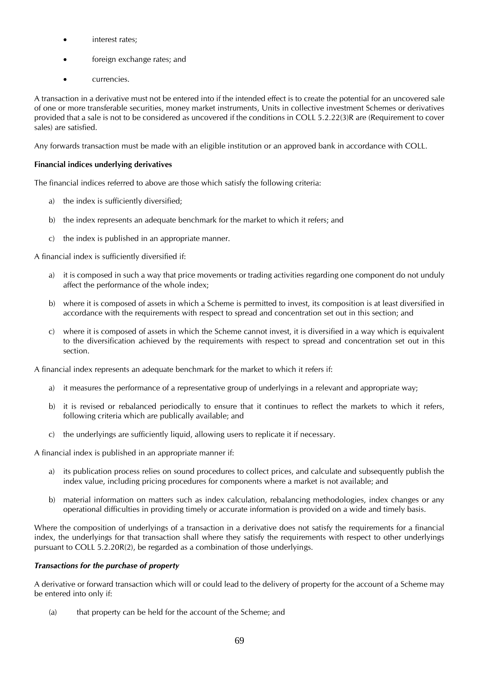- interest rates;
- foreign exchange rates; and
- currencies.

A transaction in a derivative must not be entered into if the intended effect is to create the potential for an uncovered sale of one or more transferable securities, money market instruments, Units in collective investment Schemes or derivatives provided that a sale is not to be considered as uncovered if the conditions in COLL 5.2.22(3)R are (Requirement to cover sales) are satisfied.

Any forwards transaction must be made with an eligible institution or an approved bank in accordance with COLL.

## **Financial indices underlying derivatives**

The financial indices referred to above are those which satisfy the following criteria:

- a) the index is sufficiently diversified;
- b) the index represents an adequate benchmark for the market to which it refers; and
- c) the index is published in an appropriate manner.

A financial index is sufficiently diversified if:

- a) it is composed in such a way that price movements or trading activities regarding one component do not unduly affect the performance of the whole index;
- b) where it is composed of assets in which a Scheme is permitted to invest, its composition is at least diversified in accordance with the requirements with respect to spread and concentration set out in this section; and
- c) where it is composed of assets in which the Scheme cannot invest, it is diversified in a way which is equivalent to the diversification achieved by the requirements with respect to spread and concentration set out in this section.

A financial index represents an adequate benchmark for the market to which it refers if:

- a) it measures the performance of a representative group of underlyings in a relevant and appropriate way;
- b) it is revised or rebalanced periodically to ensure that it continues to reflect the markets to which it refers, following criteria which are publically available; and
- c) the underlyings are sufficiently liquid, allowing users to replicate it if necessary.

A financial index is published in an appropriate manner if:

- a) its publication process relies on sound procedures to collect prices, and calculate and subsequently publish the index value, including pricing procedures for components where a market is not available; and
- b) material information on matters such as index calculation, rebalancing methodologies, index changes or any operational difficulties in providing timely or accurate information is provided on a wide and timely basis.

Where the composition of underlyings of a transaction in a derivative does not satisfy the requirements for a financial index, the underlyings for that transaction shall where they satisfy the requirements with respect to other underlyings pursuant to COLL 5.2.20R(2), be regarded as a combination of those underlyings.

#### *Transactions for the purchase of property*

A derivative or forward transaction which will or could lead to the delivery of property for the account of a Scheme may be entered into only if:

(a) that property can be held for the account of the Scheme; and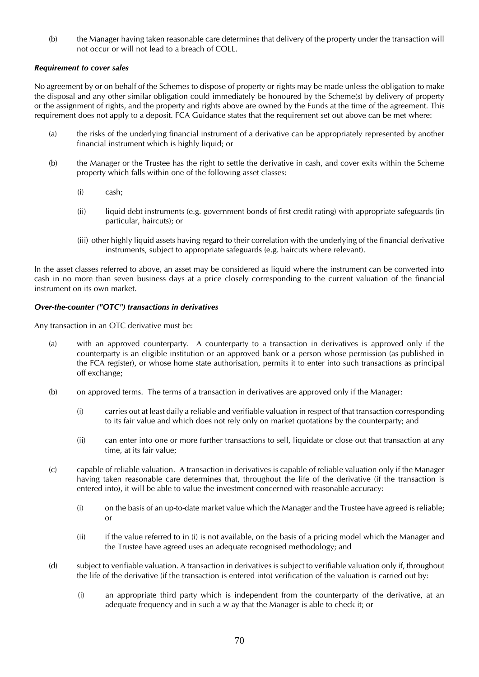(b) the Manager having taken reasonable care determines that delivery of the property under the transaction will not occur or will not lead to a breach of COLL.

#### *Requirement to cover sales*

No agreement by or on behalf of the Schemes to dispose of property or rights may be made unless the obligation to make the disposal and any other similar obligation could immediately be honoured by the Scheme(s) by delivery of property or the assignment of rights, and the property and rights above are owned by the Funds at the time of the agreement. This requirement does not apply to a deposit. FCA Guidance states that the requirement set out above can be met where:

- (a) the risks of the underlying financial instrument of a derivative can be appropriately represented by another financial instrument which is highly liquid; or
- (b) the Manager or the Trustee has the right to settle the derivative in cash, and cover exits within the Scheme property which falls within one of the following asset classes:
	- (i) cash;
	- (ii) liquid debt instruments (e.g. government bonds of first credit rating) with appropriate safeguards (in particular, haircuts); or
	- (iii) other highly liquid assets having regard to their correlation with the underlying of the financial derivative instruments, subject to appropriate safeguards (e.g. haircuts where relevant).

In the asset classes referred to above, an asset may be considered as liquid where the instrument can be converted into cash in no more than seven business days at a price closely corresponding to the current valuation of the financial instrument on its own market.

#### *Over-the-counter ("OTC") transactions in derivatives*

Any transaction in an OTC derivative must be:

- (a) with an approved counterparty. A counterparty to a transaction in derivatives is approved only if the counterparty is an eligible institution or an approved bank or a person whose permission (as published in the FCA register), or whose home state authorisation, permits it to enter into such transactions as principal off exchange;
- (b) on approved terms. The terms of a transaction in derivatives are approved only if the Manager:
	- (i) carries out at least daily a reliable and verifiable valuation in respect of that transaction corresponding to its fair value and which does not rely only on market quotations by the counterparty; and
	- (ii) can enter into one or more further transactions to sell, liquidate or close out that transaction at any time, at its fair value;
- (c) capable of reliable valuation. A transaction in derivatives is capable of reliable valuation only if the Manager having taken reasonable care determines that, throughout the life of the derivative (if the transaction is entered into), it will be able to value the investment concerned with reasonable accuracy:
	- (i) on the basis of an up-to-date market value which the Manager and the Trustee have agreed is reliable; or
	- (ii) if the value referred to in (i) is not available, on the basis of a pricing model which the Manager and the Trustee have agreed uses an adequate recognised methodology; and
- (d) subject to verifiable valuation. A transaction in derivatives is subject to verifiable valuation only if, throughout the life of the derivative (if the transaction is entered into) verification of the valuation is carried out by:
	- (i) an appropriate third party which is independent from the counterparty of the derivative, at an adequate frequency and in such a w ay that the Manager is able to check it; or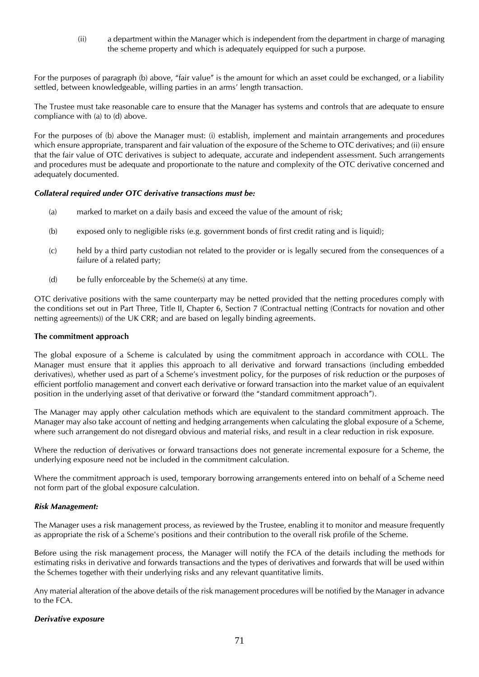(ii) a department within the Manager which is independent from the department in charge of managing the scheme property and which is adequately equipped for such a purpose.

For the purposes of paragraph (b) above, "fair value" is the amount for which an asset could be exchanged, or a liability settled, between knowledgeable, willing parties in an arms' length transaction.

The Trustee must take reasonable care to ensure that the Manager has systems and controls that are adequate to ensure compliance with (a) to (d) above.

For the purposes of (b) above the Manager must: (i) establish, implement and maintain arrangements and procedures which ensure appropriate, transparent and fair valuation of the exposure of the Scheme to OTC derivatives; and (ii) ensure that the fair value of OTC derivatives is subject to adequate, accurate and independent assessment. Such arrangements and procedures must be adequate and proportionate to the nature and complexity of the OTC derivative concerned and adequately documented.

#### *Collateral required under OTC derivative transactions must be:*

- (a) marked to market on a daily basis and exceed the value of the amount of risk;
- (b) exposed only to negligible risks (e.g. government bonds of first credit rating and is liquid);
- (c) held by a third party custodian not related to the provider or is legally secured from the consequences of a failure of a related party;
- (d) be fully enforceable by the Scheme(s) at any time.

OTC derivative positions with the same counterparty may be netted provided that the netting procedures comply with the conditions set out in Part Three, Title II, Chapter 6, Section 7 (Contractual netting (Contracts for novation and other netting agreements)) of the UK CRR; and are based on legally binding agreements.

#### **The commitment approach**

The global exposure of a Scheme is calculated by using the commitment approach in accordance with COLL. The Manager must ensure that it applies this approach to all derivative and forward transactions (including embedded derivatives), whether used as part of a Scheme's investment policy, for the purposes of risk reduction or the purposes of efficient portfolio management and convert each derivative or forward transaction into the market value of an equivalent position in the underlying asset of that derivative or forward (the "standard commitment approach").

The Manager may apply other calculation methods which are equivalent to the standard commitment approach. The Manager may also take account of netting and hedging arrangements when calculating the global exposure of a Scheme, where such arrangement do not disregard obvious and material risks, and result in a clear reduction in risk exposure.

Where the reduction of derivatives or forward transactions does not generate incremental exposure for a Scheme, the underlying exposure need not be included in the commitment calculation.

Where the commitment approach is used, temporary borrowing arrangements entered into on behalf of a Scheme need not form part of the global exposure calculation.

#### *Risk Management:*

The Manager uses a risk management process, as reviewed by the Trustee, enabling it to monitor and measure frequently as appropriate the risk of a Scheme's positions and their contribution to the overall risk profile of the Scheme.

Before using the risk management process, the Manager will notify the FCA of the details including the methods for estimating risks in derivative and forwards transactions and the types of derivatives and forwards that will be used within the Schemes together with their underlying risks and any relevant quantitative limits.

Any material alteration of the above details of the risk management procedures will be notified by the Manager in advance to the FCA.

#### *Derivative exposure*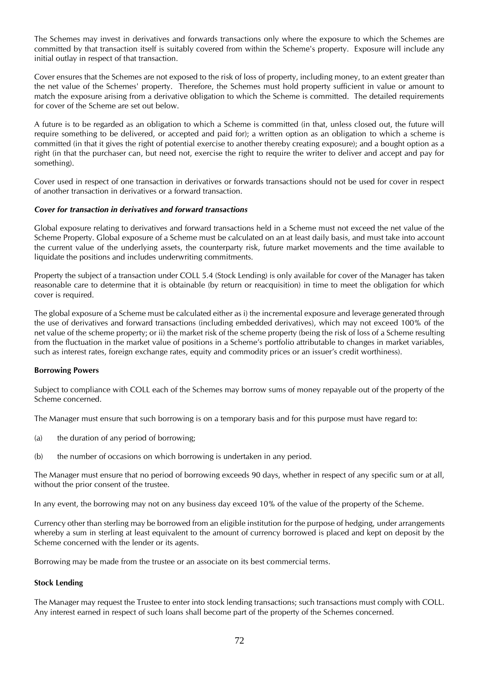The Schemes may invest in derivatives and forwards transactions only where the exposure to which the Schemes are committed by that transaction itself is suitably covered from within the Scheme's property. Exposure will include any initial outlay in respect of that transaction.

Cover ensures that the Schemes are not exposed to the risk of loss of property, including money, to an extent greater than the net value of the Schemes' property. Therefore, the Schemes must hold property sufficient in value or amount to match the exposure arising from a derivative obligation to which the Scheme is committed. The detailed requirements for cover of the Scheme are set out below.

A future is to be regarded as an obligation to which a Scheme is committed (in that, unless closed out, the future will require something to be delivered, or accepted and paid for); a written option as an obligation to which a scheme is committed (in that it gives the right of potential exercise to another thereby creating exposure); and a bought option as a right (in that the purchaser can, but need not, exercise the right to require the writer to deliver and accept and pay for something).

Cover used in respect of one transaction in derivatives or forwards transactions should not be used for cover in respect of another transaction in derivatives or a forward transaction.

#### *Cover for transaction in derivatives and forward transactions*

Global exposure relating to derivatives and forward transactions held in a Scheme must not exceed the net value of the Scheme Property. Global exposure of a Scheme must be calculated on an at least daily basis, and must take into account the current value of the underlying assets, the counterparty risk, future market movements and the time available to liquidate the positions and includes underwriting commitments.

Property the subject of a transaction under COLL 5.4 (Stock Lending) is only available for cover of the Manager has taken reasonable care to determine that it is obtainable (by return or reacquisition) in time to meet the obligation for which cover is required.

The global exposure of a Scheme must be calculated either as i) the incremental exposure and leverage generated through the use of derivatives and forward transactions (including embedded derivatives), which may not exceed 100% of the net value of the scheme property; or ii) the market risk of the scheme property (being the risk of loss of a Scheme resulting from the fluctuation in the market value of positions in a Scheme's portfolio attributable to changes in market variables, such as interest rates, foreign exchange rates, equity and commodity prices or an issuer's credit worthiness).

#### **Borrowing Powers**

Subject to compliance with COLL each of the Schemes may borrow sums of money repayable out of the property of the Scheme concerned.

The Manager must ensure that such borrowing is on a temporary basis and for this purpose must have regard to:

- (a) the duration of any period of borrowing;
- (b) the number of occasions on which borrowing is undertaken in any period.

The Manager must ensure that no period of borrowing exceeds 90 days, whether in respect of any specific sum or at all, without the prior consent of the trustee.

In any event, the borrowing may not on any business day exceed 10% of the value of the property of the Scheme.

Currency other than sterling may be borrowed from an eligible institution for the purpose of hedging, under arrangements whereby a sum in sterling at least equivalent to the amount of currency borrowed is placed and kept on deposit by the Scheme concerned with the lender or its agents.

Borrowing may be made from the trustee or an associate on its best commercial terms.

#### **Stock Lending**

The Manager may request the Trustee to enter into stock lending transactions; such transactions must comply with COLL. Any interest earned in respect of such loans shall become part of the property of the Schemes concerned.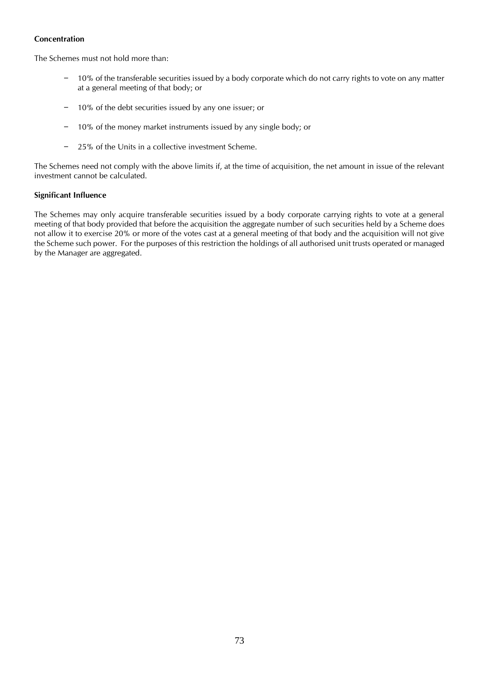#### **Concentration**

The Schemes must not hold more than:

- 10% of the transferable securities issued by a body corporate which do not carry rights to vote on any matter at a general meeting of that body; or
- 10% of the debt securities issued by any one issuer; or
- 10% of the money market instruments issued by any single body; or
- 25% of the Units in a collective investment Scheme.

The Schemes need not comply with the above limits if, at the time of acquisition, the net amount in issue of the relevant investment cannot be calculated.

### **Significant Influence**

The Schemes may only acquire transferable securities issued by a body corporate carrying rights to vote at a general meeting of that body provided that before the acquisition the aggregate number of such securities held by a Scheme does not allow it to exercise 20% or more of the votes cast at a general meeting of that body and the acquisition will not give the Scheme such power. For the purposes of this restriction the holdings of all authorised unit trusts operated or managed by the Manager are aggregated.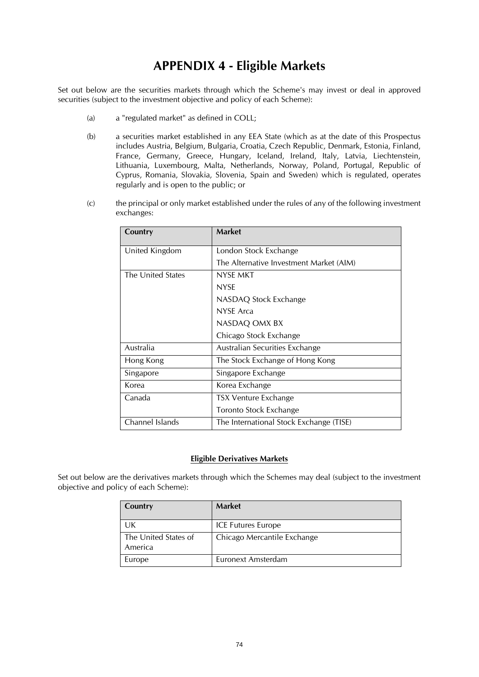## **APPENDIX 4 - Eligible Markets**

Set out below are the securities markets through which the Scheme's may invest or deal in approved securities (subject to the investment objective and policy of each Scheme):

- (a) a "regulated market" as defined in COLL;
- (b) a securities market established in any EEA State (which as at the date of this Prospectus includes Austria, Belgium, Bulgaria, Croatia, Czech Republic, Denmark, Estonia, Finland, France, Germany, Greece, Hungary, Iceland, Ireland, Italy, Latvia, Liechtenstein, Lithuania, Luxembourg, Malta, Netherlands, Norway, Poland, Portugal, Republic of Cyprus, Romania, Slovakia, Slovenia, Spain and Sweden) which is regulated, operates regularly and is open to the public; or
- (c) the principal or only market established under the rules of any of the following investment exchanges:

| London Stock Exchange                   |
|-----------------------------------------|
| The Alternative Investment Market (AIM) |
| NYSE MKT                                |
| <b>NYSE</b>                             |
| NASDAQ Stock Exchange                   |
| NYSE Arca                               |
| NASDAQ OMX BX                           |
| Chicago Stock Exchange                  |
| Australian Securities Exchange          |
| The Stock Exchange of Hong Kong         |
| Singapore Exchange                      |
| Korea Exchange                          |
| <b>TSX Venture Exchange</b>             |
| Toronto Stock Exchange                  |
| The International Stock Exchange (TISE) |
|                                         |

#### **Eligible Derivatives Markets**

Set out below are the derivatives markets through which the Schemes may deal (subject to the investment objective and policy of each Scheme):

| Country                         | <b>Market</b>               |
|---------------------------------|-----------------------------|
| UK                              | <b>ICE Futures Europe</b>   |
| The United States of<br>America | Chicago Mercantile Exchange |
| Europe                          | Euronext Amsterdam          |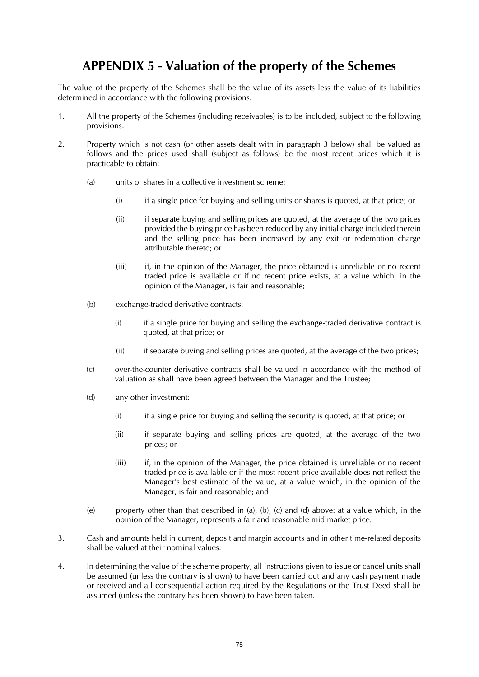## **APPENDIX 5 - Valuation of the property of the Schemes**

The value of the property of the Schemes shall be the value of its assets less the value of its liabilities determined in accordance with the following provisions.

- 1. All the property of the Schemes (including receivables) is to be included, subject to the following provisions.
- 2. Property which is not cash (or other assets dealt with in paragraph 3 below) shall be valued as follows and the prices used shall (subject as follows) be the most recent prices which it is practicable to obtain:
	- (a) units or shares in a collective investment scheme:
		- (i) if a single price for buying and selling units or shares is quoted, at that price; or
		- (ii) if separate buying and selling prices are quoted, at the average of the two prices provided the buying price has been reduced by any initial charge included therein and the selling price has been increased by any exit or redemption charge attributable thereto; or
		- (iii) if, in the opinion of the Manager, the price obtained is unreliable or no recent traded price is available or if no recent price exists, at a value which, in the opinion of the Manager, is fair and reasonable;
	- (b) exchange-traded derivative contracts:
		- (i) if a single price for buying and selling the exchange-traded derivative contract is quoted, at that price; or
		- (ii) if separate buying and selling prices are quoted, at the average of the two prices;
	- (c) over-the-counter derivative contracts shall be valued in accordance with the method of valuation as shall have been agreed between the Manager and the Trustee;
	- (d) any other investment:
		- (i) if a single price for buying and selling the security is quoted, at that price; or
		- (ii) if separate buying and selling prices are quoted, at the average of the two prices; or
		- (iii) if, in the opinion of the Manager, the price obtained is unreliable or no recent traded price is available or if the most recent price available does not reflect the Manager's best estimate of the value, at a value which, in the opinion of the Manager, is fair and reasonable; and
	- (e) property other than that described in (a), (b), (c) and (d) above: at a value which, in the opinion of the Manager, represents a fair and reasonable mid market price.
- 3. Cash and amounts held in current, deposit and margin accounts and in other time-related deposits shall be valued at their nominal values.
- 4. In determining the value of the scheme property, all instructions given to issue or cancel units shall be assumed (unless the contrary is shown) to have been carried out and any cash payment made or received and all consequential action required by the Regulations or the Trust Deed shall be assumed (unless the contrary has been shown) to have been taken.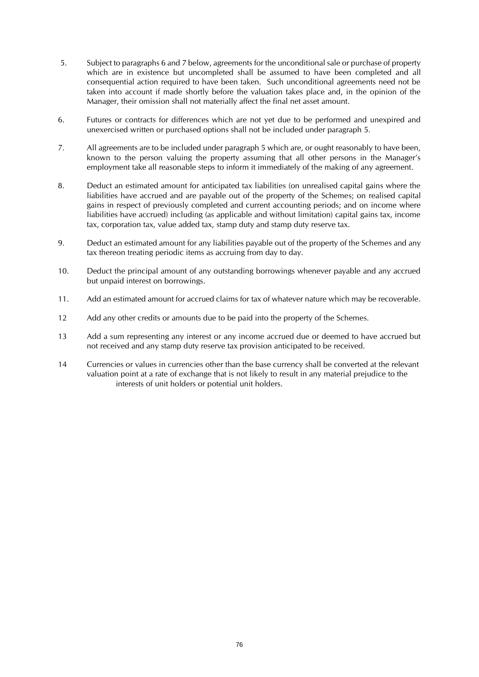- 5. Subject to paragraphs 6 and 7 below, agreements for the unconditional sale or purchase of property which are in existence but uncompleted shall be assumed to have been completed and all consequential action required to have been taken. Such unconditional agreements need not be taken into account if made shortly before the valuation takes place and, in the opinion of the Manager, their omission shall not materially affect the final net asset amount.
- 6. Futures or contracts for differences which are not yet due to be performed and unexpired and unexercised written or purchased options shall not be included under paragraph 5.
- 7. All agreements are to be included under paragraph 5 which are, or ought reasonably to have been, known to the person valuing the property assuming that all other persons in the Manager's employment take all reasonable steps to inform it immediately of the making of any agreement.
- 8. Deduct an estimated amount for anticipated tax liabilities (on unrealised capital gains where the liabilities have accrued and are payable out of the property of the Schemes; on realised capital gains in respect of previously completed and current accounting periods; and on income where liabilities have accrued) including (as applicable and without limitation) capital gains tax, income tax, corporation tax, value added tax, stamp duty and stamp duty reserve tax.
- 9. Deduct an estimated amount for any liabilities payable out of the property of the Schemes and any tax thereon treating periodic items as accruing from day to day.
- 10. Deduct the principal amount of any outstanding borrowings whenever payable and any accrued but unpaid interest on borrowings.
- 11. Add an estimated amount for accrued claims for tax of whatever nature which may be recoverable.
- 12 Add any other credits or amounts due to be paid into the property of the Schemes.
- 13 Add a sum representing any interest or any income accrued due or deemed to have accrued but not received and any stamp duty reserve tax provision anticipated to be received.
- 14 Currencies or values in currencies other than the base currency shall be converted at the relevant valuation point at a rate of exchange that is not likely to result in any material prejudice to the interests of unit holders or potential unit holders.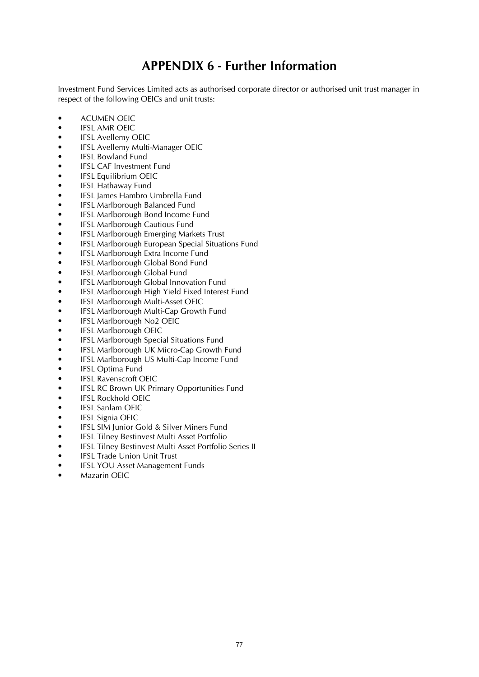## **APPENDIX 6 - Further Information**

Investment Fund Services Limited acts as authorised corporate director or authorised unit trust manager in respect of the following OEICs and unit trusts:

- ACUMEN OEIC
- **IFSL AMR OEIC**
- **IFSL Avellemy OEIC**
- IFSL Avellemy Multi-Manager OEIC
- IFSL Bowland Fund
- IFSL CAF Investment Fund
- IFSL Equilibrium OEIC
- IFSL Hathaway Fund
- IFSL James Hambro Umbrella Fund
- IFSL Marlborough Balanced Fund
- IFSL Marlborough Bond Income Fund
- IFSL Marlborough Cautious Fund
- IFSL Marlborough Emerging Markets Trust
- IFSL Marlborough European Special Situations Fund
- IFSL Marlborough Extra Income Fund
- IFSL Marlborough Global Bond Fund
- IFSL Marlborough Global Fund
- IFSL Marlborough Global Innovation Fund
- IFSL Marlborough High Yield Fixed Interest Fund
- IFSL Marlborough Multi-Asset OEIC
- IFSL Marlborough Multi-Cap Growth Fund
- IFSL Marlborough No2 OEIC
- IFSL Marlborough OEIC
- IFSL Marlborough Special Situations Fund
- IFSL Marlborough UK Micro-Cap Growth Fund
- IFSL Marlborough US Multi-Cap Income Fund
- IFSL Optima Fund
- IFSL Ravenscroft OEIC
- IFSL RC Brown UK Primary Opportunities Fund
- IFSL Rockhold OEIC
- IFSL Sanlam OEIC
- IFSL Signia OEIC
- IFSL SIM Junior Gold & Silver Miners Fund
- IFSL Tilney Bestinvest Multi Asset Portfolio
- IFSL Tilney Bestinvest Multi Asset Portfolio Series II
- **IFSL Trade Union Unit Trust**
- IFSL YOU Asset Management Funds
- Mazarin OEIC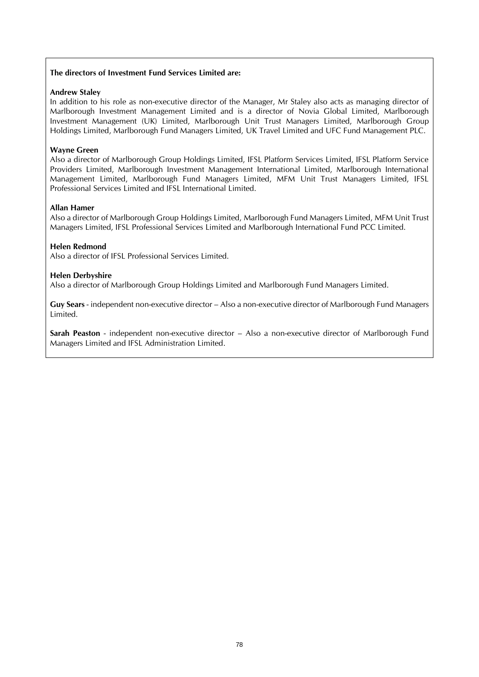#### **The directors of Investment Fund Services Limited are:**

#### **Andrew Staley**

In addition to his role as non-executive director of the Manager, Mr Staley also acts as managing director of Marlborough Investment Management Limited and is a director of Novia Global Limited, Marlborough Investment Management (UK) Limited, Marlborough Unit Trust Managers Limited, Marlborough Group Holdings Limited, Marlborough Fund Managers Limited, UK Travel Limited and UFC Fund Management PLC.

#### **Wayne Green**

Also a director of Marlborough Group Holdings Limited, IFSL Platform Services Limited, IFSL Platform Service Providers Limited, Marlborough Investment Management International Limited, Marlborough International Management Limited, Marlborough Fund Managers Limited, MFM Unit Trust Managers Limited, IFSL Professional Services Limited and IFSL International Limited.

#### **Allan Hamer**

Also a director of Marlborough Group Holdings Limited, Marlborough Fund Managers Limited, MFM Unit Trust Managers Limited, IFSL Professional Services Limited and Marlborough International Fund PCC Limited.

#### **Helen Redmond**

Also a director of IFSL Professional Services Limited.

#### **Helen Derbyshire**

Also a director of Marlborough Group Holdings Limited and Marlborough Fund Managers Limited.

**Guy Sears** - independent non-executive director – Also a non-executive director of Marlborough Fund Managers Limited.

**Sarah Peaston** - independent non-executive director – Also a non-executive director of Marlborough Fund Managers Limited and IFSL Administration Limited.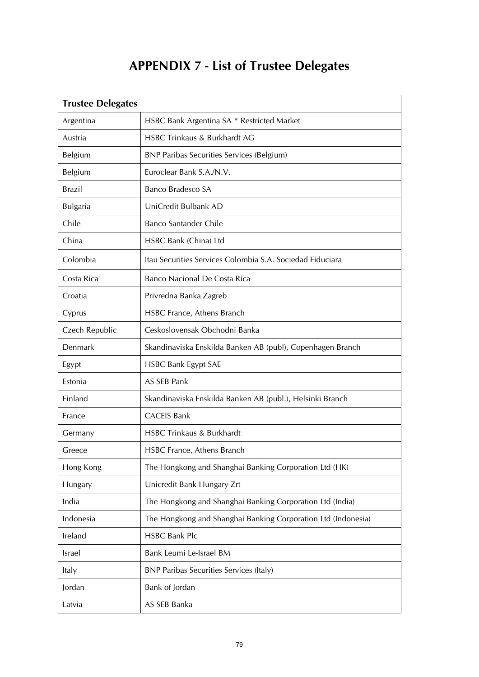# **APPENDIX 7 - List of Trustee Delegates**

| <b>Trustee Delegates</b> |                                                               |  |  |
|--------------------------|---------------------------------------------------------------|--|--|
| Argentina                | HSBC Bank Argentina SA * Restricted Market                    |  |  |
| Austria                  | <b>HSBC Trinkaus &amp; Burkhardt AG</b>                       |  |  |
| Belgium                  | <b>BNP Paribas Securities Services (Belgium)</b>              |  |  |
| Belgium                  | Euroclear Bank S.A./N.V.                                      |  |  |
| <b>Brazil</b>            | Banco Bradesco SA                                             |  |  |
| <b>Bulgaria</b>          | UniCredit Bulbank AD                                          |  |  |
| Chile                    | <b>Banco Santander Chile</b>                                  |  |  |
| China                    | HSBC Bank (China) Ltd                                         |  |  |
| Colombia                 | Itau Securities Services Colombia S.A. Sociedad Fiduciara     |  |  |
| Costa Rica               | Banco Nacional De Costa Rica                                  |  |  |
| Croatia                  | Privredna Banka Zagreb                                        |  |  |
| Cyprus                   | HSBC France, Athens Branch                                    |  |  |
| Czech Republic           | Ceskoslovensak Obchodni Banka                                 |  |  |
| Denmark                  | Skandinaviska Enskilda Banken AB (publ), Copenhagen Branch    |  |  |
| Egypt                    | <b>HSBC Bank Egypt SAE</b>                                    |  |  |
| Estonia                  | AS SEB Pank                                                   |  |  |
| Finland                  | Skandinaviska Enskilda Banken AB (publ.), Helsinki Branch     |  |  |
| France                   | <b>CACEIS Bank</b>                                            |  |  |
| Germany                  | HSBC Trinkaus & Burkhardt                                     |  |  |
| Greece                   | HSBC France, Athens Branch                                    |  |  |
| Hong Kong                | The Hongkong and Shanghai Banking Corporation Ltd (HK)        |  |  |
| Hungary                  | Unicredit Bank Hungary Zrt                                    |  |  |
| India                    | The Hongkong and Shanghai Banking Corporation Ltd (India)     |  |  |
| Indonesia                | The Hongkong and Shanghai Banking Corporation Ltd (Indonesia) |  |  |
| Ireland                  | <b>HSBC Bank Plc</b>                                          |  |  |
| Israel                   | Bank Leumi Le-Israel BM                                       |  |  |
| Italy                    | <b>BNP Paribas Securities Services (Italy)</b>                |  |  |
| Jordan                   | Bank of Jordan                                                |  |  |
| Latvia                   | AS SEB Banka                                                  |  |  |